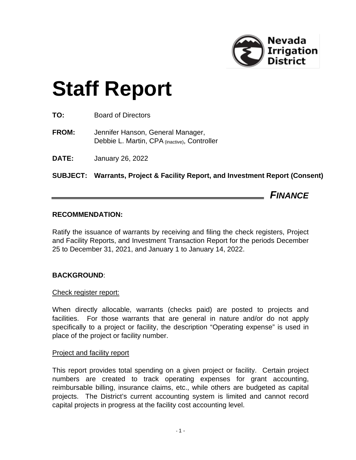

# **Staff Report**

| TO:<br><b>Board of Directors</b> |
|----------------------------------|
|----------------------------------|

- **FROM:** Jennifer Hanson, General Manager, Debbie L. Martin, CPA (inactive), Controller
- **DATE:** January 26, 2022

**SUBJECT: Warrants, Project & Facility Report, and Investment Report (Consent)**

*FINANCE*

# **RECOMMENDATION:**

Ratify the issuance of warrants by receiving and filing the check registers, Project and Facility Reports, and Investment Transaction Report for the periods December 25 to December 31, 2021, and January 1 to January 14, 2022.

# **BACKGROUND**:

# Check register report:

When directly allocable, warrants (checks paid) are posted to projects and facilities. For those warrants that are general in nature and/or do not apply specifically to a project or facility, the description "Operating expense" is used in place of the project or facility number.

## Project and facility report

This report provides total spending on a given project or facility. Certain project numbers are created to track operating expenses for grant accounting, reimbursable billing, insurance claims, etc., while others are budgeted as capital projects. The District's current accounting system is limited and cannot record capital projects in progress at the facility cost accounting level.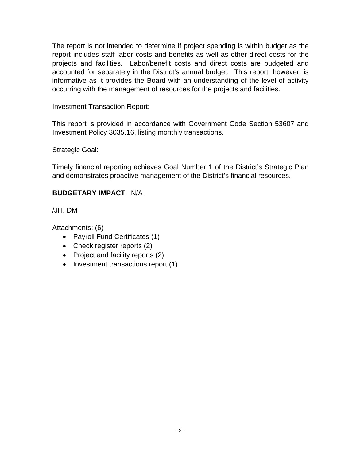The report is not intended to determine if project spending is within budget as the report includes staff labor costs and benefits as well as other direct costs for the projects and facilities. Labor/benefit costs and direct costs are budgeted and accounted for separately in the District's annual budget. This report, however, is informative as it provides the Board with an understanding of the level of activity occurring with the management of resources for the projects and facilities.

# Investment Transaction Report:

This report is provided in accordance with Government Code Section 53607 and Investment Policy 3035.16, listing monthly transactions.

# Strategic Goal:

Timely financial reporting achieves Goal Number 1 of the District's Strategic Plan and demonstrates proactive management of the District's financial resources.

# **BUDGETARY IMPACT**: N/A

/JH, DM

Attachments: (6)

- Payroll Fund Certificates (1)
- Check register reports (2)
- Project and facility reports (2)
- Investment transactions report (1)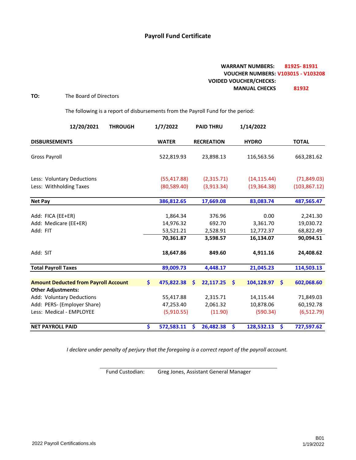## **Payroll Fund Certificate**

## **WARRANT NUMBERS: 81925- 81931 VOUCHER NUMBERS: V103015 - V103208 VOIDED VOUCHER/CHECKS: MANUAL CHECKS 81932**

## **TO:** The Board of Directors

The following is a report of disbursements from the Payroll Fund for the period:

| 12/20/2021<br><b>THROUGH</b>                                             | 1/7/2022              |   | <b>PAID THRU</b>  | 1/14/2022        |                      |                       |
|--------------------------------------------------------------------------|-----------------------|---|-------------------|------------------|----------------------|-----------------------|
| <b>DISBURSEMENTS</b>                                                     | <b>WATER</b>          |   | <b>RECREATION</b> | <b>HYDRO</b>     |                      | <b>TOTAL</b>          |
| <b>Gross Payroll</b>                                                     | 522,819.93            |   | 23,898.13         | 116,563.56       |                      | 663,281.62            |
| Less: Voluntary Deductions                                               | (55, 417.88)          |   | (2,315.71)        | (14, 115.44)     |                      | (71,849.03)           |
| Less: Withholding Taxes                                                  | (80, 589.40)          |   | (3,913.34)        | (19, 364.38)     |                      | (103, 867.12)         |
| <b>Net Pay</b>                                                           | 386,812.65            |   | 17,669.08         | 83,083.74        |                      | 487,565.47            |
| Add: FICA (EE+ER)<br>Add: Medicare (EE+ER)                               | 1,864.34<br>14,976.32 |   | 376.96<br>692.70  | 0.00<br>3,361.70 |                      | 2,241.30<br>19,030.72 |
| Add: FIT                                                                 | 53,521.21             |   | 2,528.91          | 12,772.37        |                      | 68,822.49             |
|                                                                          | 70,361.87             |   | 3,598.57          | 16,134.07        |                      | 90,094.51             |
| Add: SIT                                                                 | 18,647.86             |   | 849.60            | 4,911.16         |                      | 24,408.62             |
| <b>Total Payroll Taxes</b>                                               | 89,009.73             |   | 4,448.17          | 21,045.23        |                      | 114,503.13            |
| <b>Amount Deducted from Payroll Account</b><br><b>Other Adjustments:</b> | \$<br>475,822.38      | Ŝ | 22,117.25         | \$<br>104,128.97 | $\boldsymbol{\zeta}$ | 602,068.60            |
| Add: Voluntary Deductions                                                | 55,417.88             |   | 2,315.71          | 14,115.44        |                      | 71,849.03             |
| Add: PERS- (Employer Share)                                              | 47,253.40             |   | 2,061.32          | 10,878.06        |                      | 60,192.78             |
| Less: Medical - EMPLOYEE                                                 | (5,910.55)            |   | (11.90)           | (590.34)         |                      | (6,512.79)            |
| <b>NET PAYROLL PAID</b>                                                  | \$<br>572,583.11      | S | 26,482.38         | \$<br>128,532.13 | \$                   | 727,597.62            |

*I declare under penalty of perjury that the foregoing is a correct report of the payroll account.*

Fund Custodian: Greg Jones, Assistant General Manager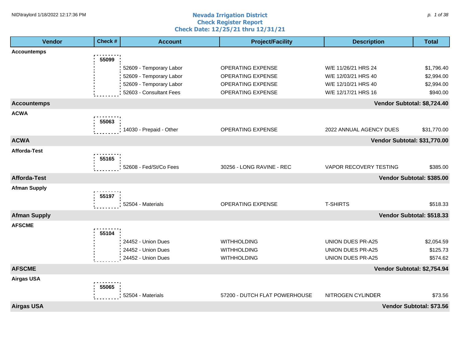#### **Nevada Irrigation District Check Register Report Check Date: 12/25/21 thru 12/31/21** NID\traylord 1/18/2022 12:17:36 PM p. 1 of 38 p. 1 of 38 p. 1 of 38 p. 1 of 38 p. 1 of 38 p. 1 of 38 p. 1 of 38

| <b>Vendor</b>       | Check # | <b>Account</b>          | <b>Project/Facility</b>       | <b>Description</b>           | <b>Total</b>              |
|---------------------|---------|-------------------------|-------------------------------|------------------------------|---------------------------|
| <b>Accountemps</b>  |         |                         |                               |                              |                           |
|                     | 55099   |                         |                               |                              |                           |
|                     |         | 52609 - Temporary Labor | OPERATING EXPENSE             | W/E 11/26/21 HRS 24          | \$1,796.40                |
|                     |         | 52609 - Temporary Labor | <b>OPERATING EXPENSE</b>      | W/E 12/03/21 HRS 40          | \$2,994.00                |
|                     |         | 52609 - Temporary Labor | OPERATING EXPENSE             | W/E 12/10/21 HRS 40          | \$2,994.00                |
|                     |         | 52603 - Consultant Fees | <b>OPERATING EXPENSE</b>      | W/E 12/17/21 HRS 16          | \$940.00                  |
| <b>Accountemps</b>  |         |                         |                               | Vendor Subtotal: \$8,724.40  |                           |
| <b>ACWA</b>         |         |                         |                               |                              |                           |
|                     | 55063   |                         |                               |                              |                           |
|                     |         | 14030 - Prepaid - Other | OPERATING EXPENSE             | 2022 ANNUAL AGENCY DUES      | \$31,770.00               |
| <b>ACWA</b>         |         |                         |                               | Vendor Subtotal: \$31,770.00 |                           |
| <b>Afforda-Test</b> |         |                         |                               |                              |                           |
|                     | 55165   |                         |                               |                              |                           |
|                     |         | 52608 - Fed/St/Co Fees  | 30256 - LONG RAVINE - REC     | VAPOR RECOVERY TESTING       | \$385.00                  |
| <b>Afforda-Test</b> |         |                         |                               |                              | Vendor Subtotal: \$385.00 |
| <b>Afman Supply</b> |         |                         |                               |                              |                           |
|                     | 55197   |                         |                               |                              |                           |
|                     |         | 52504 - Materials       | OPERATING EXPENSE             | <b>T-SHIRTS</b>              | \$518.33                  |
| <b>Afman Supply</b> |         |                         |                               |                              | Vendor Subtotal: \$518.33 |
| <b>AFSCME</b>       |         |                         |                               |                              |                           |
|                     | 55104   |                         |                               |                              |                           |
|                     |         | 24452 - Union Dues      | <b>WITHHOLDING</b>            | UNION DUES PR-A25            | \$2,054.59                |
|                     |         | 24452 - Union Dues      | WITHHOLDING                   | UNION DUES PR-A25            | \$125.73                  |
|                     |         | 24452 - Union Dues      | <b>WITHHOLDING</b>            | <b>UNION DUES PR-A25</b>     | \$574.62                  |
| <b>AFSCME</b>       |         |                         |                               | Vendor Subtotal: \$2,754.94  |                           |
| <b>Airgas USA</b>   |         |                         |                               |                              |                           |
|                     | 55065   |                         |                               |                              |                           |
|                     |         | 52504 - Materials       | 57200 - DUTCH FLAT POWERHOUSE | NITROGEN CYLINDER            | \$73.56                   |
| <b>Airgas USA</b>   |         |                         |                               |                              | Vendor Subtotal: \$73.56  |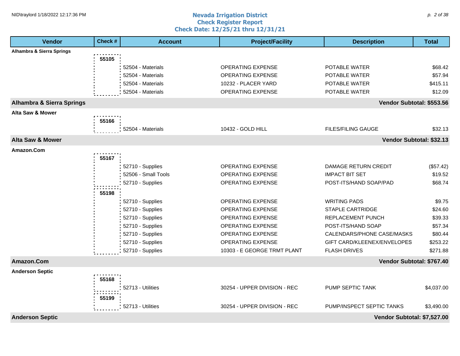#### **Nevada Irrigation District Check Register Report Check Date: 12/25/21 thru 12/31/21** NID\traylord 1/18/2022 12:17:36 PM p. 2 of 38

| Vendor                               | Check # | <b>Account</b>      | <b>Project/Facility</b>      | <b>Description</b>          | <b>Total</b> |
|--------------------------------------|---------|---------------------|------------------------------|-----------------------------|--------------|
| Alhambra & Sierra Springs            |         |                     |                              |                             |              |
|                                      | 55105   |                     |                              |                             |              |
|                                      |         | 52504 - Materials   | <b>OPERATING EXPENSE</b>     | POTABLE WATER               | \$68.42      |
|                                      |         | 52504 - Materials   | <b>OPERATING EXPENSE</b>     | POTABLE WATER               | \$57.94      |
|                                      |         | 52504 - Materials   | 10232 - PLACER YARD          | POTABLE WATER               | \$415.11     |
|                                      |         | 52504 - Materials   | <b>OPERATING EXPENSE</b>     | POTABLE WATER               | \$12.09      |
| <b>Alhambra &amp; Sierra Springs</b> |         |                     |                              | Vendor Subtotal: \$553.56   |              |
| Alta Saw & Mower                     |         |                     |                              |                             |              |
|                                      | 55166   |                     |                              |                             |              |
|                                      |         | 52504 - Materials   | 10432 - GOLD HILL            | <b>FILES/FILING GAUGE</b>   | \$32.13      |
| <b>Alta Saw &amp; Mower</b>          |         |                     |                              | Vendor Subtotal: \$32.13    |              |
| Amazon.Com                           |         |                     |                              |                             |              |
|                                      | 55167   |                     |                              |                             |              |
|                                      |         | 52710 - Supplies    | <b>OPERATING EXPENSE</b>     | <b>DAMAGE RETURN CREDIT</b> | (\$57.42)    |
|                                      |         | 52506 - Small Tools | OPERATING EXPENSE            | <b>IMPACT BIT SET</b>       | \$19.52      |
|                                      |         | 52710 - Supplies    | <b>OPERATING EXPENSE</b>     | POST-ITS/HAND SOAP/PAD      | \$68.74      |
|                                      | 55198   |                     |                              |                             |              |
|                                      |         | 52710 - Supplies    | <b>OPERATING EXPENSE</b>     | <b>WRITING PADS</b>         | \$9.75       |
|                                      |         | 52710 - Supplies    | <b>OPERATING EXPENSE</b>     | <b>STAPLE CARTRIDGE</b>     | \$24.60      |
|                                      |         | 52710 - Supplies    | <b>OPERATING EXPENSE</b>     | REPLACEMENT PUNCH           | \$39.33      |
|                                      |         | 52710 - Supplies    | <b>OPERATING EXPENSE</b>     | POST-ITS/HAND SOAP          | \$57.34      |
|                                      |         | 52710 - Supplies    | OPERATING EXPENSE            | CALENDARS/PHONE CASE/MASKS  | \$80.44      |
|                                      |         | 52710 - Supplies    | OPERATING EXPENSE            | GIFT CARD/KLEENEX/ENVELOPES | \$253.22     |
|                                      |         | 52710 - Supplies    | 10303 - E GEORGE TRMT PLANT  | <b>FLASH DRIVES</b>         | \$271.88     |
| Amazon.Com                           |         |                     |                              | Vendor Subtotal: \$767.40   |              |
| <b>Anderson Septic</b>               |         |                     |                              |                             |              |
|                                      | 55168   |                     |                              |                             |              |
|                                      |         | 52713 - Utilities   | 30254 - UPPER DIVISION - REC | PUMP SEPTIC TANK            | \$4,037.00   |
|                                      | 55199   |                     |                              |                             |              |
|                                      |         | 52713 - Utilities   | 30254 - UPPER DIVISION - REC | PUMP/INSPECT SEPTIC TANKS   | \$3,490.00   |
| <b>Anderson Septic</b>               |         |                     |                              | Vendor Subtotal: \$7,527.00 |              |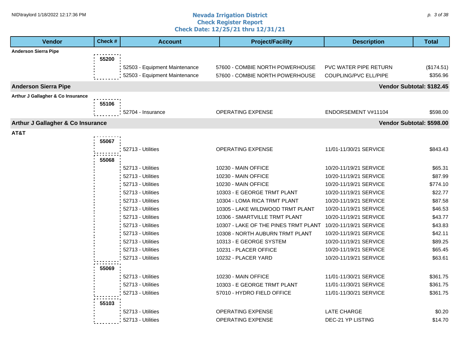#### **Nevada Irrigation District Check Register Report Check Date: 12/25/21 thru 12/31/21** NID\traylord 1/18/2022 12:17:36 PM p. 3 of 38

| <b>Vendor</b>                                | Check # | <b>Account</b>                | <b>Project/Facility</b>              | <b>Description</b>        | <b>Total</b> |
|----------------------------------------------|---------|-------------------------------|--------------------------------------|---------------------------|--------------|
| <b>Anderson Sierra Pipe</b>                  |         |                               |                                      |                           |              |
|                                              | 55200   |                               |                                      |                           |              |
|                                              |         | 52503 - Equipment Maintenance | 57600 - COMBIE NORTH POWERHOUSE      | PVC WATER PIPE RETURN     | (\$174.51)   |
|                                              |         | 52503 - Equipment Maintenance | 57600 - COMBIE NORTH POWERHOUSE      | COUPLING/PVC ELL/PIPE     | \$356.96     |
| <b>Anderson Sierra Pipe</b>                  |         |                               |                                      | Vendor Subtotal: \$182.45 |              |
| Arthur J Gallagher & Co Insurance            |         |                               |                                      |                           |              |
|                                              | 55106   |                               |                                      |                           |              |
|                                              |         | 52704 - Insurance             | <b>OPERATING EXPENSE</b>             | ENDORSEMENT V#11104       | \$598.00     |
| <b>Arthur J Gallagher &amp; Co Insurance</b> |         |                               |                                      | Vendor Subtotal: \$598.00 |              |
| AT&T                                         |         |                               |                                      |                           |              |
|                                              | 55067   |                               |                                      |                           |              |
|                                              |         | 52713 - Utilities             | <b>OPERATING EXPENSE</b>             | 11/01-11/30/21 SERVICE    | \$843.43     |
|                                              | 55068   |                               |                                      |                           |              |
|                                              |         | 52713 - Utilities             | 10230 - MAIN OFFICE                  | 10/20-11/19/21 SERVICE    | \$65.31      |
|                                              |         | 52713 - Utilities             | 10230 - MAIN OFFICE                  | 10/20-11/19/21 SERVICE    | \$87.99      |
|                                              |         | 52713 - Utilities             | 10230 - MAIN OFFICE                  | 10/20-11/19/21 SERVICE    | \$774.10     |
|                                              |         | 52713 - Utilities             | 10303 - E GEORGE TRMT PLANT          | 10/20-11/19/21 SERVICE    | \$22.77      |
|                                              |         | 52713 - Utilities             | 10304 - LOMA RICA TRMT PLANT         | 10/20-11/19/21 SERVICE    | \$87.58      |
|                                              |         | 52713 - Utilities             | 10305 - LAKE WILDWOOD TRMT PLANT     | 10/20-11/19/21 SERVICE    | \$46.53      |
|                                              |         | 52713 - Utilities             | 10306 - SMARTVILLE TRMT PLANT        | 10/20-11/19/21 SERVICE    | \$43.77      |
|                                              |         | 52713 - Utilities             | 10307 - LAKE OF THE PINES TRMT PLANT | 10/20-11/19/21 SERVICE    | \$43.83      |
|                                              |         | 52713 - Utilities             | 10308 - NORTH AUBURN TRMT PLANT      | 10/20-11/19/21 SERVICE    | \$42.11      |
|                                              |         | 52713 - Utilities             | 10313 - E GEORGE SYSTEM              | 10/20-11/19/21 SERVICE    | \$89.25      |
|                                              |         | 52713 - Utilities             | 10231 - PLACER OFFICE                | 10/20-11/19/21 SERVICE    | \$65.45      |
|                                              |         | 52713 - Utilities             | 10232 - PLACER YARD                  | 10/20-11/19/21 SERVICE    | \$63.61      |
|                                              | 55069   |                               |                                      |                           |              |
|                                              |         | 52713 - Utilities             | 10230 - MAIN OFFICE                  | 11/01-11/30/21 SERVICE    | \$361.75     |
|                                              |         | 52713 - Utilities             | 10303 - E GEORGE TRMT PLANT          | 11/01-11/30/21 SERVICE    | \$361.75     |
|                                              |         | 52713 - Utilities             | 57010 - HYDRO FIELD OFFICE           | 11/01-11/30/21 SERVICE    | \$361.75     |
|                                              | 55103   |                               |                                      |                           |              |
|                                              |         | 52713 - Utilities             | OPERATING EXPENSE                    | <b>LATE CHARGE</b>        | \$0.20       |
|                                              |         | 52713 - Utilities             | OPERATING EXPENSE                    | DEC-21 YP LISTING         | \$14.70      |
|                                              |         |                               |                                      |                           |              |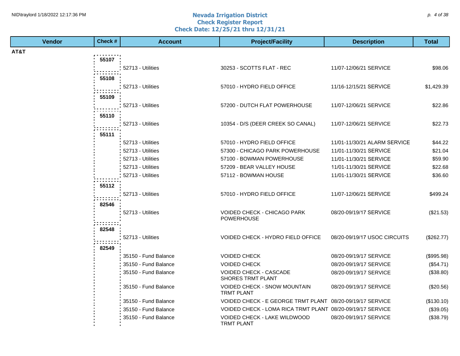#### **Nevada Irrigation District Check Register Report Check Date: 12/25/21 thru 12/31/21** NID\traylord 1/18/2022 12:17:36 PM p. 4 of 38 p. 4 of 38 p. 4 of 38 p. 4 of 38 p. 4 of 38 p. 4 of 38 p. 4 of 38

| <b>Vendor</b> | Check #    | <b>Account</b>       | <b>Project/Facility</b>                                    | <b>Description</b>           | <b>Total</b> |
|---------------|------------|----------------------|------------------------------------------------------------|------------------------------|--------------|
| AT&T          |            |                      |                                                            |                              |              |
|               | 55107      |                      |                                                            |                              |              |
|               |            | 52713 - Utilities    | 30253 - SCOTTS FLAT - REC                                  | 11/07-12/06/21 SERVICE       | \$98.06      |
|               | 55108      |                      |                                                            |                              |              |
|               |            | 52713 - Utilities    | 57010 - HYDRO FIELD OFFICE                                 | 11/16-12/15/21 SERVICE       | \$1,429.39   |
|               | .<br>55109 |                      |                                                            |                              |              |
|               |            | 52713 - Utilities    | 57200 - DUTCH FLAT POWERHOUSE                              | 11/07-12/06/21 SERVICE       | \$22.86      |
|               |            |                      |                                                            |                              |              |
|               | 55110      |                      |                                                            |                              |              |
|               |            | 52713 - Utilities    | 10354 - D/S (DEER CREEK SO CANAL)                          | 11/07-12/06/21 SERVICE       | \$22.73      |
|               | 55111      |                      |                                                            |                              |              |
|               |            | 52713 - Utilities    | 57010 - HYDRO FIELD OFFICE                                 | 11/01-11/30/21 ALARM SERVICE | \$44.22      |
|               |            | 52713 - Utilities    | 57300 - CHICAGO PARK POWERHOUSE                            | 11/01-11/30/21 SERVICE       | \$21.04      |
|               |            | 52713 - Utilities    | 57100 - BOWMAN POWERHOUSE                                  | 11/01-11/30/21 SERVICE       | \$59.90      |
|               |            | 52713 - Utilities    | 57209 - BEAR VALLEY HOUSE                                  | 11/01-11/30/21 SERVICE       | \$22.68      |
|               |            | 52713 - Utilities    | 57112 - BOWMAN HOUSE                                       | 11/01-11/30/21 SERVICE       | \$36.60      |
|               | 55112      |                      |                                                            |                              |              |
|               |            | 52713 - Utilities    | 57010 - HYDRO FIELD OFFICE                                 | 11/07-12/06/21 SERVICE       | \$499.24     |
|               | 82546      |                      |                                                            |                              |              |
|               |            | 52713 - Utilities    | VOIDED CHECK - CHICAGO PARK                                | 08/20-09/19/17 SERVICE       | $(\$21.53)$  |
|               |            |                      | <b>POWERHOUSE</b>                                          |                              |              |
|               | 82548      |                      |                                                            |                              |              |
|               |            | 52713 - Utilities    | VOIDED CHECK - HYDRO FIELD OFFICE                          | 08/20-09/19/17 USOC CIRCUITS | (\$262.77)   |
|               |            |                      |                                                            |                              |              |
|               | 82549      |                      |                                                            |                              |              |
|               |            | 35150 - Fund Balance | <b>VOIDED CHECK</b>                                        | 08/20-09/19/17 SERVICE       | (\$995.98)   |
|               |            | 35150 - Fund Balance | <b>VOIDED CHECK</b>                                        | 08/20-09/19/17 SERVICE       | (\$54.71)    |
|               |            | 35150 - Fund Balance | VOIDED CHECK - CASCADE<br>SHORES TRMT PLANT                | 08/20-09/19/17 SERVICE       | (\$38.80)    |
|               |            | 35150 - Fund Balance | VOIDED CHECK - SNOW MOUNTAIN<br><b>TRMT PLANT</b>          | 08/20-09/19/17 SERVICE       | (\$20.56)    |
|               |            | 35150 - Fund Balance | VOIDED CHECK - E GEORGE TRMT PLANT 08/20-09/19/17 SERVICE  |                              | (\$130.10)   |
|               |            | 35150 - Fund Balance | VOIDED CHECK - LOMA RICA TRMT PLANT 08/20-09/19/17 SERVICE |                              | (\$39.05)    |
|               |            | 35150 - Fund Balance | VOIDED CHECK - LAKE WILDWOOD<br><b>TRMT PLANT</b>          | 08/20-09/19/17 SERVICE       | (\$38.79)    |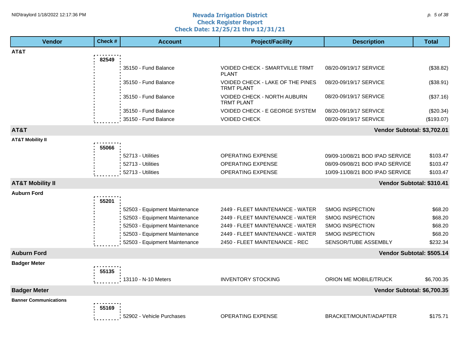#### **Nevada Irrigation District Check Register Report Check Date: 12/25/21 thru 12/31/21** NID\traylord 1/18/2022 12:17:36 PM p. 5 of 38 p. to a set of the set of the set of the set of the set of the set of the set of the set of the set of the set of the set of the set of the set of the set of the set of the se

| <b>Vendor</b>                | Check # | <b>Account</b>                | <b>Project/Facility</b>                               | <b>Description</b>              | <b>Total</b> |
|------------------------------|---------|-------------------------------|-------------------------------------------------------|---------------------------------|--------------|
| AT&T                         |         |                               |                                                       |                                 |              |
|                              | 82549   |                               |                                                       |                                 |              |
|                              |         | 35150 - Fund Balance          | VOIDED CHECK - SMARTVILLE TRMT<br><b>PLANT</b>        | 08/20-09/19/17 SERVICE          | (\$38.82)    |
|                              |         | 35150 - Fund Balance          | VOIDED CHECK - LAKE OF THE PINES<br><b>TRMT PLANT</b> | 08/20-09/19/17 SERVICE          | (\$38.91)    |
|                              |         | 35150 - Fund Balance          | VOIDED CHECK - NORTH AUBURN<br><b>TRMT PLANT</b>      | 08/20-09/19/17 SERVICE          | (\$37.16)    |
|                              |         | 35150 - Fund Balance          | <b>VOIDED CHECK - E GEORGE SYSTEM</b>                 | 08/20-09/19/17 SERVICE          | (\$20.34)    |
|                              |         | 35150 - Fund Balance          | <b>VOIDED CHECK</b>                                   | 08/20-09/19/17 SERVICE          | (\$193.07)   |
| AT&T                         |         |                               |                                                       | Vendor Subtotal: \$3,702.01     |              |
| <b>AT&amp;T Mobility II</b>  | 55066   |                               |                                                       |                                 |              |
|                              |         | 52713 - Utilities             | <b>OPERATING EXPENSE</b>                              | 09/09-10/08/21 BOD IPAD SERVICE | \$103.47     |
|                              |         | 52713 - Utilities             | <b>OPERATING EXPENSE</b>                              | 08/09-09/08/21 BOD IPAD SERVICE | \$103.47     |
|                              |         | 52713 - Utilities             | OPERATING EXPENSE                                     | 10/09-11/08/21 BOD IPAD SERVICE | \$103.47     |
| <b>AT&amp;T Mobility II</b>  |         |                               |                                                       | Vendor Subtotal: \$310.41       |              |
| <b>Auburn Ford</b>           |         |                               |                                                       |                                 |              |
|                              | 55201   |                               |                                                       |                                 |              |
|                              |         | 52503 - Equipment Maintenance | 2449 - FLEET MAINTENANCE - WATER                      | <b>SMOG INSPECTION</b>          | \$68.20      |
|                              |         | 52503 - Equipment Maintenance | 2449 - FLEET MAINTENANCE - WATER                      | <b>SMOG INSPECTION</b>          | \$68.20      |
|                              |         | 52503 - Equipment Maintenance | 2449 - FLEET MAINTENANCE - WATER                      | <b>SMOG INSPECTION</b>          | \$68.20      |
|                              |         | 52503 - Equipment Maintenance | 2449 - FLEET MAINTENANCE - WATER                      | <b>SMOG INSPECTION</b>          | \$68.20      |
|                              |         | 52503 - Equipment Maintenance | 2450 - FLEET MAINTENANCE - REC                        | SENSOR/TUBE ASSEMBLY            | \$232.34     |
| <b>Auburn Ford</b>           |         |                               |                                                       | Vendor Subtotal: \$505.14       |              |
| <b>Badger Meter</b>          | 55135   |                               |                                                       |                                 |              |
|                              |         | 13110 - N-10 Meters           | <b>INVENTORY STOCKING</b>                             | ORION ME MOBILE/TRUCK           | \$6,700.35   |
| <b>Badger Meter</b>          |         |                               |                                                       | Vendor Subtotal: \$6,700.35     |              |
| <b>Banner Communications</b> |         |                               |                                                       |                                 |              |
|                              | 55169   | 52902 - Vehicle Purchases     | <b>OPERATING EXPENSE</b>                              | BRACKET/MOUNT/ADAPTER           | \$175.71     |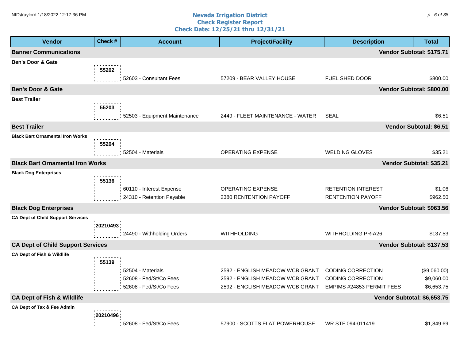#### **Nevada Irrigation District Check Register Report Check Date: 12/25/21 thru 12/31/21** NID\traylord 1/18/2022 12:17:36 PM p. 6 of 38

| <b>Vendor</b>                            | Check #     | <b>Account</b>                                                        | <b>Project/Facility</b>                                                                               | <b>Description</b>                                                                | <b>Total</b>                             |
|------------------------------------------|-------------|-----------------------------------------------------------------------|-------------------------------------------------------------------------------------------------------|-----------------------------------------------------------------------------------|------------------------------------------|
| <b>Banner Communications</b>             |             |                                                                       |                                                                                                       |                                                                                   | Vendor Subtotal: \$175.71                |
| <b>Ben's Door &amp; Gate</b>             | 55202       | 52603 - Consultant Fees                                               | 57209 - BEAR VALLEY HOUSE                                                                             | FUEL SHED DOOR                                                                    | \$800.00                                 |
| <b>Ben's Door &amp; Gate</b>             |             |                                                                       |                                                                                                       |                                                                                   | Vendor Subtotal: \$800.00                |
| <b>Best Trailer</b>                      | 55203       | 52503 - Equipment Maintenance                                         | 2449 - FLEET MAINTENANCE - WATER                                                                      | <b>SEAL</b>                                                                       | \$6.51                                   |
| <b>Best Trailer</b>                      |             |                                                                       |                                                                                                       |                                                                                   | Vendor Subtotal: \$6.51                  |
| <b>Black Bart Ornamental Iron Works</b>  | 55204       | 52504 - Materials                                                     | OPERATING EXPENSE                                                                                     | <b>WELDING GLOVES</b>                                                             | \$35.21                                  |
| <b>Black Bart Ornamental Iron Works</b>  |             |                                                                       |                                                                                                       |                                                                                   | Vendor Subtotal: \$35.21                 |
| <b>Black Dog Enterprises</b>             | 55136       | 60110 - Interest Expense<br>24310 - Retention Payable                 | OPERATING EXPENSE<br>2380 RENTENTION PAYOFF                                                           | <b>RETENTION INTEREST</b><br><b>RENTENTION PAYOFF</b>                             | \$1.06<br>\$962.50                       |
| <b>Black Dog Enterprises</b>             |             |                                                                       |                                                                                                       |                                                                                   | Vendor Subtotal: \$963.56                |
| <b>CA Dept of Child Support Services</b> | : 20210493: | 24490 - Withholding Orders                                            | <b>WITHHOLDING</b>                                                                                    | <b>WITHHOLDING PR-A26</b>                                                         | \$137.53                                 |
| <b>CA Dept of Child Support Services</b> |             |                                                                       |                                                                                                       |                                                                                   | Vendor Subtotal: \$137.53                |
| <b>CA Dept of Fish &amp; Wildlife</b>    | 55139       | 52504 - Materials<br>52608 - Fed/St/Co Fees<br>52608 - Fed/St/Co Fees | 2592 - ENGLISH MEADOW WCB GRANT<br>2592 - ENGLISH MEADOW WCB GRANT<br>2592 - ENGLISH MEADOW WCB GRANT | <b>CODING CORRECTION</b><br><b>CODING CORRECTION</b><br>EMPIMS #24853 PERMIT FEES | (\$9,060.00)<br>\$9,060.00<br>\$6,653.75 |
| <b>CA Dept of Fish &amp; Wildlife</b>    |             |                                                                       |                                                                                                       | Vendor Subtotal: \$6,653.75                                                       |                                          |
| CA Dept of Tax & Fee Admin               | 20210496    | 52608 - Fed/St/Co Fees                                                | 57900 - SCOTTS FLAT POWERHOUSE                                                                        | WR STF 094-011419                                                                 | \$1,849.69                               |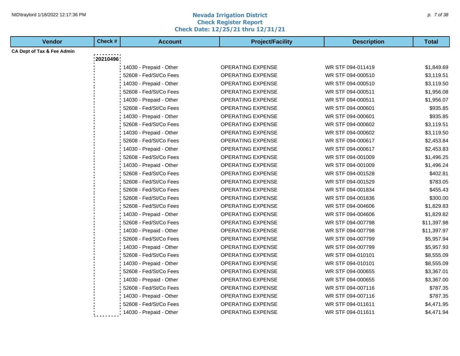#### **Nevada Irrigation District Check Register Report Check Date: 12/25/21 thru 12/31/21** NID\traylord 1/18/2022 12:17:36 PM p. 7 of 38 and the set of the set of the set of the set of the set of the set of the set of the set of the set of the set of the set of the set of the set of the set of the set of the set

| <b>Vendor</b>                         | Check #  | <b>Account</b>          | <b>Project/Facility</b>  | <b>Description</b> | <b>Total</b> |
|---------------------------------------|----------|-------------------------|--------------------------|--------------------|--------------|
| <b>CA Dept of Tax &amp; Fee Admin</b> |          |                         |                          |                    |              |
|                                       | 20210496 |                         |                          |                    |              |
|                                       |          | 14030 - Prepaid - Other | <b>OPERATING EXPENSE</b> | WR STF 094-011419  | \$1,849.69   |
|                                       |          | 52608 - Fed/St/Co Fees  | <b>OPERATING EXPENSE</b> | WR STF 094-000510  | \$3,119.51   |
|                                       |          | 14030 - Prepaid - Other | <b>OPERATING EXPENSE</b> | WR STF 094-000510  | \$3,119.50   |
|                                       |          | 52608 - Fed/St/Co Fees  | <b>OPERATING EXPENSE</b> | WR STF 094-000511  | \$1,956.08   |
|                                       |          | 14030 - Prepaid - Other | OPERATING EXPENSE        | WR STF 094-000511  | \$1,956.07   |
|                                       |          | 52608 - Fed/St/Co Fees  | OPERATING EXPENSE        | WR STF 094-000601  | \$935.85     |
|                                       |          | 14030 - Prepaid - Other | <b>OPERATING EXPENSE</b> | WR STF 094-000601  | \$935.85     |
|                                       |          | 52608 - Fed/St/Co Fees  | OPERATING EXPENSE        | WR STF 094-000602  | \$3,119.51   |
|                                       |          | 14030 - Prepaid - Other | <b>OPERATING EXPENSE</b> | WR STF 094-000602  | \$3,119.50   |
|                                       |          | 52608 - Fed/St/Co Fees  | <b>OPERATING EXPENSE</b> | WR STF 094-000617  | \$2,453.84   |
|                                       |          | 14030 - Prepaid - Other | OPERATING EXPENSE        | WR STF 094-000617  | \$2,453.83   |
|                                       |          | 52608 - Fed/St/Co Fees  | OPERATING EXPENSE        | WR STF 094-001009  | \$1,496.25   |
|                                       |          | 14030 - Prepaid - Other | <b>OPERATING EXPENSE</b> | WR STF 094-001009  | \$1,496.24   |
|                                       |          | 52608 - Fed/St/Co Fees  | <b>OPERATING EXPENSE</b> | WR STF 094-001528  | \$402.81     |
|                                       |          | 52608 - Fed/St/Co Fees  | OPERATING EXPENSE        | WR STF 094-001529  | \$783.05     |
|                                       |          | 52608 - Fed/St/Co Fees  | OPERATING EXPENSE        | WR STF 094-001834  | \$455.43     |
|                                       |          | 52608 - Fed/St/Co Fees  | OPERATING EXPENSE        | WR STF 094-001836  | \$300.00     |
|                                       |          | 52608 - Fed/St/Co Fees  | <b>OPERATING EXPENSE</b> | WR STF 094-004606  | \$1,829.83   |
|                                       |          | 14030 - Prepaid - Other | <b>OPERATING EXPENSE</b> | WR STF 094-004606  | \$1,829.82   |
|                                       |          | 52608 - Fed/St/Co Fees  | OPERATING EXPENSE        | WR STF 094-007798  | \$11,397.98  |
|                                       |          | 14030 - Prepaid - Other | <b>OPERATING EXPENSE</b> | WR STF 094-007798  | \$11,397.97  |
|                                       |          | 52608 - Fed/St/Co Fees  | OPERATING EXPENSE        | WR STF 094-007799  | \$5,957.94   |
|                                       |          | 14030 - Prepaid - Other | OPERATING EXPENSE        | WR STF 094-007799  | \$5,957.93   |
|                                       |          | 52608 - Fed/St/Co Fees  | OPERATING EXPENSE        | WR STF 094-010101  | \$8,555.09   |
|                                       |          | 14030 - Prepaid - Other | <b>OPERATING EXPENSE</b> | WR STF 094-010101  | \$8,555.09   |
|                                       |          | 52608 - Fed/St/Co Fees  | <b>OPERATING EXPENSE</b> | WR STF 094-000655  | \$3,367.01   |
|                                       |          | 14030 - Prepaid - Other | OPERATING EXPENSE        | WR STF 094-000655  | \$3,367.00   |
|                                       |          | 52608 - Fed/St/Co Fees  | OPERATING EXPENSE        | WR STF 094-007116  | \$787.35     |
|                                       |          | 14030 - Prepaid - Other | OPERATING EXPENSE        | WR STF 094-007116  | \$787.35     |
|                                       |          | 52608 - Fed/St/Co Fees  | OPERATING EXPENSE        | WR STF 094-011611  | \$4,471.95   |
|                                       |          | 14030 - Prepaid - Other | <b>OPERATING EXPENSE</b> | WR STF 094-011611  | \$4,471.94   |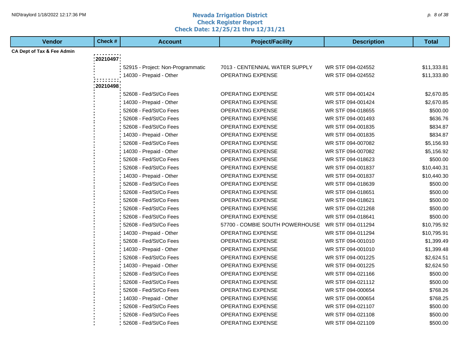#### **Nevada Irrigation District Check Register Report Check Date: 12/25/21 thru 12/31/21** NID\traylord 1/18/2022 12:17:36 PM p. 8 of 38

| <b>Vendor</b>                         | Check #  | <b>Account</b>                    | <b>Project/Facility</b>         | <b>Description</b> | <b>Total</b> |
|---------------------------------------|----------|-----------------------------------|---------------------------------|--------------------|--------------|
| <b>CA Dept of Tax &amp; Fee Admin</b> |          |                                   |                                 |                    |              |
|                                       | 20210497 |                                   |                                 |                    |              |
|                                       |          | 52915 - Project: Non-Programmatic | 7013 - CENTENNIAL WATER SUPPLY  | WR STF 094-024552  | \$11,333.81  |
|                                       |          | 14030 - Prepaid - Other           | <b>OPERATING EXPENSE</b>        | WR STF 094-024552  | \$11,333.80  |
|                                       | 20210498 |                                   |                                 |                    |              |
|                                       |          | 52608 - Fed/St/Co Fees            | <b>OPERATING EXPENSE</b>        | WR STF 094-001424  | \$2,670.85   |
|                                       |          | 14030 - Prepaid - Other           | OPERATING EXPENSE               | WR STF 094-001424  | \$2,670.85   |
|                                       |          | 52608 - Fed/St/Co Fees            | <b>OPERATING EXPENSE</b>        | WR STF 094-018655  | \$500.00     |
|                                       |          | 52608 - Fed/St/Co Fees            | OPERATING EXPENSE               | WR STF 094-001493  | \$636.76     |
|                                       |          | 52608 - Fed/St/Co Fees            | OPERATING EXPENSE               | WR STF 094-001835  | \$834.87     |
|                                       |          | 14030 - Prepaid - Other           | <b>OPERATING EXPENSE</b>        | WR STF 094-001835  | \$834.87     |
|                                       |          | 52608 - Fed/St/Co Fees            | OPERATING EXPENSE               | WR STF 094-007082  | \$5,156.93   |
|                                       |          | 14030 - Prepaid - Other           | <b>OPERATING EXPENSE</b>        | WR STF 094-007082  | \$5,156.92   |
|                                       |          | 52608 - Fed/St/Co Fees            | <b>OPERATING EXPENSE</b>        | WR STF 094-018623  | \$500.00     |
|                                       |          | 52608 - Fed/St/Co Fees            | <b>OPERATING EXPENSE</b>        | WR STF 094-001837  | \$10,440.31  |
|                                       |          | 14030 - Prepaid - Other           | <b>OPERATING EXPENSE</b>        | WR STF 094-001837  | \$10,440.30  |
|                                       |          | 52608 - Fed/St/Co Fees            | OPERATING EXPENSE               | WR STF 094-018639  | \$500.00     |
|                                       |          | 52608 - Fed/St/Co Fees            | <b>OPERATING EXPENSE</b>        | WR STF 094-018651  | \$500.00     |
|                                       |          | 52608 - Fed/St/Co Fees            | OPERATING EXPENSE               | WR STF 094-018621  | \$500.00     |
|                                       |          | 52608 - Fed/St/Co Fees            | OPERATING EXPENSE               | WR STF 094-021268  | \$500.00     |
|                                       |          | 52608 - Fed/St/Co Fees            | <b>OPERATING EXPENSE</b>        | WR STF 094-018641  | \$500.00     |
|                                       |          | 52608 - Fed/St/Co Fees            | 57700 - COMBIE SOUTH POWERHOUSE | WR STF 094-011294  | \$10,795.92  |
|                                       |          | 14030 - Prepaid - Other           | OPERATING EXPENSE               | WR STF 094-011294  | \$10,795.91  |
|                                       |          | 52608 - Fed/St/Co Fees            | <b>OPERATING EXPENSE</b>        | WR STF 094-001010  | \$1,399.49   |
|                                       |          | 14030 - Prepaid - Other           | <b>OPERATING EXPENSE</b>        | WR STF 094-001010  | \$1,399.48   |
|                                       |          | 52608 - Fed/St/Co Fees            | <b>OPERATING EXPENSE</b>        | WR STF 094-001225  | \$2,624.51   |
|                                       |          | 14030 - Prepaid - Other           | <b>OPERATING EXPENSE</b>        | WR STF 094-001225  | \$2,624.50   |
|                                       |          | 52608 - Fed/St/Co Fees            | <b>OPERATING EXPENSE</b>        | WR STF 094-021166  | \$500.00     |
|                                       |          | 52608 - Fed/St/Co Fees            | <b>OPERATING EXPENSE</b>        | WR STF 094-021112  | \$500.00     |
|                                       |          | 52608 - Fed/St/Co Fees            | <b>OPERATING EXPENSE</b>        | WR STF 094-000654  | \$768.26     |
|                                       |          | 14030 - Prepaid - Other           | <b>OPERATING EXPENSE</b>        | WR STF 094-000654  | \$768.25     |
|                                       |          | 52608 - Fed/St/Co Fees            | OPERATING EXPENSE               | WR STF 094-021107  | \$500.00     |
|                                       |          | 52608 - Fed/St/Co Fees            | OPERATING EXPENSE               | WR STF 094-021108  | \$500.00     |
|                                       |          | 52608 - Fed/St/Co Fees            | <b>OPERATING EXPENSE</b>        | WR STF 094-021109  | \$500.00     |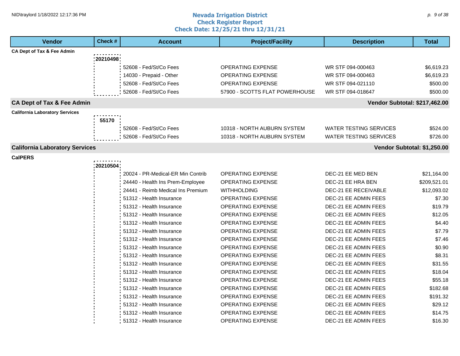#### **Nevada Irrigation District Check Register Report Check Date: 12/25/21 thru 12/31/21** NID\traylord 1/18/2022 12:17:36 PM p. 9 of 38 and the set of the set of the set of the set of the set of the set of the set of the set of the set of the set of the set of the set of the set of the set of the set of the set

| <b>Vendor</b>                         | Check #     | <b>Account</b>                    | <b>Project/Facility</b>        | <b>Description</b>            | <b>Total</b> |
|---------------------------------------|-------------|-----------------------------------|--------------------------------|-------------------------------|--------------|
| CA Dept of Tax & Fee Admin            |             |                                   |                                |                               |              |
|                                       | 20210498    |                                   |                                |                               |              |
|                                       |             | 52608 - Fed/St/Co Fees            | <b>OPERATING EXPENSE</b>       | WR STF 094-000463             | \$6,619.23   |
|                                       |             | 14030 - Prepaid - Other           | <b>OPERATING EXPENSE</b>       | WR STF 094-000463             | \$6,619.23   |
|                                       |             | 52608 - Fed/St/Co Fees            | <b>OPERATING EXPENSE</b>       | WR STF 094-021110             | \$500.00     |
|                                       |             | 52608 - Fed/St/Co Fees            | 57900 - SCOTTS FLAT POWERHOUSE | WR STF 094-018647             | \$500.00     |
| <b>CA Dept of Tax &amp; Fee Admin</b> |             |                                   |                                | Vendor Subtotal: \$217,462.00 |              |
| <b>California Laboratory Services</b> |             |                                   |                                |                               |              |
|                                       | 55170       |                                   |                                |                               |              |
|                                       |             | 52608 - Fed/St/Co Fees            | 10318 - NORTH AUBURN SYSTEM    | WATER TESTING SERVICES        | \$524.00     |
|                                       |             | 52608 - Fed/St/Co Fees            | 10318 - NORTH AUBURN SYSTEM    | <b>WATER TESTING SERVICES</b> | \$726.00     |
| <b>California Laboratory Services</b> |             |                                   |                                | Vendor Subtotal: \$1,250.00   |              |
| <b>CalPERS</b>                        |             |                                   |                                |                               |              |
|                                       | : 20210504: |                                   |                                |                               |              |
|                                       |             | 20024 - PR-Medical-ER Min Contrib | OPERATING EXPENSE              | DEC-21 EE MED BEN             | \$21,164.00  |
|                                       |             | 24440 - Health Ins Prem-Employee  | <b>OPERATING EXPENSE</b>       | DEC-21 EE HRA BEN             | \$209,521.01 |
|                                       |             | 24441 - Reimb Medical Ins Premium | WITHHOLDING                    | DEC-21 EE RECEIVABLE          | \$12,093.02  |
|                                       |             | 51312 - Health Insurance          | <b>OPERATING EXPENSE</b>       | DEC-21 EE ADMIN FEES          | \$7.30       |
|                                       |             | 51312 - Health Insurance          | <b>OPERATING EXPENSE</b>       | DEC-21 EE ADMIN FEES          | \$19.79      |
|                                       |             | 51312 - Health Insurance          | <b>OPERATING EXPENSE</b>       | <b>DEC-21 EE ADMIN FEES</b>   | \$12.05      |
|                                       |             | 51312 - Health Insurance          | <b>OPERATING EXPENSE</b>       | DEC-21 EE ADMIN FEES          | \$4.40       |
|                                       |             | 51312 - Health Insurance          | <b>OPERATING EXPENSE</b>       | DEC-21 EE ADMIN FEES          | \$7.79       |
|                                       |             | 51312 - Health Insurance          | <b>OPERATING EXPENSE</b>       | DEC-21 EE ADMIN FEES          | \$7.46       |
|                                       |             | 51312 - Health Insurance          | <b>OPERATING EXPENSE</b>       | DEC-21 EE ADMIN FEES          | \$0.90       |
|                                       |             | 51312 - Health Insurance          | OPERATING EXPENSE              | DEC-21 EE ADMIN FEES          | \$8.31       |
|                                       |             | 51312 - Health Insurance          | <b>OPERATING EXPENSE</b>       | DEC-21 EE ADMIN FEES          | \$31.55      |
|                                       |             | 51312 - Health Insurance          | <b>OPERATING EXPENSE</b>       | DEC-21 EE ADMIN FEES          | \$18.04      |
|                                       |             | 51312 - Health Insurance          | <b>OPERATING EXPENSE</b>       | <b>DEC-21 EE ADMIN FEES</b>   | \$55.18      |
|                                       |             | 51312 - Health Insurance          | OPERATING EXPENSE              | DEC-21 EE ADMIN FEES          | \$182.68     |
|                                       |             | 51312 - Health Insurance          | <b>OPERATING EXPENSE</b>       | DEC-21 EE ADMIN FEES          | \$191.32     |
|                                       |             | 51312 - Health Insurance          | OPERATING EXPENSE              | DEC-21 EE ADMIN FEES          | \$29.12      |
|                                       |             | 51312 - Health Insurance          | <b>OPERATING EXPENSE</b>       | DEC-21 EE ADMIN FEES          | \$14.75      |
|                                       |             | 51312 - Health Insurance          | <b>OPERATING EXPENSE</b>       | DEC-21 EE ADMIN FEES          | \$16.30      |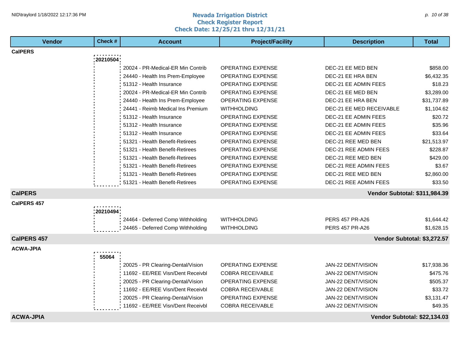#### **Nevada Irrigation District Check Register Report Check Date: 12/25/21 thru 12/31/21** NID\traylord 1/18/2022 12:17:36 PM p. to the set of 38 and the set of the set of the set of the set of the set of  $p$ . to of 38 and the set of the set of the set of the set of the set of the set of the set of the set of t

| <b>Vendor</b>      | Check #     | <b>Account</b>                    | <b>Project/Facility</b>  | <b>Description</b>            | <b>Total</b> |
|--------------------|-------------|-----------------------------------|--------------------------|-------------------------------|--------------|
| <b>CalPERS</b>     |             |                                   |                          |                               |              |
|                    | : 20210504: |                                   |                          |                               |              |
|                    |             | 20024 - PR-Medical-ER Min Contrib | <b>OPERATING EXPENSE</b> | DEC-21 EE MED BEN             | \$858.00     |
|                    |             | 24440 - Health Ins Prem-Employee  | OPERATING EXPENSE        | DEC-21 EE HRA BEN             | \$6,432.35   |
|                    |             | 51312 - Health Insurance          | OPERATING EXPENSE        | DEC-21 EE ADMIN FEES          | \$18.23      |
|                    |             | 20024 - PR-Medical-ER Min Contrib | <b>OPERATING EXPENSE</b> | DEC-21 EE MED BEN             | \$3,289.00   |
|                    |             | 24440 - Health Ins Prem-Employee  | <b>OPERATING EXPENSE</b> | DEC-21 EE HRA BEN             | \$31,737.89  |
|                    |             | 24441 - Reimb Medical Ins Premium | <b>WITHHOLDING</b>       | DEC-21 EE MED RECEIVABLE      | \$1,104.62   |
|                    |             | 51312 - Health Insurance          | <b>OPERATING EXPENSE</b> | DEC-21 EE ADMIN FEES          | \$20.72      |
|                    |             | 51312 - Health Insurance          | <b>OPERATING EXPENSE</b> | DEC-21 EE ADMIN FEES          | \$35.96      |
|                    |             | 51312 - Health Insurance          | <b>OPERATING EXPENSE</b> | DEC-21 EE ADMIN FEES          | \$33.64      |
|                    |             | 51321 - Health Benefit-Retirees   | OPERATING EXPENSE        | DEC-21 REE MED BEN            | \$21,513.97  |
|                    |             | 51321 - Health Benefit-Retirees   | <b>OPERATING EXPENSE</b> | DEC-21 REE ADMIN FEES         | \$228.87     |
|                    |             | 51321 - Health Benefit-Retirees   | OPERATING EXPENSE        | DEC-21 REE MED BEN            | \$429.00     |
|                    |             | 51321 - Health Benefit-Retirees   | <b>OPERATING EXPENSE</b> | DEC-21 REE ADMIN FEES         | \$3.67       |
|                    |             | 51321 - Health Benefit-Retirees   | <b>OPERATING EXPENSE</b> | DEC-21 REE MED BEN            | \$2,860.00   |
|                    |             | 51321 - Health Benefit-Retirees   | <b>OPERATING EXPENSE</b> | DEC-21 REE ADMIN FEES         | \$33.50      |
| <b>CalPERS</b>     |             |                                   |                          | Vendor Subtotal: \$311,984.39 |              |
| <b>CalPERS 457</b> |             |                                   |                          |                               |              |
|                    | : 20210494: |                                   |                          |                               |              |
|                    |             | 24464 - Deferred Comp Withholding | <b>WITHHOLDING</b>       | <b>PERS 457 PR-A26</b>        | \$1,644.42   |
|                    |             | 24465 - Deferred Comp Withholding | <b>WITHHOLDING</b>       | PERS 457 PR-A26               | \$1,628.15   |
| <b>CalPERS 457</b> |             |                                   |                          | Vendor Subtotal: \$3,272.57   |              |
| <b>ACWA-JPIA</b>   |             |                                   |                          |                               |              |
|                    | 55064       |                                   |                          |                               |              |
|                    |             | 20025 - PR Clearing-Dental/Vision | <b>OPERATING EXPENSE</b> | JAN-22 DENT/VISION            | \$17,938.36  |
|                    |             | 11692 - EE/REE Visn/Dent Receivbl | <b>COBRA RECEIVABLE</b>  | JAN-22 DENT/VISION            | \$475.76     |
|                    |             | 20025 - PR Clearing-Dental/Vision | OPERATING EXPENSE        | JAN-22 DENT/VISION            | \$505.37     |
|                    |             | 11692 - EE/REE Visn/Dent Receivbl | <b>COBRA RECEIVABLE</b>  | JAN-22 DENT/VISION            | \$33.72      |
|                    |             | 20025 - PR Clearing-Dental/Vision | OPERATING EXPENSE        | JAN-22 DENT/VISION            | \$3,131.47   |
|                    |             | 11692 - EE/REE Visn/Dent Receivbl | <b>COBRA RECEIVABLE</b>  | JAN-22 DENT/VISION            | \$49.35      |
| <b>ACWA-JPIA</b>   |             |                                   |                          | Vendor Subtotal: \$22,134.03  |              |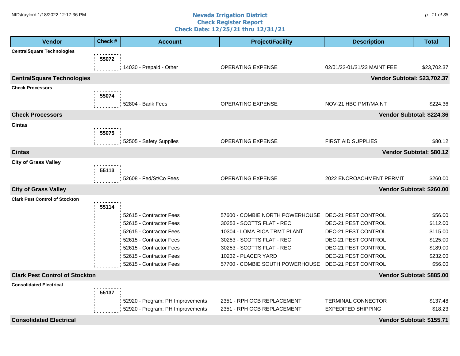#### **Nevada Irrigation District Check Register Report Check Date: 12/25/21 thru 12/31/21** NID\traylord 1/18/2022 12:17:36 PM p. the state of the state of the **Nevada Irrigation District** the state of the state of the state of the state of the state of the state of the state of the state of the state of the sta

| <b>Vendor</b>                         | Check # | <b>Account</b>                   | <b>Project/Facility</b>                             | <b>Description</b>           | <b>Total</b>              |
|---------------------------------------|---------|----------------------------------|-----------------------------------------------------|------------------------------|---------------------------|
| <b>CentralSquare Technologies</b>     |         |                                  |                                                     |                              |                           |
|                                       | 55072   |                                  |                                                     |                              |                           |
|                                       |         | 14030 - Prepaid - Other          | <b>OPERATING EXPENSE</b>                            | 02/01/22-01/31/23 MAINT FEE  | \$23,702.37               |
| <b>CentralSquare Technologies</b>     |         |                                  |                                                     | Vendor Subtotal: \$23,702.37 |                           |
| <b>Check Processors</b>               |         |                                  |                                                     |                              |                           |
|                                       | 55074   |                                  |                                                     |                              |                           |
|                                       |         | 52804 - Bank Fees                | <b>OPERATING EXPENSE</b>                            | NOV-21 HBC PMT/MAINT         | \$224.36                  |
| <b>Check Processors</b>               |         |                                  |                                                     |                              | Vendor Subtotal: \$224.36 |
| <b>Cintas</b>                         |         |                                  |                                                     |                              |                           |
|                                       | 55075   |                                  |                                                     |                              |                           |
|                                       |         | 52505 - Safety Supplies          | <b>OPERATING EXPENSE</b>                            | FIRST AID SUPPLIES           | \$80.12                   |
| <b>Cintas</b>                         |         |                                  |                                                     |                              | Vendor Subtotal: \$80.12  |
| <b>City of Grass Valley</b>           |         |                                  |                                                     |                              |                           |
|                                       | 55113   |                                  |                                                     |                              |                           |
|                                       |         | 52608 - Fed/St/Co Fees           | OPERATING EXPENSE                                   | 2022 ENCROACHMENT PERMIT     | \$260.00                  |
| <b>City of Grass Valley</b>           |         |                                  |                                                     |                              | Vendor Subtotal: \$260.00 |
| <b>Clark Pest Control of Stockton</b> |         |                                  |                                                     |                              |                           |
|                                       | 55114   |                                  |                                                     |                              |                           |
|                                       |         | 52615 - Contractor Fees          | 57600 - COMBIE NORTH POWERHOUSE DEC-21 PEST CONTROL |                              | \$56.00                   |
|                                       |         | 52615 - Contractor Fees          | 30253 - SCOTTS FLAT - REC                           | DEC-21 PEST CONTROL          | \$112.00                  |
|                                       |         | 52615 - Contractor Fees          | 10304 - LOMA RICA TRMT PLANT                        | DEC-21 PEST CONTROL          | \$115.00                  |
|                                       |         | 52615 - Contractor Fees          | 30253 - SCOTTS FLAT - REC                           | DEC-21 PEST CONTROL          | \$125.00                  |
|                                       |         | 52615 - Contractor Fees          | 30253 - SCOTTS FLAT - REC                           | DEC-21 PEST CONTROL          | \$189.00                  |
|                                       |         | 52615 - Contractor Fees          | 10232 - PLACER YARD                                 | DEC-21 PEST CONTROL          | \$232.00                  |
|                                       |         | 52615 - Contractor Fees          | 57700 - COMBIE SOUTH POWERHOUSE                     | DEC-21 PEST CONTROL          | \$56.00                   |
| <b>Clark Pest Control of Stockton</b> |         |                                  |                                                     |                              | Vendor Subtotal: \$885.00 |
| <b>Consolidated Electrical</b>        |         |                                  |                                                     |                              |                           |
|                                       | 55137   |                                  |                                                     |                              |                           |
|                                       |         | 52920 - Program: PH Improvements | 2351 - RPH OCB REPLACEMENT                          | <b>TERMINAL CONNECTOR</b>    | \$137.48                  |
|                                       |         | 52920 - Program: PH Improvements | 2351 - RPH OCB REPLACEMENT                          | <b>EXPEDITED SHIPPING</b>    | \$18.23                   |
| <b>Consolidated Electrical</b>        |         |                                  |                                                     |                              | Vendor Subtotal: \$155.71 |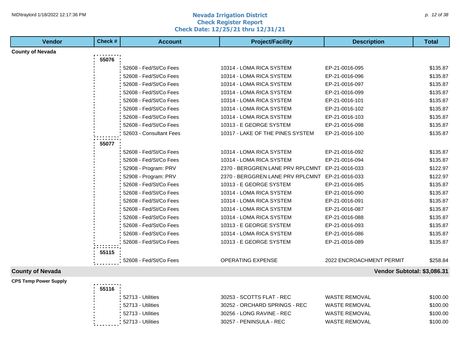#### **Nevada Irrigation District Check Register Report Check Date: 12/25/21 thru 12/31/21** NID\traylord 1/18/2022 12:17:36 PM p. the set of 38 and the set of the set of the set of the set of  $p$ . the set of  $p$  and  $p$  and  $p$  and  $p$  and  $p$  and  $p$  and  $p$  and  $p$  and  $p$  and  $p$  and  $p$  and  $p$  and  $p$  and

| Vendor                       | Check # | <b>Account</b>          | <b>Project/Facility</b>          | <b>Description</b>          | <b>Total</b> |
|------------------------------|---------|-------------------------|----------------------------------|-----------------------------|--------------|
| <b>County of Nevada</b>      |         |                         |                                  |                             |              |
|                              | 55076   |                         |                                  |                             |              |
|                              |         | 52608 - Fed/St/Co Fees  | 10314 - LOMA RICA SYSTEM         | EP-21-0016-095              | \$135.87     |
|                              |         | 52608 - Fed/St/Co Fees  | 10314 - LOMA RICA SYSTEM         | EP-21-0016-096              | \$135.87     |
|                              |         | 52608 - Fed/St/Co Fees  | 10314 - LOMA RICA SYSTEM         | EP-21-0016-097              | \$135.87     |
|                              |         | 52608 - Fed/St/Co Fees  | 10314 - LOMA RICA SYSTEM         | EP-21-0016-099              | \$135.87     |
|                              |         | 52608 - Fed/St/Co Fees  | 10314 - LOMA RICA SYSTEM         | EP-21-0016-101              | \$135.87     |
|                              |         | 52608 - Fed/St/Co Fees  | 10314 - LOMA RICA SYSTEM         | EP-21-0016-102              | \$135.87     |
|                              |         | 52608 - Fed/St/Co Fees  | 10314 - LOMA RICA SYSTEM         | EP-21-0016-103              | \$135.87     |
|                              |         | 52608 - Fed/St/Co Fees  | 10313 - E GEORGE SYSTEM          | EP-21-0016-098              | \$135.87     |
|                              |         | 52603 - Consultant Fees | 10317 - LAKE OF THE PINES SYSTEM | EP-21-0016-100              | \$135.87     |
|                              | 55077   |                         |                                  |                             |              |
|                              |         | 52608 - Fed/St/Co Fees  | 10314 - LOMA RICA SYSTEM         | EP-21-0016-092              | \$135.87     |
|                              |         | 52608 - Fed/St/Co Fees  | 10314 - LOMA RICA SYSTEM         | EP-21-0016-094              | \$135.87     |
|                              |         | 52908 - Program: PRV    | 2370 - BERGGREN LANE PRV RPLCMNT | EP-21-0016-033              | \$122.97     |
|                              |         | 52908 - Program: PRV    | 2370 - BERGGREN LANE PRV RPLCMNT | EP-21-0016-033              | \$122.97     |
|                              |         | 52608 - Fed/St/Co Fees  | 10313 - E GEORGE SYSTEM          | EP-21-0016-085              | \$135.87     |
|                              |         | 52608 - Fed/St/Co Fees  | 10314 - LOMA RICA SYSTEM         | EP-21-0016-090              | \$135.87     |
|                              |         | 52608 - Fed/St/Co Fees  | 10314 - LOMA RICA SYSTEM         | EP-21-0016-091              | \$135.87     |
|                              |         | 52608 - Fed/St/Co Fees  | 10314 - LOMA RICA SYSTEM         | EP-21-0016-087              | \$135.87     |
|                              |         | 52608 - Fed/St/Co Fees  | 10314 - LOMA RICA SYSTEM         | EP-21-0016-088              | \$135.87     |
|                              |         | 52608 - Fed/St/Co Fees  | 10313 - E GEORGE SYSTEM          | EP-21-0016-093              | \$135.87     |
|                              |         | 52608 - Fed/St/Co Fees  | 10314 - LOMA RICA SYSTEM         | EP-21-0016-086              | \$135.87     |
|                              |         | 52608 - Fed/St/Co Fees  | 10313 - E GEORGE SYSTEM          | EP-21-0016-089              | \$135.87     |
|                              | 55115   |                         |                                  |                             |              |
|                              |         | 52608 - Fed/St/Co Fees  | <b>OPERATING EXPENSE</b>         | 2022 ENCROACHMENT PERMIT    | \$258.84     |
| <b>County of Nevada</b>      |         |                         |                                  | Vendor Subtotal: \$3,086.31 |              |
| <b>CPS Temp Power Supply</b> |         |                         |                                  |                             |              |
|                              | 55116   |                         |                                  |                             |              |
|                              |         | 52713 - Utilities       | 30253 - SCOTTS FLAT - REC        | <b>WASTE REMOVAL</b>        | \$100.00     |
|                              |         | 52713 - Utilities       | 30252 - ORCHARD SPRINGS - REC    | <b>WASTE REMOVAL</b>        | \$100.00     |
|                              |         | 52713 - Utilities       | 30256 - LONG RAVINE - REC        | <b>WASTE REMOVAL</b>        | \$100.00     |
|                              |         | 52713 - Utilities       | 30257 - PENINSULA - REC          | WASTE REMOVAL               | \$100.00     |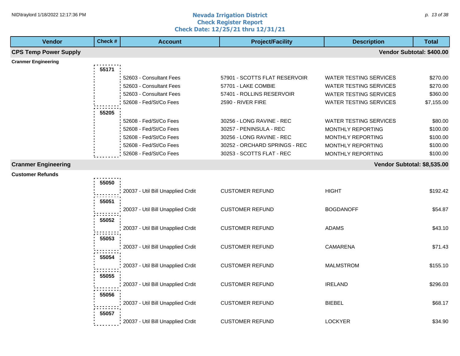#### **Nevada Irrigation District Check Register Report Check Date: 12/25/21 thru 12/31/21** NID\traylord 1/18/2022 12:17:36 PM p. to the contract the contract of the **Nevada Irrigation District** p. the contract of the contract of the contract of the contract of the contract of the contract of the contract of the

| <b>Vendor</b>                | Check # | <b>Account</b>                    | <b>Project/Facility</b>       | <b>Description</b>            | <b>Total</b>              |
|------------------------------|---------|-----------------------------------|-------------------------------|-------------------------------|---------------------------|
| <b>CPS Temp Power Supply</b> |         |                                   |                               |                               | Vendor Subtotal: \$400.00 |
| <b>Cranmer Engineering</b>   |         |                                   |                               |                               |                           |
|                              | 55171   |                                   |                               |                               |                           |
|                              |         | 52603 - Consultant Fees           | 57901 - SCOTTS FLAT RESERVOIR | WATER TESTING SERVICES        | \$270.00                  |
|                              |         | 52603 - Consultant Fees           | 57701 - LAKE COMBIE           | <b>WATER TESTING SERVICES</b> | \$270.00                  |
|                              |         | 52603 - Consultant Fees           | 57401 - ROLLINS RESERVOIR     | <b>WATER TESTING SERVICES</b> | \$360.00                  |
|                              |         | 52608 - Fed/St/Co Fees            | 2590 - RIVER FIRE             | WATER TESTING SERVICES        | \$7,155.00                |
|                              | 55205   |                                   |                               |                               |                           |
|                              |         | 52608 - Fed/St/Co Fees            | 30256 - LONG RAVINE - REC     | <b>WATER TESTING SERVICES</b> | \$80.00                   |
|                              |         | 52608 - Fed/St/Co Fees            | 30257 - PENINSULA - REC       | MONTHLY REPORTING             | \$100.00                  |
|                              |         | 52608 - Fed/St/Co Fees            | 30256 - LONG RAVINE - REC     | <b>MONTHLY REPORTING</b>      | \$100.00                  |
|                              |         | 52608 - Fed/St/Co Fees            | 30252 - ORCHARD SPRINGS - REC | MONTHLY REPORTING             | \$100.00                  |
|                              |         | 52608 - Fed/St/Co Fees            | 30253 - SCOTTS FLAT - REC     | MONTHLY REPORTING             | \$100.00                  |
| <b>Cranmer Engineering</b>   |         |                                   |                               | Vendor Subtotal: \$8,535.00   |                           |
| <b>Customer Refunds</b>      |         |                                   |                               |                               |                           |
|                              | 55050   |                                   |                               |                               |                           |
|                              |         |                                   | <b>CUSTOMER REFUND</b>        | <b>HIGHT</b>                  | \$192.42                  |
|                              |         | 20037 - Util Bill Unapplied Crdit |                               |                               |                           |
|                              | 55051   |                                   |                               |                               |                           |
|                              |         | 20037 - Util Bill Unapplied Crdit | <b>CUSTOMER REFUND</b>        | <b>BOGDANOFF</b>              | \$54.87                   |
|                              | 55052   |                                   |                               |                               |                           |
|                              |         | 20037 - Util Bill Unapplied Crdit | <b>CUSTOMER REFUND</b>        | <b>ADAMS</b>                  | \$43.10                   |
|                              | 55053   |                                   |                               |                               |                           |
|                              |         | 20037 - Util Bill Unapplied Crdit | <b>CUSTOMER REFUND</b>        | CAMARENA                      | \$71.43                   |
|                              |         |                                   |                               |                               |                           |
|                              | 55054   |                                   |                               |                               |                           |
|                              |         | 20037 - Util Bill Unapplied Crdit | <b>CUSTOMER REFUND</b>        | <b>MALMSTROM</b>              | \$155.10                  |
|                              | 55055   |                                   |                               |                               |                           |
|                              |         | 20037 - Util Bill Unapplied Crdit | <b>CUSTOMER REFUND</b>        | <b>IRELAND</b>                | \$296.03                  |
|                              | 55056   |                                   |                               |                               |                           |
|                              |         | 20037 - Util Bill Unapplied Crdit | <b>CUSTOMER REFUND</b>        | <b>BIEBEL</b>                 | \$68.17                   |
|                              |         |                                   |                               |                               |                           |
|                              | 55057   |                                   |                               |                               |                           |
|                              |         | 20037 - Util Bill Unapplied Crdit | <b>CUSTOMER REFUND</b>        | <b>LOCKYER</b>                | \$34.90                   |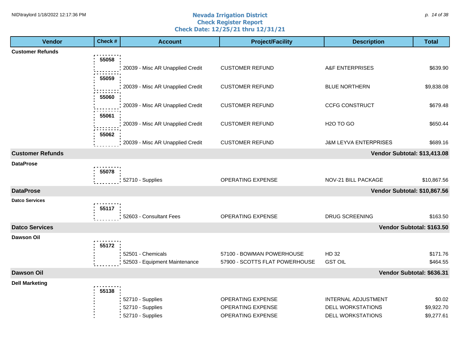#### **Nevada Irrigation District Check Register Report Check Date: 12/25/21 thru 12/31/21** NID\traylord 1/18/2022 12:17:36 PM p. the state of the state of the **Nevada Irrigation District** the state of the state of the state of the state of the state of the state of the state of the state of the state of the sta

| <b>Vendor</b>           | Check # | <b>Account</b>                                     | <b>Project/Facility</b>                                     | <b>Description</b>               | <b>Total</b>              |
|-------------------------|---------|----------------------------------------------------|-------------------------------------------------------------|----------------------------------|---------------------------|
| <b>Customer Refunds</b> |         |                                                    |                                                             |                                  |                           |
|                         | 55058   |                                                    |                                                             |                                  |                           |
|                         |         | 20039 - Misc AR Unapplied Credit                   | <b>CUSTOMER REFUND</b>                                      | A&F ENTERPRISES                  | \$639.90                  |
|                         | 55059   |                                                    |                                                             |                                  |                           |
|                         |         | 20039 - Misc AR Unapplied Credit                   | <b>CUSTOMER REFUND</b>                                      | <b>BLUE NORTHERN</b>             | \$9,838.08                |
|                         | 55060   |                                                    |                                                             |                                  |                           |
|                         |         | 20039 - Misc AR Unapplied Credit                   | <b>CUSTOMER REFUND</b>                                      | <b>CCFG CONSTRUCT</b>            | \$679.48                  |
|                         | 55061   |                                                    | <b>CUSTOMER REFUND</b>                                      | H <sub>2</sub> O TO GO           | \$650.44                  |
|                         |         | 20039 - Misc AR Unapplied Credit                   |                                                             |                                  |                           |
|                         | 55062   | 20039 - Misc AR Unapplied Credit                   | <b>CUSTOMER REFUND</b>                                      | <b>J&amp;M LEYVA ENTERPRISES</b> | \$689.16                  |
| <b>Customer Refunds</b> |         |                                                    |                                                             | Vendor Subtotal: \$13,413.08     |                           |
| <b>DataProse</b>        |         |                                                    |                                                             |                                  |                           |
|                         | 55078   |                                                    |                                                             |                                  |                           |
|                         |         | 52710 - Supplies                                   | OPERATING EXPENSE                                           | NOV-21 BILL PACKAGE              | \$10,867.56               |
| <b>DataProse</b>        |         |                                                    |                                                             | Vendor Subtotal: \$10,867.56     |                           |
| <b>Datco Services</b>   |         |                                                    |                                                             |                                  |                           |
|                         | 55117   |                                                    |                                                             |                                  |                           |
|                         |         | 52603 - Consultant Fees                            | <b>OPERATING EXPENSE</b>                                    | <b>DRUG SCREENING</b>            | \$163.50                  |
| <b>Datco Services</b>   |         |                                                    |                                                             |                                  | Vendor Subtotal: \$163.50 |
| <b>Dawson Oil</b>       |         |                                                    |                                                             |                                  |                           |
|                         | 55172   |                                                    |                                                             |                                  |                           |
|                         |         | 52501 - Chemicals<br>52503 - Equipment Maintenance | 57100 - BOWMAN POWERHOUSE<br>57900 - SCOTTS FLAT POWERHOUSE | HD 32<br><b>GST OIL</b>          | \$171.76<br>\$464.55      |
|                         |         |                                                    |                                                             |                                  |                           |
| <b>Dawson Oil</b>       |         |                                                    |                                                             |                                  | Vendor Subtotal: \$636.31 |
| <b>Dell Marketing</b>   | 55138   |                                                    |                                                             |                                  |                           |
|                         |         | 52710 - Supplies                                   | OPERATING EXPENSE                                           | <b>INTERNAL ADJUSTMENT</b>       | \$0.02                    |
|                         |         | 52710 - Supplies                                   | OPERATING EXPENSE                                           | <b>DELL WORKSTATIONS</b>         | \$9,922.70                |
|                         |         | 52710 - Supplies                                   | <b>OPERATING EXPENSE</b>                                    | <b>DELL WORKSTATIONS</b>         | \$9,277.61                |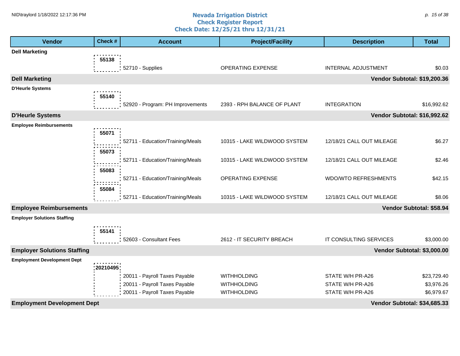#### **Nevada Irrigation District Check Register Report Check Date: 12/25/21 thru 12/31/21** NID\traylord 1/18/2022 12:17:36 PM p. the state of the state of the **Nevada Irrigation District** the state of the state of the state of the state of the state of the state of the state of the state of the state of the sta

| <b>Vendor</b>                      | Check #   | <b>Account</b>                   | <b>Project/Facility</b>      | <b>Description</b>           | <b>Total</b>             |
|------------------------------------|-----------|----------------------------------|------------------------------|------------------------------|--------------------------|
| <b>Dell Marketing</b>              |           |                                  |                              |                              |                          |
|                                    | 55138     |                                  |                              |                              |                          |
|                                    |           | 52710 - Supplies                 | OPERATING EXPENSE            | <b>INTERNAL ADJUSTMENT</b>   | \$0.03                   |
| <b>Dell Marketing</b>              |           |                                  |                              | Vendor Subtotal: \$19,200.36 |                          |
| <b>D'Heurle Systems</b>            |           |                                  |                              |                              |                          |
|                                    | 55140     | 52920 - Program: PH Improvements | 2393 - RPH BALANCE OF PLANT  | <b>INTEGRATION</b>           | \$16,992.62              |
|                                    |           |                                  |                              |                              |                          |
| <b>D'Heurle Systems</b>            |           |                                  |                              | Vendor Subtotal: \$16,992.62 |                          |
| <b>Employee Reimbursements</b>     | 55071     |                                  |                              |                              |                          |
|                                    |           | 52711 - Education/Training/Meals | 10315 - LAKE WILDWOOD SYSTEM | 12/18/21 CALL OUT MILEAGE    | \$6.27                   |
|                                    | 55073     |                                  |                              |                              |                          |
|                                    |           | 52711 - Education/Training/Meals | 10315 - LAKE WILDWOOD SYSTEM | 12/18/21 CALL OUT MILEAGE    | \$2.46                   |
|                                    | 55083     |                                  |                              |                              |                          |
|                                    |           | 52711 - Education/Training/Meals | OPERATING EXPENSE            | <b>WDO/WTO REFRESHMENTS</b>  | \$42.15                  |
|                                    | 55084     |                                  |                              |                              |                          |
|                                    |           | 52711 - Education/Training/Meals | 10315 - LAKE WILDWOOD SYSTEM | 12/18/21 CALL OUT MILEAGE    | \$8.06                   |
| <b>Employee Reimbursements</b>     |           |                                  |                              |                              | Vendor Subtotal: \$58.94 |
| <b>Employer Solutions Staffing</b> |           |                                  |                              |                              |                          |
|                                    | 55141     |                                  |                              |                              |                          |
|                                    |           | 52603 - Consultant Fees          | 2612 - IT SECURITY BREACH    | IT CONSULTING SERVICES       | \$3,000.00               |
| <b>Employer Solutions Staffing</b> |           |                                  |                              | Vendor Subtotal: \$3,000.00  |                          |
| <b>Employment Development Dept</b> |           |                                  |                              |                              |                          |
|                                    | :20210495 |                                  |                              |                              |                          |
|                                    |           | 20011 - Payroll Taxes Payable    | <b>WITHHOLDING</b>           | STATE W/H PR-A26             | \$23,729.40              |
|                                    |           | 20011 - Payroll Taxes Payable    | <b>WITHHOLDING</b>           | STATE W/H PR-A26             | \$3,976.26               |
|                                    |           | 20011 - Payroll Taxes Payable    | <b>WITHHOLDING</b>           | STATE W/H PR-A26             | \$6,979.67               |
| <b>Employment Development Dept</b> |           |                                  |                              | Vendor Subtotal: \$34,685.33 |                          |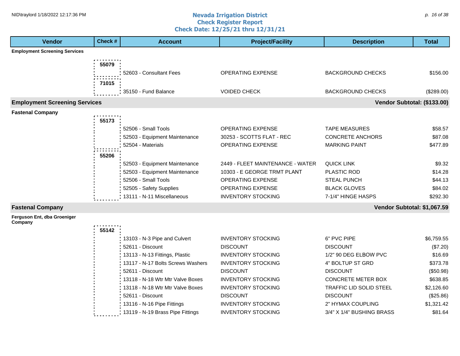#### **Nevada Irrigation District Check Register Report Check Date: 12/25/21 thru 12/31/21** NID\traylord 1/18/2022 12:17:36 PM p. the orientation to the contract the contract of the contract of  $p$ . 16 of 38

| <b>Vendor</b>                          | Check # | <b>Account</b>                    | <b>Project/Facility</b>          | <b>Description</b>          | <b>Total</b> |
|----------------------------------------|---------|-----------------------------------|----------------------------------|-----------------------------|--------------|
| <b>Employment Screening Services</b>   |         |                                   |                                  |                             |              |
|                                        | 55079   |                                   |                                  |                             |              |
|                                        |         | 52603 - Consultant Fees           | OPERATING EXPENSE                | <b>BACKGROUND CHECKS</b>    | \$156.00     |
|                                        |         |                                   |                                  |                             |              |
|                                        | 71015   |                                   |                                  |                             |              |
|                                        |         | 35150 - Fund Balance              | <b>VOIDED CHECK</b>              | <b>BACKGROUND CHECKS</b>    | $(\$289.00)$ |
| <b>Employment Screening Services</b>   |         |                                   |                                  | Vendor Subtotal: (\$133.00) |              |
| <b>Fastenal Company</b>                |         |                                   |                                  |                             |              |
|                                        | 55173   |                                   |                                  |                             |              |
|                                        |         | 52506 - Small Tools               | <b>OPERATING EXPENSE</b>         | <b>TAPE MEASURES</b>        | \$58.57      |
|                                        |         | 52503 - Equipment Maintenance     | 30253 - SCOTTS FLAT - REC        | <b>CONCRETE ANCHORS</b>     | \$87.08      |
|                                        |         | 52504 - Materials                 | OPERATING EXPENSE                | <b>MARKING PAINT</b>        | \$477.89     |
|                                        | 55206   |                                   |                                  |                             |              |
|                                        |         | 52503 - Equipment Maintenance     | 2449 - FLEET MAINTENANCE - WATER | <b>QUICK LINK</b>           | \$9.32       |
|                                        |         | 52503 - Equipment Maintenance     | 10303 - E GEORGE TRMT PLANT      | PLASTIC ROD                 | \$14.28      |
|                                        |         | 52506 - Small Tools               | <b>OPERATING EXPENSE</b>         | <b>STEAL PUNCH</b>          | \$44.13      |
|                                        |         | 52505 - Safety Supplies           | OPERATING EXPENSE                | <b>BLACK GLOVES</b>         | \$84.02      |
|                                        |         | 13111 - N-11 Miscellaneous        | <b>INVENTORY STOCKING</b>        | 7-1/4" HINGE HASPS          | \$292.30     |
| <b>Fastenal Company</b>                |         |                                   |                                  | Vendor Subtotal: \$1,067.59 |              |
| Ferguson Ent, dba Groeniger<br>Company |         |                                   |                                  |                             |              |
|                                        | 55142   |                                   |                                  |                             |              |
|                                        |         | 13103 - N-3 Pipe and Culvert      | <b>INVENTORY STOCKING</b>        | 6" PVC PIPE                 | \$6,759.55   |
|                                        |         | 52611 - Discount                  | <b>DISCOUNT</b>                  | <b>DISCOUNT</b>             | (\$7.20)     |
|                                        |         | 13113 - N-13 Fittings, Plastic    | <b>INVENTORY STOCKING</b>        | 1/2" 90 DEG ELBOW PVC       | \$16.69      |
|                                        |         | 13117 - N-17 Bolts Screws Washers | <b>INVENTORY STOCKING</b>        | 4" BOLTUP ST GRD            | \$373.78     |
|                                        |         | 52611 - Discount                  | <b>DISCOUNT</b>                  | <b>DISCOUNT</b>             | (\$50.98)    |
|                                        |         | 13118 - N-18 Wtr Mtr Valve Boxes  | <b>INVENTORY STOCKING</b>        | <b>CONCRETE METER BOX</b>   | \$638.85     |
|                                        |         | 13118 - N-18 Wtr Mtr Valve Boxes  | <b>INVENTORY STOCKING</b>        | TRAFFIC LID SOLID STEEL     | \$2,126.60   |
|                                        |         | 52611 - Discount                  | <b>DISCOUNT</b>                  | <b>DISCOUNT</b>             | (\$25.86)    |
|                                        |         | 13116 - N-16 Pipe Fittings        | <b>INVENTORY STOCKING</b>        | 2" HYMAX COUPLING           | \$1,321.42   |
|                                        |         | 13119 - N-19 Brass Pipe Fittings  | <b>INVENTORY STOCKING</b>        | 3/4" X 1/4" BUSHING BRASS   | \$81.64      |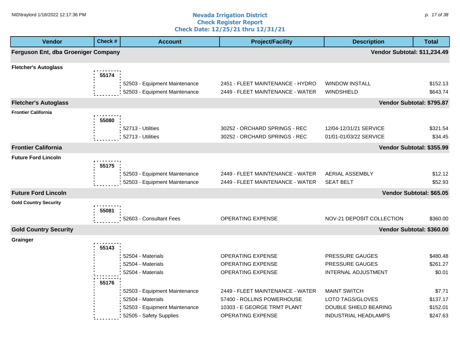#### **Nevada Irrigation District Check Register Report Check Date: 12/25/21 thru 12/31/21** NID\traylord 1/18/2022 12:17:36 PM p. the state of the state of the **Nevada Irrigation District** the state of the state of the state of the state of the state of the state of the state of the state of the state of the sta

| <b>Vendor</b>                       | Check #        | <b>Account</b>                                                                                                 | <b>Project/Facility</b>                                                                                                   | <b>Description</b>                                                                              | <b>Total</b>                               |
|-------------------------------------|----------------|----------------------------------------------------------------------------------------------------------------|---------------------------------------------------------------------------------------------------------------------------|-------------------------------------------------------------------------------------------------|--------------------------------------------|
| Ferguson Ent, dba Groeniger Company |                |                                                                                                                |                                                                                                                           | Vendor Subtotal: \$11,234.49                                                                    |                                            |
| <b>Fletcher's Autoglass</b>         | 55174          |                                                                                                                |                                                                                                                           |                                                                                                 |                                            |
|                                     |                | 52503 - Equipment Maintenance<br>52503 - Equipment Maintenance                                                 | 2451 - FLEET MAINTENANCE - HYDRO<br>2449 - FLEET MAINTENANCE - WATER                                                      | <b>WINDOW INSTALL</b><br>WINDSHIELD                                                             | \$152.13<br>\$643.74                       |
| <b>Fletcher's Autoglass</b>         |                |                                                                                                                |                                                                                                                           |                                                                                                 | Vendor Subtotal: \$795.87                  |
| <b>Frontier California</b>          | 55080          |                                                                                                                |                                                                                                                           |                                                                                                 |                                            |
|                                     |                | 52713 - Utilities<br>52713 - Utilities                                                                         | 30252 - ORCHARD SPRINGS - REC<br>30252 - ORCHARD SPRINGS - REC                                                            | 12/04-12/31/21 SERVICE<br>01/01-01/03/22 SERVICE                                                | \$321.54<br>\$34.45                        |
| <b>Frontier California</b>          |                |                                                                                                                |                                                                                                                           |                                                                                                 | Vendor Subtotal: \$355.99                  |
| <b>Future Ford Lincoln</b>          | 55175          |                                                                                                                |                                                                                                                           |                                                                                                 |                                            |
|                                     |                | 52503 - Equipment Maintenance<br>52503 - Equipment Maintenance                                                 | 2449 - FLEET MAINTENANCE - WATER<br>2449 - FLEET MAINTENANCE - WATER                                                      | AERIAL ASSEMBLY<br><b>SEAT BELT</b>                                                             | \$12.12<br>\$52.93                         |
| <b>Future Ford Lincoln</b>          |                |                                                                                                                |                                                                                                                           |                                                                                                 | Vendor Subtotal: \$65.05                   |
| <b>Gold Country Security</b>        |                |                                                                                                                |                                                                                                                           |                                                                                                 |                                            |
|                                     | 55081          | 52603 - Consultant Fees                                                                                        | OPERATING EXPENSE                                                                                                         | NOV-21 DEPOSIT COLLECTION                                                                       | \$360.00                                   |
| <b>Gold Country Security</b>        |                |                                                                                                                |                                                                                                                           |                                                                                                 | Vendor Subtotal: \$360.00                  |
| Grainger                            |                |                                                                                                                |                                                                                                                           |                                                                                                 |                                            |
|                                     | 55143<br>55176 | 52504 - Materials<br>52504 - Materials<br>52504 - Materials                                                    | OPERATING EXPENSE<br><b>OPERATING EXPENSE</b><br>OPERATING EXPENSE                                                        | PRESSURE GAUGES<br>PRESSURE GAUGES<br><b>INTERNAL ADJUSTMENT</b>                                | \$480.48<br>\$261.27<br>\$0.01             |
|                                     |                | 52503 - Equipment Maintenance<br>52504 - Materials<br>52503 - Equipment Maintenance<br>52505 - Safety Supplies | 2449 - FLEET MAINTENANCE - WATER<br>57400 - ROLLINS POWERHOUSE<br>10303 - E GEORGE TRMT PLANT<br><b>OPERATING EXPENSE</b> | <b>MAINT SWITCH</b><br>LOTO TAGS/GLOVES<br>DOUBLE SHIELD BEARING<br><b>INDUSTRIAL HEADLAMPS</b> | \$7.71<br>\$137.17<br>\$152.01<br>\$247.63 |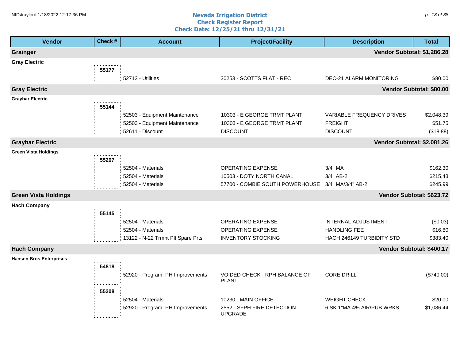#### **Nevada Irrigation District Check Register Report Check Date: 12/25/21 thru 12/31/21** NID\traylord 1/18/2022 12:17:36 PM p. the orientation to the contract the contract of the contract of  $p$ . 18 of 38  $p$ . 18 of 38  $p$ . 18 of 38  $p$ . 18 of 38  $p$ . 18 of 38  $p$ . 18 of 38  $p$ . 18 of 38  $p$ . 18  $p$ . 18  $p$ .

| <b>Vendor</b>                  | Check# | <b>Account</b>                                    | <b>Project/Facility</b>                           | <b>Description</b>                | <b>Total</b>              |
|--------------------------------|--------|---------------------------------------------------|---------------------------------------------------|-----------------------------------|---------------------------|
| <b>Grainger</b>                |        |                                                   |                                                   | Vendor Subtotal: \$1,286.28       |                           |
| <b>Gray Electric</b>           | 55177  |                                                   |                                                   |                                   |                           |
|                                |        | 52713 - Utilities                                 | 30253 - SCOTTS FLAT - REC                         | DEC-21 ALARM MONITORING           | \$80.00                   |
| <b>Gray Electric</b>           |        |                                                   |                                                   |                                   | Vendor Subtotal: \$80.00  |
| <b>Graybar Electric</b>        | 55144  | 52503 - Equipment Maintenance                     | 10303 - E GEORGE TRMT PLANT                       | <b>VARIABLE FREQUENCY DRIVES</b>  | \$2,048.39                |
|                                |        | 52503 - Equipment Maintenance<br>52611 - Discount | 10303 - E GEORGE TRMT PLANT<br><b>DISCOUNT</b>    | <b>FREIGHT</b><br><b>DISCOUNT</b> | \$51.75<br>(\$18.88)      |
| <b>Graybar Electric</b>        |        |                                                   |                                                   | Vendor Subtotal: \$2,081.26       |                           |
| <b>Green Vista Holdings</b>    | 55207  |                                                   |                                                   |                                   |                           |
|                                |        | 52504 - Materials                                 | OPERATING EXPENSE                                 | 3/4" MA                           | \$162.30                  |
|                                |        | 52504 - Materials                                 | 10503 - DOTY NORTH CANAL                          | 3/4" AB-2                         | \$215.43                  |
|                                |        | 52504 - Materials                                 | 57700 - COMBIE SOUTH POWERHOUSE 3/4" MA/3/4" AB-2 |                                   | \$245.99                  |
| <b>Green Vista Holdings</b>    |        |                                                   |                                                   |                                   | Vendor Subtotal: \$623.72 |
| <b>Hach Company</b>            | 55145  |                                                   |                                                   |                                   |                           |
|                                |        | 52504 - Materials                                 | OPERATING EXPENSE                                 | INTERNAL ADJUSTMENT               | (\$0.03)                  |
|                                |        | 52504 - Materials                                 | OPERATING EXPENSE                                 | <b>HANDLING FEE</b>               | \$16.80                   |
|                                |        | 13122 - N-22 Trmnt Plt Spare Prts                 | <b>INVENTORY STOCKING</b>                         | HACH 246149 TURBIDITY STD         | \$383.40                  |
| <b>Hach Company</b>            |        |                                                   |                                                   |                                   | Vendor Subtotal: \$400.17 |
| <b>Hansen Bros Enterprises</b> | 54818  |                                                   |                                                   |                                   |                           |
|                                |        | 52920 - Program: PH Improvements                  | VOIDED CHECK - RPH BALANCE OF<br><b>PLANT</b>     | <b>CORE DRILL</b>                 | (\$740.00)                |
|                                | 55208  | 52504 - Materials                                 | 10230 - MAIN OFFICE                               | <b>WEIGHT CHECK</b>               | \$20.00                   |
|                                |        | 52920 - Program: PH Improvements                  | 2552 - SFPH FIRE DETECTION<br>UPGRADE             | 6 SK 1"MA 4% AIR/PUB WRKS         | \$1,086.44                |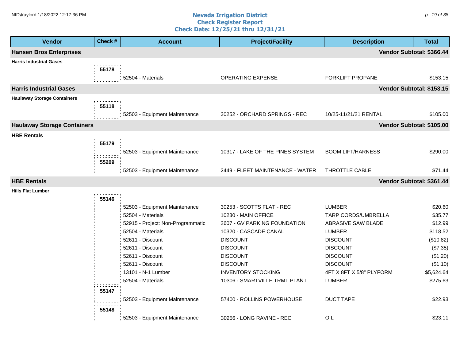#### **Nevada Irrigation District Check Register Report Check Date: 12/25/21 thru 12/31/21** NID\traylord 1/18/2022 12:17:36 PM p. the set of 38 and the set of the set of the set of the set of the set of  $p$ . 19 of 38 and the set of the set of the set of the set of the set of the set of the set of the set of the

| <b>Vendor</b>                      | Check # | <b>Account</b>                    | <b>Project/Facility</b>          | <b>Description</b>       | <b>Total</b>              |
|------------------------------------|---------|-----------------------------------|----------------------------------|--------------------------|---------------------------|
| <b>Hansen Bros Enterprises</b>     |         |                                   |                                  |                          | Vendor Subtotal: \$366.44 |
| <b>Harris Industrial Gases</b>     |         |                                   |                                  |                          |                           |
|                                    | 55178   |                                   |                                  |                          |                           |
|                                    |         | 52504 - Materials                 | OPERATING EXPENSE                | FORKLIFT PROPANE         | \$153.15                  |
| <b>Harris Industrial Gases</b>     |         |                                   |                                  |                          | Vendor Subtotal: \$153.15 |
| <b>Haulaway Storage Containers</b> |         |                                   |                                  |                          |                           |
|                                    | 55118   |                                   |                                  |                          |                           |
|                                    |         | 52503 - Equipment Maintenance     | 30252 - ORCHARD SPRINGS - REC    | 10/25-11/21/21 RENTAL    | \$105.00                  |
| <b>Haulaway Storage Containers</b> |         |                                   |                                  |                          | Vendor Subtotal: \$105.00 |
| <b>HBE Rentals</b>                 |         |                                   |                                  |                          |                           |
|                                    | 55179   |                                   |                                  |                          |                           |
|                                    |         | 52503 - Equipment Maintenance     | 10317 - LAKE OF THE PINES SYSTEM | <b>BOOM LIFT/HARNESS</b> | \$290.00                  |
|                                    | 55209   |                                   |                                  |                          |                           |
|                                    |         | 52503 - Equipment Maintenance     | 2449 - FLEET MAINTENANCE - WATER | THROTTLE CABLE           | \$71.44                   |
| <b>HBE Rentals</b>                 |         |                                   |                                  |                          | Vendor Subtotal: \$361.44 |
| <b>Hills Flat Lumber</b>           |         |                                   |                                  |                          |                           |
|                                    | 55146   |                                   |                                  |                          |                           |
|                                    |         | 52503 - Equipment Maintenance     | 30253 - SCOTTS FLAT - REC        | <b>LUMBER</b>            | \$20.60                   |
|                                    |         | 52504 - Materials                 | 10230 - MAIN OFFICE              | TARP CORDS/UMBRELLA      | \$35.77                   |
|                                    |         | 52915 - Project: Non-Programmatic | 2607 - GV PARKING FOUNDATION     | ABRASIVE SAW BLADE       | \$12.99                   |
|                                    |         | 52504 - Materials                 | 10320 - CASCADE CANAL            | <b>LUMBER</b>            | \$118.52                  |
|                                    |         | 52611 - Discount                  | <b>DISCOUNT</b>                  | <b>DISCOUNT</b>          | (\$10.82)                 |
|                                    |         | 52611 - Discount                  | <b>DISCOUNT</b>                  | <b>DISCOUNT</b>          | (\$7.35)                  |
|                                    |         | 52611 - Discount                  | <b>DISCOUNT</b>                  | <b>DISCOUNT</b>          | (\$1.20)                  |
|                                    |         | 52611 - Discount                  | <b>DISCOUNT</b>                  | <b>DISCOUNT</b>          | (\$1.10)                  |
|                                    |         | 13101 - N-1 Lumber                | <b>INVENTORY STOCKING</b>        | 4FT X 8FT X 5/8" PLYFORM | \$5,624.64                |
|                                    |         | 52504 - Materials                 | 10306 - SMARTVILLE TRMT PLANT    | <b>LUMBER</b>            | \$275.63                  |
|                                    | 55147   |                                   |                                  |                          |                           |
|                                    |         | 52503 - Equipment Maintenance     | 57400 - ROLLINS POWERHOUSE       | <b>DUCT TAPE</b>         | \$22.93                   |
|                                    | 55148   |                                   |                                  |                          |                           |
|                                    |         | 52503 - Equipment Maintenance     | 30256 - LONG RAVINE - REC        | OIL                      | \$23.11                   |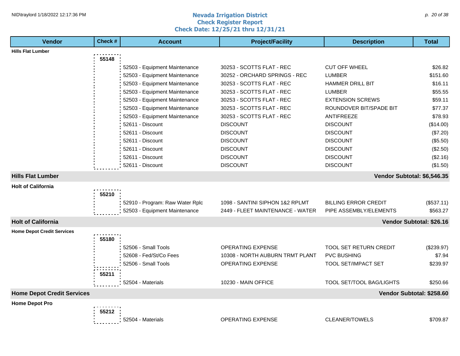#### **Nevada Irrigation District Check Register Report Check Date: 12/25/21 thru 12/31/21** NID\traylord 1/18/2022 12:17:36 PM p. 20 of 38 and  $\alpha$  and  $\alpha$  are not all the  $\alpha$  and  $\alpha$  are not all the  $\alpha$  and  $\alpha$  are not all the  $\alpha$  and  $\alpha$  are not all the  $\alpha$  are not all the  $\alpha$  are not all the  $\alpha$  are

| <b>Vendor</b>                     | Check # | <b>Account</b>                  | <b>Project/Facility</b>          | <b>Description</b>              | <b>Total</b>             |
|-----------------------------------|---------|---------------------------------|----------------------------------|---------------------------------|--------------------------|
| <b>Hills Flat Lumber</b>          |         |                                 |                                  |                                 |                          |
|                                   | 55148   |                                 |                                  |                                 |                          |
|                                   |         | 52503 - Equipment Maintenance   | 30253 - SCOTTS FLAT - REC        | <b>CUT OFF WHEEL</b>            | \$26.82                  |
|                                   |         | 52503 - Equipment Maintenance   | 30252 - ORCHARD SPRINGS - REC    | <b>LUMBER</b>                   | \$151.60                 |
|                                   |         | 52503 - Equipment Maintenance   | 30253 - SCOTTS FLAT - REC        | <b>HAMMER DRILL BIT</b>         | \$16.11                  |
|                                   |         | 52503 - Equipment Maintenance   | 30253 - SCOTTS FLAT - REC        | <b>LUMBER</b>                   | \$55.55                  |
|                                   |         | 52503 - Equipment Maintenance   | 30253 - SCOTTS FLAT - REC        | <b>EXTENSION SCREWS</b>         | \$59.11                  |
|                                   |         | 52503 - Equipment Maintenance   | 30253 - SCOTTS FLAT - REC        | ROUNDOVER BIT/SPADE BIT         | \$77.37                  |
|                                   |         | 52503 - Equipment Maintenance   | 30253 - SCOTTS FLAT - REC        | <b>ANTIFREEZE</b>               | \$78.93                  |
|                                   |         | 52611 - Discount                | <b>DISCOUNT</b>                  | <b>DISCOUNT</b>                 | (\$14.00)                |
|                                   |         | 52611 - Discount                | <b>DISCOUNT</b>                  | <b>DISCOUNT</b>                 | (\$7.20)                 |
|                                   |         | 52611 - Discount                | <b>DISCOUNT</b>                  | <b>DISCOUNT</b>                 | (\$5.50)                 |
|                                   |         | 52611 - Discount                | <b>DISCOUNT</b>                  | <b>DISCOUNT</b>                 | (\$2.50)                 |
|                                   |         | 52611 - Discount                | <b>DISCOUNT</b>                  | <b>DISCOUNT</b>                 | (\$2.16)                 |
|                                   |         | 52611 - Discount                | <b>DISCOUNT</b>                  | <b>DISCOUNT</b>                 | (\$1.50)                 |
| <b>Hills Flat Lumber</b>          |         |                                 |                                  | Vendor Subtotal: \$6,546.35     |                          |
| <b>Holt of California</b>         |         |                                 |                                  |                                 |                          |
|                                   | 55210   |                                 |                                  |                                 |                          |
|                                   |         | 52910 - Program: Raw Water Rplc | 1098 - SANTINI SIPHON 1&2 RPLMT  | <b>BILLING ERROR CREDIT</b>     | (\$537.11)               |
|                                   |         | 52503 - Equipment Maintenance   | 2449 - FLEET MAINTENANCE - WATER | PIPE ASSEMBLY/ELEMENTS          | \$563.27                 |
| <b>Holt of California</b>         |         |                                 |                                  |                                 | Vendor Subtotal: \$26.16 |
| <b>Home Depot Credit Services</b> |         |                                 |                                  |                                 |                          |
|                                   | 55180   |                                 |                                  |                                 |                          |
|                                   |         | 52506 - Small Tools             | <b>OPERATING EXPENSE</b>         | <b>TOOL SET RETURN CREDIT</b>   | (\$239.97)               |
|                                   |         | 52608 - Fed/St/Co Fees          | 10308 - NORTH AUBURN TRMT PLANT  | <b>PVC BUSHING</b>              | \$7.94                   |
|                                   |         | 52506 - Small Tools             | <b>OPERATING EXPENSE</b>         | <b>TOOL SET/IMPACT SET</b>      | \$239.97                 |
|                                   | 55211   |                                 |                                  |                                 |                          |
|                                   |         | 52504 - Materials               | 10230 - MAIN OFFICE              | <b>TOOL SET/TOOL BAG/LIGHTS</b> | \$250.66                 |
| <b>Home Depot Credit Services</b> |         |                                 |                                  | Vendor Subtotal: \$258.60       |                          |
| <b>Home Depot Pro</b>             |         |                                 |                                  |                                 |                          |
|                                   | 55212   |                                 |                                  |                                 |                          |
|                                   |         | 52504 - Materials               | OPERATING EXPENSE                | CLEANER/TOWELS                  | \$709.87                 |
|                                   |         |                                 |                                  |                                 |                          |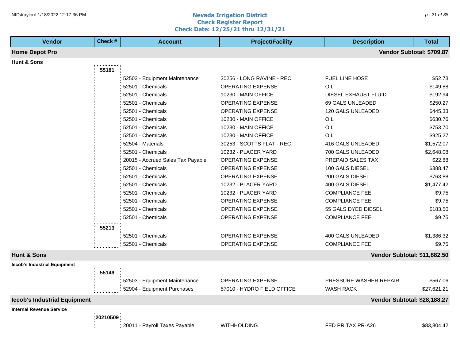#### **Nevada Irrigation District Check Register Report Check Date: 12/25/21 thru 12/31/21** NID\traylord 1/18/2022 12:17:36 PM p. 21 of 38 p. 21 of 38 p. 21 of 38 p. 21 of 38 p. 21 of 38 p. 21 of 38 p. 21 of 38 p. 21 of 38 p. 21 of 38 p. 21 of 38 p. 21 of 38 p. 21 of 38 p. 21 of 38 p. 21 of 38 p. 21 of 38 p. 21

| <b>Vendor</b>                   | Check #    | <b>Account</b>                    | <b>Project/Facility</b>    | <b>Description</b>           | <b>Total</b>              |
|---------------------------------|------------|-----------------------------------|----------------------------|------------------------------|---------------------------|
| <b>Home Depot Pro</b>           |            |                                   |                            |                              | Vendor Subtotal: \$709.87 |
| Hunt & Sons                     |            |                                   |                            |                              |                           |
|                                 | 55181      |                                   |                            |                              |                           |
|                                 |            | 52503 - Equipment Maintenance     | 30256 - LONG RAVINE - REC  | <b>FUEL LINE HOSE</b>        | \$52.73                   |
|                                 |            | 52501 - Chemicals                 | <b>OPERATING EXPENSE</b>   | OIL                          | \$149.88                  |
|                                 |            | 52501 - Chemicals                 | 10230 - MAIN OFFICE        | DIESEL EXHAUST FLUID         | \$192.94                  |
|                                 |            | 52501 - Chemicals                 | OPERATING EXPENSE          | 69 GALS UNLEADED             | \$250.27                  |
|                                 |            | 52501 - Chemicals                 | <b>OPERATING EXPENSE</b>   | 120 GALS UNLEADED            | \$445.33                  |
|                                 |            | 52501 - Chemicals                 | 10230 - MAIN OFFICE        | OIL                          | \$630.76                  |
|                                 |            | 52501 - Chemicals                 | 10230 - MAIN OFFICE        | OIL                          | \$753.70                  |
|                                 |            | 52501 - Chemicals                 | 10230 - MAIN OFFICE        | OIL                          | \$925.27                  |
|                                 |            | 52504 - Materials                 | 30253 - SCOTTS FLAT - REC  | 416 GALS UNLEADED            | \$1,572.07                |
|                                 |            | 52501 - Chemicals                 | 10232 - PLACER YARD        | 700 GALS UNLEADED            | \$2,648.08                |
|                                 |            | 20015 - Accrued Sales Tax Payable | <b>OPERATING EXPENSE</b>   | PREPAID SALES TAX            | \$22.88                   |
|                                 |            | 52501 - Chemicals                 | <b>OPERATING EXPENSE</b>   | 100 GALS DIESEL              | \$388.47                  |
|                                 |            | 52501 - Chemicals                 | OPERATING EXPENSE          | 200 GALS DIESEL              | \$763.88                  |
|                                 |            | 52501 - Chemicals                 | 10232 - PLACER YARD        | 400 GALS DIESEL              | \$1,477.42                |
|                                 |            | 52501 - Chemicals                 | 10232 - PLACER YARD        | <b>COMPLIANCE FEE</b>        | \$9.75                    |
|                                 |            | 52501 - Chemicals                 | <b>OPERATING EXPENSE</b>   | <b>COMPLIANCE FEE</b>        | \$9.75                    |
|                                 |            | 52501 - Chemicals                 | <b>OPERATING EXPENSE</b>   | 55 GALS DYED DIESEL          | \$183.50                  |
|                                 |            | 52501 - Chemicals                 | <b>OPERATING EXPENSE</b>   | <b>COMPLIANCE FEE</b>        | \$9.75                    |
|                                 | 55213      |                                   |                            |                              |                           |
|                                 |            | 52501 - Chemicals                 | <b>OPERATING EXPENSE</b>   | 400 GALS UNLEADED            | \$1,386.32                |
|                                 |            | 52501 - Chemicals                 | <b>OPERATING EXPENSE</b>   | <b>COMPLIANCE FEE</b>        | \$9.75                    |
|                                 |            |                                   |                            |                              |                           |
| <b>Hunt &amp; Sons</b>          |            |                                   |                            | Vendor Subtotal: \$11,882.50 |                           |
| lecob's Industrial Equipment    |            |                                   |                            |                              |                           |
|                                 | 55149      |                                   |                            |                              |                           |
|                                 |            | 52503 - Equipment Maintenance     | <b>OPERATING EXPENSE</b>   | PRESSURE WASHER REPAIR       | \$567.06                  |
|                                 |            | 52904 - Equipment Purchases       | 57010 - HYDRO FIELD OFFICE | <b>WASH RACK</b>             | \$27,621.21               |
| lecob's Industrial Equipment    |            |                                   |                            | Vendor Subtotal: \$28,188.27 |                           |
| <b>Internal Revenue Service</b> |            |                                   |                            |                              |                           |
|                                 | : 20210509 |                                   |                            |                              |                           |
|                                 |            | 20011 - Payroll Taxes Payable     | <b>WITHHOLDING</b>         | FED PR TAX PR-A26            | \$83,804.42               |
|                                 |            |                                   |                            |                              |                           |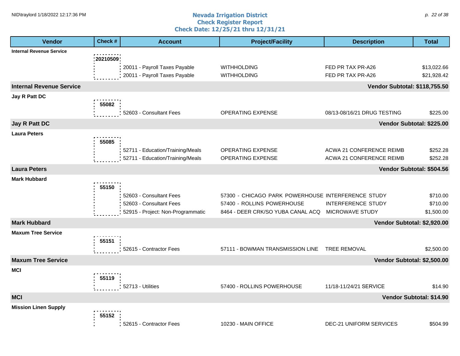#### **Nevada Irrigation District Check Register Report Check Date: 12/25/21 thru 12/31/21** NID\traylord 1/18/2022 12:17:36 PM p. 22 of 38 and  $\alpha$  and  $\alpha$  are  $\alpha$  and  $\alpha$  are  $\alpha$  and  $\alpha$  are  $\alpha$  are  $\alpha$  are  $\alpha$  and  $\alpha$  are  $\alpha$  are  $\alpha$  are  $\alpha$  are  $\alpha$  are  $\alpha$  are  $\alpha$  are  $\alpha$  are  $\alpha$  are  $\alpha$  are

| <b>Vendor</b>                   | Check #      | <b>Account</b>                                                                          | <b>Project/Facility</b>                                                                                               | <b>Description</b>                                                                   | <b>Total</b>                       |
|---------------------------------|--------------|-----------------------------------------------------------------------------------------|-----------------------------------------------------------------------------------------------------------------------|--------------------------------------------------------------------------------------|------------------------------------|
| <b>Internal Revenue Service</b> |              |                                                                                         |                                                                                                                       |                                                                                      |                                    |
|                                 | : 20210509 ; | 20011 - Payroll Taxes Payable<br>20011 - Payroll Taxes Payable                          | <b>WITHHOLDING</b><br><b>WITHHOLDING</b>                                                                              | FED PR TAX PR-A26<br>FED PR TAX PR-A26                                               | \$13,022.66<br>\$21,928.42         |
| <b>Internal Revenue Service</b> |              |                                                                                         |                                                                                                                       | <b>Vendor Subtotal: \$118,755.50</b>                                                 |                                    |
| Jay R Patt DC                   |              |                                                                                         |                                                                                                                       |                                                                                      |                                    |
|                                 | 55082        | 52603 - Consultant Fees                                                                 | <b>OPERATING EXPENSE</b>                                                                                              | 08/13-08/16/21 DRUG TESTING                                                          | \$225.00                           |
| <b>Jay R Patt DC</b>            |              |                                                                                         |                                                                                                                       | Vendor Subtotal: \$225.00                                                            |                                    |
| <b>Laura Peters</b>             | 55085        | 52711 - Education/Training/Meals                                                        | <b>OPERATING EXPENSE</b>                                                                                              | ACWA 21 CONFERENCE REIMB                                                             | \$252.28                           |
|                                 |              | 52711 - Education/Training/Meals                                                        | OPERATING EXPENSE                                                                                                     | <b>ACWA 21 CONFERENCE REIMB</b>                                                      | \$252.28                           |
| <b>Laura Peters</b>             |              |                                                                                         |                                                                                                                       | Vendor Subtotal: \$504.56                                                            |                                    |
| <b>Mark Hubbard</b>             |              |                                                                                         |                                                                                                                       |                                                                                      |                                    |
|                                 | 55150        | 52603 - Consultant Fees<br>52603 - Consultant Fees<br>52915 - Project: Non-Programmatic | 57300 - CHICAGO PARK POWERHOUSE INTERFERENCE STUDY<br>57400 - ROLLINS POWERHOUSE<br>8464 - DEER CRK/SO YUBA CANAL ACQ | <b>INTERFERENCE STUDY</b><br>MICROWAVE STUDY                                         | \$710.00<br>\$710.00<br>\$1,500.00 |
| <b>Mark Hubbard</b>             |              |                                                                                         |                                                                                                                       | Vendor Subtotal: \$2,920.00                                                          |                                    |
| <b>Maxum Tree Service</b>       | 55151        |                                                                                         |                                                                                                                       |                                                                                      |                                    |
|                                 |              | 52615 - Contractor Fees                                                                 | 57111 - BOWMAN TRANSMISSION LINE                                                                                      | <b>TREE REMOVAL</b>                                                                  | \$2,500.00                         |
| <b>Maxum Tree Service</b>       |              |                                                                                         |                                                                                                                       | Vendor Subtotal: \$2,500.00                                                          |                                    |
| <b>MCI</b>                      | 55119        |                                                                                         |                                                                                                                       |                                                                                      |                                    |
|                                 |              | 52713 - Utilities                                                                       |                                                                                                                       |                                                                                      | \$14.90                            |
| <b>MCI</b>                      |              |                                                                                         |                                                                                                                       |                                                                                      |                                    |
|                                 | 55152        |                                                                                         |                                                                                                                       |                                                                                      | \$504.99                           |
| <b>Mission Linen Supply</b>     |              | : 52615 - Contractor Fees                                                               | 57400 - ROLLINS POWERHOUSE<br>10230 - MAIN OFFICE                                                                     | 11/18-11/24/21 SERVICE<br>Vendor Subtotal: \$14.90<br><b>DEC-21 UNIFORM SERVICES</b> |                                    |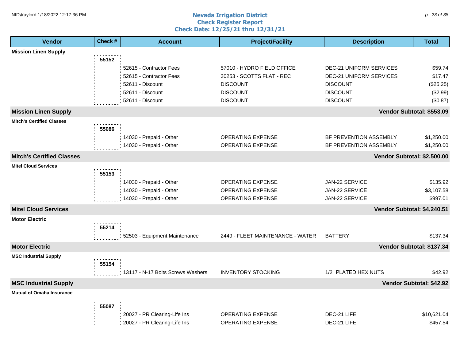#### **Nevada Irrigation District Check Register Report Check Date: 12/25/21 thru 12/31/21** NID\traylord 1/18/2022 12:17:36 PM p. 23 of 38 p. 23 of 38 p. 23 of 38 p. 23 of 38 p. 23 of 38 p. 23 of 38 p. 23 of 38 p. 23 of 38 p. 23 of 38 p. 23 of 38 p. 23 of 38 p. 23 of 38 p. 23 of 38 p. 23 of 38 p. 23 of 38 p. 23

| <b>Vendor</b>                    | Check # | <b>Account</b>                    | <b>Project/Facility</b>          | <b>Description</b>             | <b>Total</b>              |
|----------------------------------|---------|-----------------------------------|----------------------------------|--------------------------------|---------------------------|
| <b>Mission Linen Supply</b>      |         |                                   |                                  |                                |                           |
|                                  | 55152   |                                   |                                  |                                |                           |
|                                  |         | 52615 - Contractor Fees           | 57010 - HYDRO FIELD OFFICE       | DEC-21 UNIFORM SERVICES        | \$59.74                   |
|                                  |         | 52615 - Contractor Fees           | 30253 - SCOTTS FLAT - REC        | <b>DEC-21 UNIFORM SERVICES</b> | \$17.47                   |
|                                  |         | 52611 - Discount                  | <b>DISCOUNT</b>                  | <b>DISCOUNT</b>                | (\$25.25)                 |
|                                  |         | 52611 - Discount                  | <b>DISCOUNT</b>                  | <b>DISCOUNT</b>                | (\$2.99)                  |
|                                  |         | 52611 - Discount                  | <b>DISCOUNT</b>                  | <b>DISCOUNT</b>                | (\$0.87)                  |
| <b>Mission Linen Supply</b>      |         |                                   |                                  |                                | Vendor Subtotal: \$553.09 |
| <b>Mitch's Certified Classes</b> |         |                                   |                                  |                                |                           |
|                                  | 55086   |                                   |                                  |                                |                           |
|                                  |         | 14030 - Prepaid - Other           | <b>OPERATING EXPENSE</b>         | BF PREVENTION ASSEMBLY         | \$1,250.00                |
|                                  |         | 14030 - Prepaid - Other           | <b>OPERATING EXPENSE</b>         | BF PREVENTION ASSEMBLY         | \$1,250.00                |
| <b>Mitch's Certified Classes</b> |         |                                   |                                  | Vendor Subtotal: \$2,500.00    |                           |
| <b>Mitel Cloud Services</b>      |         |                                   |                                  |                                |                           |
|                                  | 55153   |                                   |                                  |                                |                           |
|                                  |         | 14030 - Prepaid - Other           | <b>OPERATING EXPENSE</b>         | JAN-22 SERVICE                 | \$135.92                  |
|                                  |         | 14030 - Prepaid - Other           | OPERATING EXPENSE                | JAN-22 SERVICE                 | \$3,107.58                |
|                                  |         | 14030 - Prepaid - Other           | OPERATING EXPENSE                | JAN-22 SERVICE                 | \$997.01                  |
| <b>Mitel Cloud Services</b>      |         |                                   |                                  | Vendor Subtotal: \$4,240.51    |                           |
| <b>Motor Electric</b>            |         |                                   |                                  |                                |                           |
|                                  | 55214   |                                   |                                  |                                |                           |
|                                  |         | 52503 - Equipment Maintenance     | 2449 - FLEET MAINTENANCE - WATER | <b>BATTERY</b>                 | \$137.34                  |
| <b>Motor Electric</b>            |         |                                   |                                  |                                | Vendor Subtotal: \$137.34 |
| <b>MSC Industrial Supply</b>     |         |                                   |                                  |                                |                           |
|                                  | 55154   |                                   |                                  |                                |                           |
|                                  |         | 13117 - N-17 Bolts Screws Washers | <b>INVENTORY STOCKING</b>        | 1/2" PLATED HEX NUTS           | \$42.92                   |
| <b>MSC Industrial Supply</b>     |         |                                   |                                  |                                | Vendor Subtotal: \$42.92  |
| <b>Mutual of Omaha Insurance</b> |         |                                   |                                  |                                |                           |
|                                  | 55087   |                                   |                                  |                                |                           |
|                                  |         | 20027 - PR Clearing-Life Ins      | <b>OPERATING EXPENSE</b>         | DEC-21 LIFE                    | \$10,621.04               |
|                                  |         | 20027 - PR Clearing-Life Ins      | <b>OPERATING EXPENSE</b>         | DEC-21 LIFE                    | \$457.54                  |
|                                  |         |                                   |                                  |                                |                           |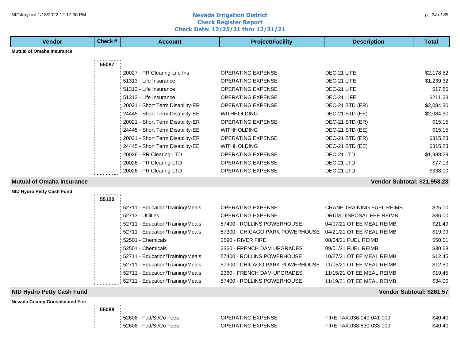#### **Nevada Irrigation District Check Register Report Check Date: 12/25/21 thru 12/31/21** NID\traylord 1/18/2022 12:17:36 PM p. 24 of 38 p. 24 of 38 p. 24 of 38 p. 24 of 38 p. 24 of 38 p. 24 of 38 p. 24 of 38 p. 24 of 38 p. 24 of 38 p. 24 of 38 p. 24 of 38 p. 24 of 38 p. 24 of 38 p. 24 of 38 p. 24 of 38 p. 24

**Vendor Check # Account Project/Facility Description Total**

| <b>Mutual of Omaha Insurance</b>       |       |                                  |                                 |                                  |                           |
|----------------------------------------|-------|----------------------------------|---------------------------------|----------------------------------|---------------------------|
|                                        | 55087 |                                  |                                 |                                  |                           |
|                                        |       | 20027 - PR Clearing-Life Ins     | <b>OPERATING EXPENSE</b>        | DEC-21 LIFE                      | \$2,178.52                |
|                                        |       | 51313 - Life Insurance           | <b>OPERATING EXPENSE</b>        | DEC-21 LIFE                      | \$1,239.32                |
|                                        |       | 51313 - Life Insurance           | <b>OPERATING EXPENSE</b>        | DEC-21 LIFE                      | \$17.85                   |
|                                        |       | 51313 - Life Insurance           | <b>OPERATING EXPENSE</b>        | DEC-21 LIFE                      | \$211.23                  |
|                                        |       | 20021 - Short Term Disability-ER | <b>OPERATING EXPENSE</b>        | DEC-21 STD (ER)                  | \$2,084.30                |
|                                        |       | 24445 - Short Term Disability-EE | <b>WITHHOLDING</b>              | DEC-21 STD (EE)                  | \$2,084.30                |
|                                        |       | 20021 - Short Term Disability-ER | <b>OPERATING EXPENSE</b>        | DEC-21 STD (ER)                  | \$15.15                   |
|                                        |       | 24445 - Short Term Disability-EE | <b>WITHHOLDING</b>              | DEC-21 STD (EE)                  | \$15.15                   |
|                                        |       | 20021 - Short Term Disability-ER | <b>OPERATING EXPENSE</b>        | DEC-21 STD (ER)                  | \$315.23                  |
|                                        |       | 24445 - Short Term Disability-EE | <b>WITHHOLDING</b>              | DEC-21 STD (EE)                  | \$315.23                  |
|                                        |       | 20026 - PR Clearing-LTD          | <b>OPERATING EXPENSE</b>        | DEC-21 LTD                       | \$1,988.29                |
|                                        |       | 20026 - PR Clearing-LTD          | <b>OPERATING EXPENSE</b>        | DEC-21 LTD                       | \$77.13                   |
|                                        |       | 20026 - PR Clearing-LTD          | <b>OPERATING EXPENSE</b>        | DEC-21 LTD                       | \$338.00                  |
| <b>Mutual of Omaha Insurance</b>       |       |                                  |                                 | Vendor Subtotal: \$21,958.28     |                           |
| <b>NID Hydro Petty Cash Fund</b>       |       |                                  |                                 |                                  |                           |
|                                        | 55120 |                                  |                                 |                                  |                           |
|                                        |       | 52711 - Education/Training/Meals | OPERATING EXPENSE               | <b>CRANE TRAINING FUEL REIMB</b> | \$25.00                   |
|                                        |       | 52713 - Utilities                | <b>OPERATING EXPENSE</b>        | DRUM DISPOSAL FEE REIMB          | \$36.00                   |
|                                        |       | 52711 - Education/Training/Meals | 57400 - ROLLINS POWERHOUSE      | 04/07/21 OT EE MEAL REIMB        | \$21.49                   |
|                                        |       | 52711 - Education/Training/Meals | 57300 - CHICAGO PARK POWERHOUSE | 04/21/21 OT EE MEAL REIMB        | \$19.99                   |
|                                        |       | 52501 - Chemicals                | <b>2590 - RIVER FIRE</b>        | 08/04/21 FUEL REIMB              | \$50.01                   |
|                                        |       | 52501 - Chemicals                | 2360 - FRENCH DAM UPGRADES      | 09/01/21 FUEL REIMB              | \$30.68                   |
|                                        |       | 52711 - Education/Training/Meals | 57400 - ROLLINS POWERHOUSE      | 10/27/21 OT EE MEAL REIMB        | \$12.45                   |
|                                        |       | 52711 - Education/Training/Meals | 57300 - CHICAGO PARK POWERHOUSE | 11/05/21 OT EE MEAL REIMB        | \$12.50                   |
|                                        |       | 52711 - Education/Training/Meals | 2360 - FRENCH DAM UPGRADES      | 11/15/21 OT EE MEAL REIMB        | \$19.45                   |
|                                        |       | 52711 - Education/Training/Meals | 57400 - ROLLINS POWERHOUSE      | 11/19/21 OT EE MEAL REIMB        | \$34.00                   |
| <b>NID Hydro Petty Cash Fund</b>       |       |                                  |                                 |                                  | Vendor Subtotal: \$261.57 |
| <b>Nevada County Consolidated Fire</b> |       |                                  |                                 |                                  |                           |
|                                        | 55088 |                                  |                                 |                                  |                           |
|                                        |       | 52608 - Fed/St/Co Fees           | <b>OPERATING EXPENSE</b>        | FIRE TAX:036-040-041-000         | \$40.40                   |
|                                        |       | 52608 - Fed/St/Co Fees           | <b>OPERATING EXPENSE</b>        | FIRE TAX:038-530-033-000         | \$40.40                   |
|                                        |       |                                  |                                 |                                  |                           |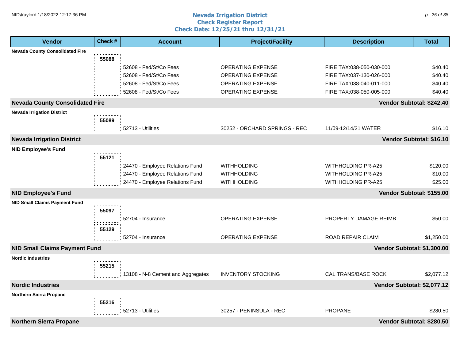#### **Nevada Irrigation District Check Register Report Check Date: 12/25/21 thru 12/31/21** NID\traylord 1/18/2022 12:17:36 PM p. 25 of 38 p. 25 of 38 p. 25 of 38 p. 25 of 38 p. 25 of 38 p. 25 of 38 p. 25 of 38 p. 25 of 38 p. 25 of 38 p. 25 of 38 p. 25 of 38 p. 25 of 38 p. 25 of 38 p. 25 of 38 p. 25 of 38 p. 25

| <b>Vendor</b>                          | Check # | <b>Account</b>                    | <b>Project/Facility</b>       | <b>Description</b>          | <b>Total</b>              |
|----------------------------------------|---------|-----------------------------------|-------------------------------|-----------------------------|---------------------------|
| <b>Nevada County Consolidated Fire</b> |         |                                   |                               |                             |                           |
|                                        | 55088   |                                   |                               |                             |                           |
|                                        |         | 52608 - Fed/St/Co Fees            | <b>OPERATING EXPENSE</b>      | FIRE TAX:038-050-030-000    | \$40.40                   |
|                                        |         | 52608 - Fed/St/Co Fees            | <b>OPERATING EXPENSE</b>      | FIRE TAX:037-130-026-000    | \$40.40                   |
|                                        |         | 52608 - Fed/St/Co Fees            | <b>OPERATING EXPENSE</b>      | FIRE TAX:038-040-011-000    | \$40.40                   |
|                                        |         | 52608 - Fed/St/Co Fees            | <b>OPERATING EXPENSE</b>      | FIRE TAX:038-050-005-000    | \$40.40                   |
| <b>Nevada County Consolidated Fire</b> |         |                                   |                               |                             | Vendor Subtotal: \$242.40 |
| <b>Nevada Irrigation District</b>      |         |                                   |                               |                             |                           |
|                                        | 55089   |                                   |                               |                             |                           |
|                                        |         | 52713 - Utilities                 | 30252 - ORCHARD SPRINGS - REC | 11/09-12/14/21 WATER        | \$16.10                   |
| <b>Nevada Irrigation District</b>      |         |                                   |                               |                             | Vendor Subtotal: \$16.10  |
| <b>NID Employee's Fund</b>             |         |                                   |                               |                             |                           |
|                                        | 55121   |                                   |                               |                             |                           |
|                                        |         | 24470 - Employee Relations Fund   | <b>WITHHOLDING</b>            | <b>WITHHOLDING PR-A25</b>   | \$120.00                  |
|                                        |         | 24470 - Employee Relations Fund   | <b>WITHHOLDING</b>            | <b>WITHHOLDING PR-A25</b>   | \$10.00                   |
|                                        |         | 24470 - Employee Relations Fund   | <b>WITHHOLDING</b>            | <b>WITHHOLDING PR-A25</b>   | \$25.00                   |
| <b>NID Employee's Fund</b>             |         |                                   |                               |                             | Vendor Subtotal: \$155.00 |
| <b>NID Small Claims Payment Fund</b>   |         |                                   |                               |                             |                           |
|                                        | 55097   |                                   |                               |                             |                           |
|                                        |         | 52704 - Insurance                 | <b>OPERATING EXPENSE</b>      | PROPERTY DAMAGE REIMB       | \$50.00                   |
|                                        | 55129   |                                   |                               |                             |                           |
|                                        |         | 52704 - Insurance                 | <b>OPERATING EXPENSE</b>      | ROAD REPAIR CLAIM           | \$1,250.00                |
| <b>NID Small Claims Payment Fund</b>   |         |                                   |                               | Vendor Subtotal: \$1,300.00 |                           |
| <b>Nordic Industries</b>               |         |                                   |                               |                             |                           |
|                                        | 55215   |                                   |                               |                             |                           |
|                                        |         | 13108 - N-8 Cement and Aggregates | <b>INVENTORY STOCKING</b>     | CAL TRANS/BASE ROCK         | \$2,077.12                |
| <b>Nordic Industries</b>               |         |                                   |                               | Vendor Subtotal: \$2,077.12 |                           |
| Northern Sierra Propane                |         |                                   |                               |                             |                           |
|                                        | 55216   |                                   |                               |                             |                           |
|                                        |         | 52713 - Utilities                 | 30257 - PENINSULA - REC       | <b>PROPANE</b>              | \$280.50                  |
| <b>Northern Sierra Propane</b>         |         |                                   |                               |                             | Vendor Subtotal: \$280.50 |
|                                        |         |                                   |                               |                             |                           |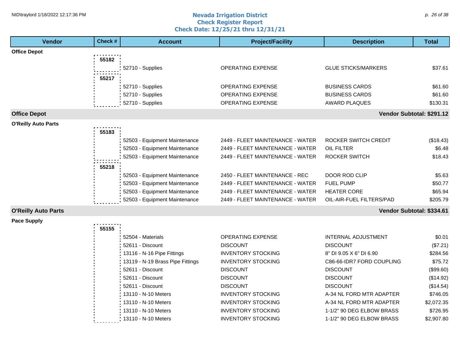#### **Nevada Irrigation District Check Register Report Check Date: 12/25/21 thru 12/31/21** NID\traylord 1/18/2022 12:17:36 PM p. 26 of 38 p. 26 of 38 p. 26 of 38 p. 26 of 38 p. 26 of 38 p. 26 of 38 p. 26 of 38 p. 26 p. 26 p. 26 p. 26 p. 26 p. 26 p. 26 p. 26 p. 26 p. 26 p. 26 p. 26 p. 27 p. 28 p. 28 p. 28 p. 28

| <b>Vendor</b>              | Check# | <b>Account</b>                   | <b>Project/Facility</b>          | <b>Description</b>         | <b>Total</b> |
|----------------------------|--------|----------------------------------|----------------------------------|----------------------------|--------------|
| <b>Office Depot</b>        |        |                                  |                                  |                            |              |
|                            | 55182  |                                  |                                  |                            |              |
|                            |        | 52710 - Supplies                 | <b>OPERATING EXPENSE</b>         | <b>GLUE STICKS/MARKERS</b> | \$37.61      |
|                            | 55217  |                                  |                                  |                            |              |
|                            |        | 52710 - Supplies                 | OPERATING EXPENSE                | <b>BUSINESS CARDS</b>      | \$61.60      |
|                            |        | 52710 - Supplies                 | <b>OPERATING EXPENSE</b>         | <b>BUSINESS CARDS</b>      | \$61.60      |
|                            |        | 52710 - Supplies                 | <b>OPERATING EXPENSE</b>         | <b>AWARD PLAQUES</b>       | \$130.31     |
| <b>Office Depot</b>        |        |                                  |                                  | Vendor Subtotal: \$291.12  |              |
| <b>O'Reilly Auto Parts</b> |        |                                  |                                  |                            |              |
|                            | 55183  |                                  |                                  |                            |              |
|                            |        | 52503 - Equipment Maintenance    | 2449 - FLEET MAINTENANCE - WATER | ROCKER SWITCH CREDIT       | (\$18.43)    |
|                            |        | 52503 - Equipment Maintenance    | 2449 - FLEET MAINTENANCE - WATER | <b>OIL FILTER</b>          | \$6.48       |
|                            |        | 52503 - Equipment Maintenance    | 2449 - FLEET MAINTENANCE - WATER | <b>ROCKER SWITCH</b>       | \$18.43      |
|                            | 55218  |                                  |                                  |                            |              |
|                            |        | 52503 - Equipment Maintenance    | 2450 - FLEET MAINTENANCE - REC   | DOOR ROD CLIP              | \$5.63       |
|                            |        | 52503 - Equipment Maintenance    | 2449 - FLEET MAINTENANCE - WATER | <b>FUEL PUMP</b>           | \$50.77      |
|                            |        | 52503 - Equipment Maintenance    | 2449 - FLEET MAINTENANCE - WATER | <b>HEATER CORE</b>         | \$65.94      |
|                            |        | 52503 - Equipment Maintenance    | 2449 - FLEET MAINTENANCE - WATER | OIL-AIR-FUEL FILTERS/PAD   | \$205.79     |
| <b>O'Reilly Auto Parts</b> |        |                                  |                                  | Vendor Subtotal: \$334.61  |              |
| <b>Pace Supply</b>         |        |                                  |                                  |                            |              |
|                            | 55155  |                                  |                                  |                            |              |
|                            |        | 52504 - Materials                | <b>OPERATING EXPENSE</b>         | <b>INTERNAL ADJUSTMENT</b> | \$0.01       |
|                            |        | 52611 - Discount                 | <b>DISCOUNT</b>                  | <b>DISCOUNT</b>            | (\$7.21)     |
|                            |        | 13116 - N-16 Pipe Fittings       | <b>INVENTORY STOCKING</b>        | 8" DI 9.05 X 6" DI 6.90    | \$284.56     |
|                            |        | 13119 - N-19 Brass Pipe Fittings | <b>INVENTORY STOCKING</b>        | C86-66-IDR7 FORD COUPLING  | \$75.72      |
|                            |        | 52611 - Discount                 | <b>DISCOUNT</b>                  | <b>DISCOUNT</b>            | (\$99.60)    |
|                            |        | 52611 - Discount                 | <b>DISCOUNT</b>                  | <b>DISCOUNT</b>            | (\$14.92)    |
|                            |        | 52611 - Discount                 | <b>DISCOUNT</b>                  | <b>DISCOUNT</b>            | (\$14.54)    |
|                            |        | 13110 - N-10 Meters              | <b>INVENTORY STOCKING</b>        | A-34 NL FORD MTR ADAPTER   | \$746.05     |
|                            |        | 13110 - N-10 Meters              | <b>INVENTORY STOCKING</b>        | A-34 NL FORD MTR ADAPTER   | \$2,072.35   |
|                            |        | 13110 - N-10 Meters              | <b>INVENTORY STOCKING</b>        | 1-1/2" 90 DEG ELBOW BRASS  | \$726.95     |
|                            |        | 13110 - N-10 Meters              | <b>INVENTORY STOCKING</b>        | 1-1/2" 90 DEG ELBOW BRASS  | \$2,907.80   |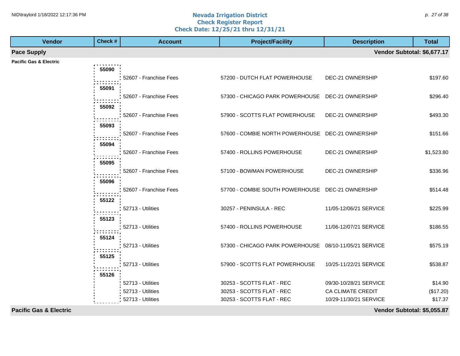#### **Nevada Irrigation District Check Register Report Check Date: 12/25/21 thru 12/31/21** NID\traylord 1/18/2022 12:17:36 PM p. 27 of 38 and  $\alpha$  and  $\alpha$  are  $\alpha$  and  $\alpha$  are  $\alpha$  are  $\alpha$  are  $\alpha$  are  $\alpha$  are  $\alpha$  are  $\alpha$  are  $\alpha$  are  $\alpha$  are  $\alpha$  are  $\alpha$  are  $\alpha$  are  $\alpha$  are  $\alpha$  are  $\alpha$  are  $\alpha$  are

| <b>Vendor</b>                     | Check # | <b>Account</b>         | <b>Project/Facility</b>                                | <b>Description</b>          | <b>Total</b> |
|-----------------------------------|---------|------------------------|--------------------------------------------------------|-----------------------------|--------------|
| <b>Pace Supply</b>                |         |                        |                                                        | Vendor Subtotal: \$6,677.17 |              |
| Pacific Gas & Electric            |         |                        |                                                        |                             |              |
|                                   | 55090   |                        |                                                        |                             |              |
|                                   |         | 52607 - Franchise Fees | 57200 - DUTCH FLAT POWERHOUSE                          | DEC-21 OWNERSHIP            | \$197.60     |
|                                   | 55091   |                        |                                                        |                             |              |
|                                   |         | 52607 - Franchise Fees | 57300 - CHICAGO PARK POWERHOUSE DEC-21 OWNERSHIP       |                             | \$296.40     |
|                                   | 55092   |                        |                                                        |                             |              |
|                                   |         | 52607 - Franchise Fees | 57900 - SCOTTS FLAT POWERHOUSE                         | DEC-21 OWNERSHIP            | \$493.30     |
|                                   | 55093   |                        |                                                        |                             |              |
|                                   |         | 52607 - Franchise Fees | 57600 - COMBIE NORTH POWERHOUSE DEC-21 OWNERSHIP       |                             | \$151.66     |
|                                   | 55094   |                        |                                                        |                             |              |
|                                   |         | 52607 - Franchise Fees | 57400 - ROLLINS POWERHOUSE                             | DEC-21 OWNERSHIP            | \$1,523.80   |
|                                   | 55095   |                        |                                                        |                             |              |
|                                   |         | 52607 - Franchise Fees | 57100 - BOWMAN POWERHOUSE                              | DEC-21 OWNERSHIP            | \$336.96     |
|                                   | 55096   |                        |                                                        |                             |              |
|                                   |         | 52607 - Franchise Fees | 57700 - COMBIE SOUTH POWERHOUSE DEC-21 OWNERSHIP       |                             | \$514.48     |
|                                   | 55122   |                        |                                                        |                             |              |
|                                   |         | 52713 - Utilities      | 30257 - PENINSULA - REC                                | 11/05-12/06/21 SERVICE      | \$225.99     |
|                                   | 55123   |                        |                                                        |                             |              |
|                                   |         | 52713 - Utilities      | 57400 - ROLLINS POWERHOUSE                             | 11/06-12/07/21 SERVICE      | \$186.55     |
|                                   | 55124   |                        |                                                        |                             |              |
|                                   |         | 52713 - Utilities      | 57300 - CHICAGO PARK POWERHOUSE 08/10-11/05/21 SERVICE |                             | \$575.19     |
|                                   | 55125   |                        |                                                        |                             |              |
|                                   |         | 52713 - Utilities      | 57900 - SCOTTS FLAT POWERHOUSE                         | 10/25-11/22/21 SERVICE      | \$538.87     |
|                                   | 55126   |                        |                                                        |                             |              |
|                                   |         | 52713 - Utilities      | 30253 - SCOTTS FLAT - REC                              | 09/30-10/28/21 SERVICE      | \$14.90      |
|                                   |         | 52713 - Utilities      | 30253 - SCOTTS FLAT - REC                              | CA CLIMATE CREDIT           | (\$17.20)    |
|                                   |         | 52713 - Utilities      | 30253 - SCOTTS FLAT - REC                              | 10/29-11/30/21 SERVICE      | \$17.37      |
| <b>Pacific Gas &amp; Electric</b> |         |                        |                                                        | Vendor Subtotal: \$5,055.87 |              |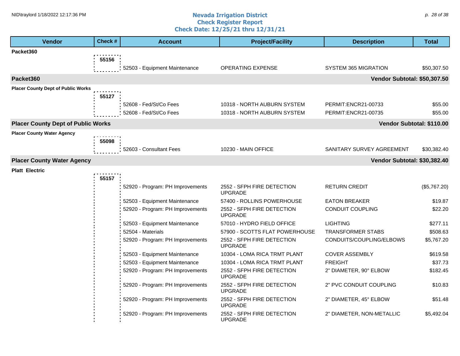#### **Nevada Irrigation District Check Register Report Check Date: 12/25/21 thru 12/31/21** NID\traylord 1/18/2022 12:17:36 PM p. 28 of 38 contract a contract the contract of the contract of the contract of the contract of the contract of the contract of the contract of the contract of the contract of the contra

| <b>Vendor</b>                             | Check # | <b>Account</b>                   | <b>Project/Facility</b>                      | <b>Description</b>           | <b>Total</b> |
|-------------------------------------------|---------|----------------------------------|----------------------------------------------|------------------------------|--------------|
| Packet360                                 |         |                                  |                                              |                              |              |
|                                           | 55156   |                                  |                                              |                              |              |
|                                           |         | 52503 - Equipment Maintenance    | <b>OPERATING EXPENSE</b>                     | <b>SYSTEM 365 MIGRATION</b>  | \$50,307.50  |
| Packet360                                 |         |                                  |                                              | Vendor Subtotal: \$50,307.50 |              |
| <b>Placer County Dept of Public Works</b> |         |                                  |                                              |                              |              |
|                                           | 55127   |                                  |                                              |                              |              |
|                                           |         | 52608 - Fed/St/Co Fees           | 10318 - NORTH AUBURN SYSTEM                  | PERMIT:ENCR21-00733          | \$55.00      |
|                                           |         | 52608 - Fed/St/Co Fees           | 10318 - NORTH AUBURN SYSTEM                  | PERMIT:ENCR21-00735          | \$55.00      |
| <b>Placer County Dept of Public Works</b> |         |                                  |                                              | Vendor Subtotal: \$110.00    |              |
| <b>Placer County Water Agency</b>         |         |                                  |                                              |                              |              |
|                                           | 55098   |                                  |                                              |                              |              |
|                                           |         | 52603 - Consultant Fees          | 10230 - MAIN OFFICE                          | SANITARY SURVEY AGREEMENT    | \$30,382.40  |
| <b>Placer County Water Agency</b>         |         |                                  |                                              | Vendor Subtotal: \$30,382.40 |              |
| <b>Platt Electric</b>                     |         |                                  |                                              |                              |              |
|                                           | 55157   |                                  |                                              |                              |              |
|                                           |         | 52920 - Program: PH Improvements | 2552 - SFPH FIRE DETECTION<br><b>UPGRADE</b> | <b>RETURN CREDIT</b>         | (\$5,767.20) |
|                                           |         | 52503 - Equipment Maintenance    | 57400 - ROLLINS POWERHOUSE                   | <b>EATON BREAKER</b>         | \$19.87      |
|                                           |         | 52920 - Program: PH Improvements | 2552 - SFPH FIRE DETECTION<br><b>UPGRADE</b> | <b>CONDUIT COUPLING</b>      | \$22.20      |
|                                           |         | 52503 - Equipment Maintenance    | 57010 - HYDRO FIELD OFFICE                   | <b>LIGHTING</b>              | \$277.11     |
|                                           |         | 52504 - Materials                | 57900 - SCOTTS FLAT POWERHOUSE               | TRANSFORMER STABS            | \$508.63     |
|                                           |         | 52920 - Program: PH Improvements | 2552 - SFPH FIRE DETECTION<br><b>UPGRADE</b> | CONDUITS/COUPLING/ELBOWS     | \$5,767.20   |
|                                           |         | 52503 - Equipment Maintenance    | 10304 - LOMA RICA TRMT PLANT                 | <b>COVER ASSEMBLY</b>        | \$619.58     |
|                                           |         | 52503 - Equipment Maintenance    | 10304 - LOMA RICA TRMT PLANT                 | <b>FREIGHT</b>               | \$37.73      |
|                                           |         | 52920 - Program: PH Improvements | 2552 - SFPH FIRE DETECTION<br><b>UPGRADE</b> | 2" DIAMETER, 90° ELBOW       | \$182.45     |
|                                           |         | 52920 - Program: PH Improvements | 2552 - SFPH FIRE DETECTION<br><b>UPGRADE</b> | 2" PVC CONDUIT COUPLING      | \$10.83      |
|                                           |         | 52920 - Program: PH Improvements | 2552 - SFPH FIRE DETECTION<br><b>UPGRADE</b> | 2" DIAMETER, 45° ELBOW       | \$51.48      |
|                                           |         | 52920 - Program: PH Improvements | 2552 - SFPH FIRE DETECTION<br><b>UPGRADE</b> | 2" DIAMETER, NON-METALLIC    | \$5,492.04   |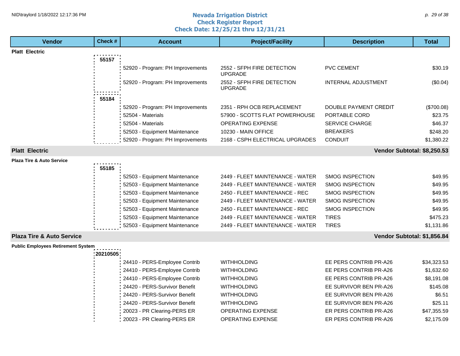## **1HD**\traylord 1/18/2022 12:17:36 PM p. 29 of 38 p. 29 of 38 p. 29 of 38 p. 29 of 38 p. 29 of 38 p. 29 of 38 p. 29 of 38 p. 29 of 38 p. 29 of 38 p. 29 of 38 p. 29 of 38 p. 29 of 38 p. 29 of 38 p. 29 of 38 p. 29 p. 29 of 38 **Check Register Report Check Date: 12/25/21 thru 12/31/21**

| <b>Vendor</b>                             | Check#    | <b>Account</b>                   | <b>Project/Facility</b>                      | <b>Description</b>          | <b>Total</b> |
|-------------------------------------------|-----------|----------------------------------|----------------------------------------------|-----------------------------|--------------|
| <b>Platt Electric</b>                     |           |                                  |                                              |                             |              |
|                                           | 55157     |                                  |                                              |                             |              |
|                                           |           | 52920 - Program: PH Improvements | 2552 - SFPH FIRE DETECTION<br><b>UPGRADE</b> | <b>PVC CEMENT</b>           | \$30.19      |
|                                           |           | 52920 - Program: PH Improvements | 2552 - SFPH FIRE DETECTION<br><b>UPGRADE</b> | <b>INTERNAL ADJUSTMENT</b>  | (\$0.04)     |
|                                           | 55184     |                                  |                                              |                             |              |
|                                           |           | 52920 - Program: PH Improvements | 2351 - RPH OCB REPLACEMENT                   | DOUBLE PAYMENT CREDIT       | (\$700.08)   |
|                                           |           | 52504 - Materials                | 57900 - SCOTTS FLAT POWERHOUSE               | PORTABLE CORD               | \$23.75      |
|                                           |           | 52504 - Materials                | <b>OPERATING EXPENSE</b>                     | <b>SERVICE CHARGE</b>       | \$46.37      |
|                                           |           | 52503 - Equipment Maintenance    | 10230 - MAIN OFFICE                          | <b>BREAKERS</b>             | \$248.20     |
|                                           |           | 52920 - Program: PH Improvements | 2168 - CSPH ELECTRICAL UPGRADES              | <b>CONDUIT</b>              | \$1,380.22   |
| <b>Platt Electric</b>                     |           |                                  |                                              | Vendor Subtotal: \$8,250.53 |              |
| <b>Plaza Tire &amp; Auto Service</b>      |           |                                  |                                              |                             |              |
|                                           | 55185     |                                  |                                              |                             |              |
|                                           |           | 52503 - Equipment Maintenance    | 2449 - FLEET MAINTENANCE - WATER             | <b>SMOG INSPECTION</b>      | \$49.95      |
|                                           |           | 52503 - Equipment Maintenance    | 2449 - FLEET MAINTENANCE - WATER             | <b>SMOG INSPECTION</b>      | \$49.95      |
|                                           |           | 52503 - Equipment Maintenance    | 2450 - FLEET MAINTENANCE - REC               | <b>SMOG INSPECTION</b>      | \$49.95      |
|                                           |           | 52503 - Equipment Maintenance    | 2449 - FLEET MAINTENANCE - WATER             | <b>SMOG INSPECTION</b>      | \$49.95      |
|                                           |           | 52503 - Equipment Maintenance    | 2450 - FLEET MAINTENANCE - REC               | <b>SMOG INSPECTION</b>      | \$49.95      |
|                                           |           | 52503 - Equipment Maintenance    | 2449 - FLEET MAINTENANCE - WATER             | <b>TIRES</b>                | \$475.23     |
|                                           |           | 52503 - Equipment Maintenance    | 2449 - FLEET MAINTENANCE - WATER             | <b>TIRES</b>                | \$1,131.86   |
| <b>Plaza Tire &amp; Auto Service</b>      |           |                                  |                                              | Vendor Subtotal: \$1,856.84 |              |
| <b>Public Employees Retirement System</b> |           |                                  |                                              |                             |              |
|                                           | :20210505 |                                  |                                              |                             |              |
|                                           |           | 24410 - PERS-Employee Contrib    | <b>WITHHOLDING</b>                           | EE PERS CONTRIB PR-A26      | \$34,323.53  |
|                                           |           | 24410 - PERS-Employee Contrib    | <b>WITHHOLDING</b>                           | EE PERS CONTRIB PR-A26      | \$1,632.60   |
|                                           |           | 24410 - PERS-Employee Contrib    | <b>WITHHOLDING</b>                           | EE PERS CONTRIB PR-A26      | \$8,191.08   |
|                                           |           | 24420 - PERS-Survivor Benefit    | <b>WITHHOLDING</b>                           | EE SURVIVOR BEN PR-A26      | \$145.08     |
|                                           |           | 24420 - PERS-Survivor Benefit    | <b>WITHHOLDING</b>                           | EE SURVIVOR BEN PR-A26      | \$6.51       |
|                                           |           | 24420 - PERS-Survivor Benefit    | <b>WITHHOLDING</b>                           | EE SURVIVOR BEN PR-A26      | \$25.11      |
|                                           |           | 20023 - PR Clearing-PERS ER      | <b>OPERATING EXPENSE</b>                     | ER PERS CONTRIB PR-A26      | \$47,355.59  |
|                                           |           | 20023 - PR Clearing-PERS ER      | <b>OPERATING EXPENSE</b>                     | ER PERS CONTRIB PR-A26      | \$2,175.09   |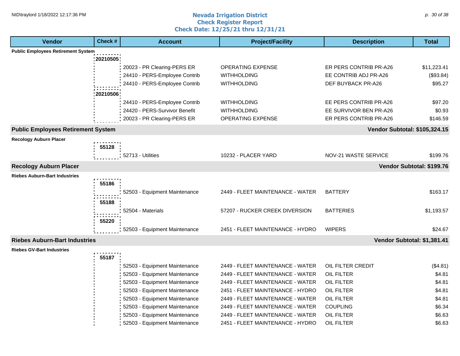#### **Nevada Irrigation District Check Register Report Check Date: 12/25/21 thru 12/31/21** NID\traylord 1/18/2022 12:17:36 PM p. 30 of 38 p. 30 of 38 p. 30 of 38 p. 30 of 38 p. 30 of 38 p. 30 of 38 p. 30 of 38 p. 30 of 38 p. 30 of 38 p. 30 of 38 p. 30 of 38 p. 30 of 38 p. 30 of 38 p. 30 of 38 p. 30 of 38 p. 30

| <b>Vendor</b>                             | Check #  | <b>Account</b>                | <b>Project/Facility</b>          | <b>Description</b>                   | <b>Total</b>              |
|-------------------------------------------|----------|-------------------------------|----------------------------------|--------------------------------------|---------------------------|
| <b>Public Employees Retirement System</b> |          |                               |                                  |                                      |                           |
|                                           | 20210505 |                               |                                  |                                      |                           |
|                                           |          | 20023 - PR Clearing-PERS ER   | <b>OPERATING EXPENSE</b>         | ER PERS CONTRIB PR-A26               | \$11,223.41               |
|                                           |          | 24410 - PERS-Employee Contrib | <b>WITHHOLDING</b>               | EE CONTRIB ADJ PR-A26                | (\$93.84)                 |
|                                           |          | 24410 - PERS-Employee Contrib | <b>WITHHOLDING</b>               | DEF BUYBACK PR-A26                   | \$95.27                   |
|                                           | 20210506 |                               |                                  |                                      |                           |
|                                           |          | 24410 - PERS-Employee Contrib | WITHHOLDING                      | EE PERS CONTRIB PR-A26               | \$97.20                   |
|                                           |          | 24420 - PERS-Survivor Benefit | <b>WITHHOLDING</b>               | EE SURVIVOR BEN PR-A26               | \$0.93                    |
|                                           |          | 20023 - PR Clearing-PERS ER   | OPERATING EXPENSE                | ER PERS CONTRIB PR-A26               | \$146.59                  |
|                                           |          |                               |                                  |                                      |                           |
| <b>Public Employees Retirement System</b> |          |                               |                                  | <b>Vendor Subtotal: \$105,324.15</b> |                           |
| <b>Recology Auburn Placer</b>             |          |                               |                                  |                                      |                           |
|                                           | 55128    |                               |                                  |                                      |                           |
|                                           |          | 52713 - Utilities             | 10232 - PLACER YARD              | NOV-21 WASTE SERVICE                 | \$199.76                  |
| <b>Recology Auburn Placer</b>             |          |                               |                                  |                                      | Vendor Subtotal: \$199.76 |
| <b>Riebes Auburn-Bart Industries</b>      |          |                               |                                  |                                      |                           |
|                                           | 55186    |                               |                                  |                                      |                           |
|                                           |          | 52503 - Equipment Maintenance | 2449 - FLEET MAINTENANCE - WATER | <b>BATTERY</b>                       | \$163.17                  |
|                                           | 55188    |                               |                                  |                                      |                           |
|                                           |          | 52504 - Materials             | 57207 - RUCKER CREEK DIVERSION   | <b>BATTERIES</b>                     | \$1,193.57                |
|                                           | 55220    |                               |                                  |                                      |                           |
|                                           |          | 52503 - Equipment Maintenance | 2451 - FLEET MAINTENANCE - HYDRO | <b>WIPERS</b>                        | \$24.67                   |
|                                           |          |                               |                                  |                                      |                           |
| <b>Riebes Auburn-Bart Industries</b>      |          |                               |                                  | Vendor Subtotal: \$1,381.41          |                           |
| <b>Riebes GV-Bart Industries</b>          |          |                               |                                  |                                      |                           |
|                                           | 55187    |                               |                                  |                                      |                           |
|                                           |          | 52503 - Equipment Maintenance | 2449 - FLEET MAINTENANCE - WATER | OIL FILTER CREDIT                    | (\$4.81)                  |
|                                           |          | 52503 - Equipment Maintenance | 2449 - FLEET MAINTENANCE - WATER | <b>OIL FILTER</b>                    | \$4.81                    |
|                                           |          | 52503 - Equipment Maintenance | 2449 - FLEET MAINTENANCE - WATER | <b>OIL FILTER</b>                    | \$4.81                    |
|                                           |          | 52503 - Equipment Maintenance | 2451 - FLEET MAINTENANCE - HYDRO | <b>OIL FILTER</b>                    | \$4.81                    |
|                                           |          | 52503 - Equipment Maintenance | 2449 - FLEET MAINTENANCE - WATER | <b>OIL FILTER</b>                    | \$4.81                    |
|                                           |          | 52503 - Equipment Maintenance | 2449 - FLEET MAINTENANCE - WATER | <b>COUPLING</b>                      | \$6.34                    |
|                                           |          | 52503 - Equipment Maintenance | 2449 - FLEET MAINTENANCE - WATER | OIL FILTER                           | \$6.63                    |
|                                           |          | 52503 - Equipment Maintenance | 2451 - FLEET MAINTENANCE - HYDRO | OIL FILTER                           | \$6.63                    |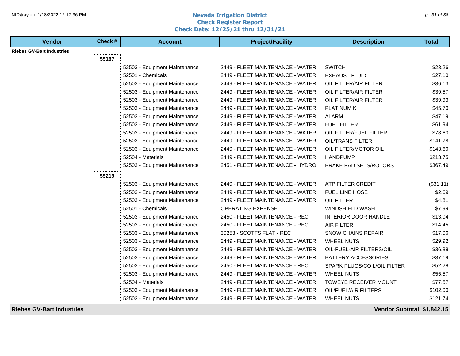## **1HD**\traylord 1/18/2022 12:17:36 PM p. 31 of 38 p. 31 of 38 p. 31 of 38 p. 31 of 38 p. 31 of 38 p. 31 of 38 p. 31 of 38 p. 31 of 38 p. 31 of 38 p. 31 of 38 p. 31 of 38 p. 31 of 38 p. 31 of 38 p. 31 of 38 p. 31 of 38 p. 31 **Check Register Report Check Date: 12/25/21 thru 12/31/21**

| <b>Vendor</b>                    | Check # | <b>Account</b>                | <b>Project/Facility</b>          | <b>Description</b>           | <b>Total</b> |
|----------------------------------|---------|-------------------------------|----------------------------------|------------------------------|--------------|
| <b>Riebes GV-Bart Industries</b> |         |                               |                                  |                              |              |
|                                  | 55187   |                               |                                  |                              |              |
|                                  |         | 52503 - Equipment Maintenance | 2449 - FLEET MAINTENANCE - WATER | <b>SWITCH</b>                | \$23.26      |
|                                  |         | 52501 - Chemicals             | 2449 - FLEET MAINTENANCE - WATER | <b>EXHAUST FLUID</b>         | \$27.10      |
|                                  |         | 52503 - Equipment Maintenance | 2449 - FLEET MAINTENANCE - WATER | OIL FILTER/AIR FILTER        | \$36.13      |
|                                  |         | 52503 - Equipment Maintenance | 2449 - FLEET MAINTENANCE - WATER | OIL FILTER/AIR FILTER        | \$39.57      |
|                                  |         | 52503 - Equipment Maintenance | 2449 - FLEET MAINTENANCE - WATER | OIL FILTER/AIR FILTER        | \$39.93      |
|                                  |         | 52503 - Equipment Maintenance | 2449 - FLEET MAINTENANCE - WATER | PLATINUM K                   | \$45.70      |
|                                  |         | 52503 - Equipment Maintenance | 2449 - FLEET MAINTENANCE - WATER | <b>ALARM</b>                 | \$47.19      |
|                                  |         | 52503 - Equipment Maintenance | 2449 - FLEET MAINTENANCE - WATER | <b>FUEL FILTER</b>           | \$61.94      |
|                                  |         | 52503 - Equipment Maintenance | 2449 - FLEET MAINTENANCE - WATER | OIL FILTER/FUEL FILTER       | \$78.60      |
|                                  |         | 52503 - Equipment Maintenance | 2449 - FLEET MAINTENANCE - WATER | <b>OIL/TRANS FILTER</b>      | \$141.78     |
|                                  |         | 52503 - Equipment Maintenance | 2449 - FLEET MAINTENANCE - WATER | OIL FILTER/MOTOR OIL         | \$143.60     |
|                                  |         | 52504 - Materials             | 2449 - FLEET MAINTENANCE - WATER | <b>HANDPUMP</b>              | \$213.75     |
|                                  |         | 52503 - Equipment Maintenance | 2451 - FLEET MAINTENANCE - HYDRO | <b>BRAKE PAD SETS/ROTORS</b> | \$367.49     |
|                                  | 55219   |                               |                                  |                              |              |
|                                  |         | 52503 - Equipment Maintenance | 2449 - FLEET MAINTENANCE - WATER | ATP FILTER CREDIT            | (\$31.11)    |
|                                  |         | 52503 - Equipment Maintenance | 2449 - FLEET MAINTENANCE - WATER | FUEL LINE HOSE               | \$2.69       |
|                                  |         | 52503 - Equipment Maintenance | 2449 - FLEET MAINTENANCE - WATER | <b>OIL FILTER</b>            | \$4.81       |
|                                  |         | 52501 - Chemicals             | OPERATING EXPENSE                | <b>WINDSHIELD WASH</b>       | \$7.99       |
|                                  |         | 52503 - Equipment Maintenance | 2450 - FLEET MAINTENANCE - REC   | <b>INTERIOR DOOR HANDLE</b>  | \$13.04      |
|                                  |         | 52503 - Equipment Maintenance | 2450 - FLEET MAINTENANCE - REC   | <b>AIR FILTER</b>            | \$14.45      |
|                                  |         | 52503 - Equipment Maintenance | 30253 - SCOTTS FLAT - REC        | <b>SNOW CHAINS REPAIR</b>    | \$17.06      |
|                                  |         | 52503 - Equipment Maintenance | 2449 - FLEET MAINTENANCE - WATER | <b>WHEEL NUTS</b>            | \$29.92      |
|                                  |         | 52503 - Equipment Maintenance | 2449 - FLEET MAINTENANCE - WATER | OIL-FUEL-AIR FILTERS/OIL     | \$36.88      |
|                                  |         | 52503 - Equipment Maintenance | 2449 - FLEET MAINTENANCE - WATER | BATTERY ACCESSORIES          | \$37.19      |
|                                  |         | 52503 - Equipment Maintenance | 2450 - FLEET MAINTENANCE - REC   | SPARK PLUGS/COIL/OIL FILTER  | \$52.28      |
|                                  |         | 52503 - Equipment Maintenance | 2449 - FLEET MAINTENANCE - WATER | <b>WHEEL NUTS</b>            | \$55.57      |
|                                  |         | 52504 - Materials             | 2449 - FLEET MAINTENANCE - WATER | TOWEYE RECEIVER MOUNT        | \$77.57      |
|                                  |         | 52503 - Equipment Maintenance | 2449 - FLEET MAINTENANCE - WATER | OIL/FUEL/AIR FILTERS         | \$102.00     |
|                                  |         | 52503 - Equipment Maintenance | 2449 - FLEET MAINTENANCE - WATER | <b>WHEEL NUTS</b>            | \$121.74     |

**Riebes GV-Bart Industries Vendor Subtotal: \$1,842.15**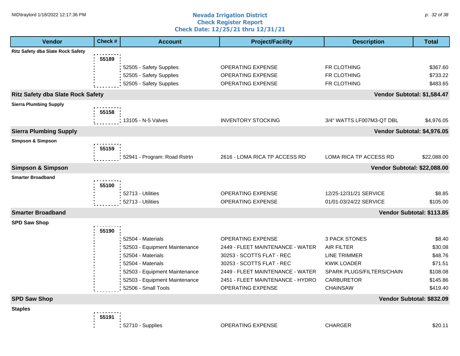#### **Nevada Irrigation District Check Register Report Check Date: 12/25/21 thru 12/31/21** NID\traylord 1/18/2022 12:17:36 PM p. 32 of 38 p. 32 of 38 p. 32 of 38 p. 32 of 38 p. 32 of 38 p. 32 of 38 p. 32 of 38 p. 32 of 38 p. 32 of 38 p. 32 of 38 p. 32 of 38 p. 32 of 38 p. 32 of 38 p. 32 of 38 p. 32 of 38 p. 32

| <b>Vendor</b>                            | Check # | <b>Account</b>                                                                                                                                                                        | <b>Project/Facility</b>                                                                                                                                                                                             | <b>Description</b>                                                                                                                            | <b>Total</b>                                                                |
|------------------------------------------|---------|---------------------------------------------------------------------------------------------------------------------------------------------------------------------------------------|---------------------------------------------------------------------------------------------------------------------------------------------------------------------------------------------------------------------|-----------------------------------------------------------------------------------------------------------------------------------------------|-----------------------------------------------------------------------------|
| <b>Ritz Safety dba Slate Rock Safety</b> |         |                                                                                                                                                                                       |                                                                                                                                                                                                                     |                                                                                                                                               |                                                                             |
|                                          | 55189   | 52505 - Safety Supplies<br>52505 - Safety Supplies<br>52505 - Safety Supplies                                                                                                         | <b>OPERATING EXPENSE</b><br>OPERATING EXPENSE<br>OPERATING EXPENSE                                                                                                                                                  | FR CLOTHING<br>FR CLOTHING<br>FR CLOTHING                                                                                                     | \$367.60<br>\$733.22<br>\$483.65                                            |
| <b>Ritz Safety dba Slate Rock Safety</b> |         |                                                                                                                                                                                       |                                                                                                                                                                                                                     | Vendor Subtotal: \$1,584.47                                                                                                                   |                                                                             |
| <b>Sierra Plumbing Supply</b>            | 55158   | 13105 - N-5 Valves                                                                                                                                                                    | <b>INVENTORY STOCKING</b>                                                                                                                                                                                           | 3/4" WATTS LF007M3-QT DBL                                                                                                                     | \$4,976.05                                                                  |
| <b>Sierra Plumbing Supply</b>            |         |                                                                                                                                                                                       |                                                                                                                                                                                                                     | Vendor Subtotal: \$4,976.05                                                                                                                   |                                                                             |
| <b>Simpson &amp; Simpson</b>             |         |                                                                                                                                                                                       |                                                                                                                                                                                                                     |                                                                                                                                               |                                                                             |
|                                          | 55159   | 52941 - Program: Road Rstrtn                                                                                                                                                          | 2616 - LOMA RICA TP ACCESS RD                                                                                                                                                                                       | LOMA RICA TP ACCESS RD                                                                                                                        | \$22,088.00                                                                 |
| <b>Simpson &amp; Simpson</b>             |         |                                                                                                                                                                                       |                                                                                                                                                                                                                     | Vendor Subtotal: \$22,088.00                                                                                                                  |                                                                             |
| <b>Smarter Broadband</b>                 | 55100   | 52713 - Utilities<br>52713 - Utilities                                                                                                                                                | OPERATING EXPENSE<br><b>OPERATING EXPENSE</b>                                                                                                                                                                       | 12/25-12/31/21 SERVICE<br>01/01-03/24/22 SERVICE                                                                                              | \$8.85<br>\$105.00                                                          |
| <b>Smarter Broadband</b>                 |         |                                                                                                                                                                                       |                                                                                                                                                                                                                     | Vendor Subtotal: \$113.85                                                                                                                     |                                                                             |
| <b>SPD Saw Shop</b>                      | 55190   | 52504 - Materials<br>52503 - Equipment Maintenance<br>52504 - Materials<br>52504 - Materials<br>52503 - Equipment Maintenance<br>52503 - Equipment Maintenance<br>52506 - Small Tools | <b>OPERATING EXPENSE</b><br>2449 - FLEET MAINTENANCE - WATER<br>30253 - SCOTTS FLAT - REC<br>30253 - SCOTTS FLAT - REC<br>2449 - FLEET MAINTENANCE - WATER<br>2451 - FLEET MAINTENANCE - HYDRO<br>OPERATING EXPENSE | 3 PACK STONES<br><b>AIR FILTER</b><br>LINE TRIMMER<br><b>KWIK LOADER</b><br>SPARK PLUGS/FILTERS/CHAIN<br><b>CARBURETOR</b><br><b>CHAINSAW</b> | \$8.40<br>\$30.08<br>\$48.76<br>\$71.51<br>\$108.08<br>\$145.86<br>\$419.40 |
| <b>SPD Saw Shop</b>                      |         |                                                                                                                                                                                       |                                                                                                                                                                                                                     | Vendor Subtotal: \$832.09                                                                                                                     |                                                                             |
| <b>Staples</b>                           | 55191   | 52710 - Supplies                                                                                                                                                                      | <b>OPERATING EXPENSE</b>                                                                                                                                                                                            | <b>CHARGER</b>                                                                                                                                | \$20.11                                                                     |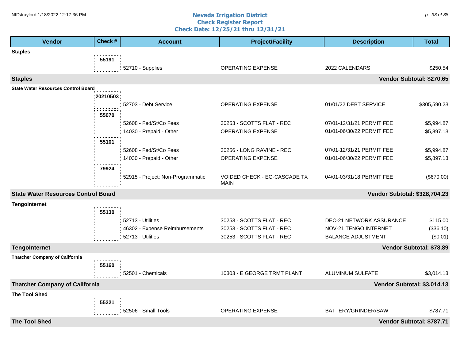#### **Nevada Irrigation District Check Register Report Check Date: 12/25/21 thru 12/31/21** NID\traylord 1/18/2022 12:17:36 PM p. 33 of 38 contract a set of the **Nevada Irrigation District** contract p. 33 of 38 contract p. 33 of 38 contract p. 33 of 38 contract p. 33 of 38 contract p. 33 of 38 contract p. 33 con

| Check #<br><b>Vendor</b>                   | <b>Account</b>                    | <b>Project/Facility</b>      | <b>Description</b>            | <b>Total</b>             |
|--------------------------------------------|-----------------------------------|------------------------------|-------------------------------|--------------------------|
| <b>Staples</b>                             |                                   |                              |                               |                          |
| 55191                                      |                                   |                              |                               |                          |
|                                            | 52710 - Supplies                  | <b>OPERATING EXPENSE</b>     | 2022 CALENDARS                | \$250.54                 |
| <b>Staples</b>                             |                                   |                              | Vendor Subtotal: \$270.65     |                          |
| <b>State Water Resources Control Board</b> |                                   |                              |                               |                          |
| 20210503                                   | 52703 - Debt Service              | OPERATING EXPENSE            | 01/01/22 DEBT SERVICE         | \$305,590.23             |
|                                            |                                   |                              |                               |                          |
| 55070                                      | 52608 - Fed/St/Co Fees            | 30253 - SCOTTS FLAT - REC    | 07/01-12/31/21 PERMIT FEE     | \$5,994.87               |
|                                            | 14030 - Prepaid - Other           | OPERATING EXPENSE            | 01/01-06/30/22 PERMIT FEE     | \$5,897.13               |
|                                            |                                   |                              |                               |                          |
| 55101                                      | 52608 - Fed/St/Co Fees            | 30256 - LONG RAVINE - REC    | 07/01-12/31/21 PERMIT FEE     | \$5,994.87               |
|                                            | 14030 - Prepaid - Other           | OPERATING EXPENSE            | 01/01-06/30/22 PERMIT FEE     | \$5,897.13               |
| 79924                                      |                                   |                              |                               |                          |
|                                            | 52915 - Project: Non-Programmatic | VOIDED CHECK - EG-CASCADE TX | 04/01-03/31/18 PERMIT FEE     | (\$670.00)               |
|                                            |                                   | <b>MAIN</b>                  |                               |                          |
| <b>State Water Resources Control Board</b> |                                   |                              | Vendor Subtotal: \$328,704.23 |                          |
| <b>TengoInternet</b>                       |                                   |                              |                               |                          |
| 55130                                      |                                   |                              |                               |                          |
|                                            | 52713 - Utilities                 | 30253 - SCOTTS FLAT - REC    | DEC-21 NETWORK ASSURANCE      | \$115.00                 |
|                                            | 46302 - Expense Reimbursements    | 30253 - SCOTTS FLAT - REC    | NOV-21 TENGO INTERNET         | (\$36.10)                |
|                                            | 52713 - Utilities                 | 30253 - SCOTTS FLAT - REC    | <b>BALANCE ADJUSTMENT</b>     | (\$0.01)                 |
| <b>TengoInternet</b>                       |                                   |                              |                               | Vendor Subtotal: \$78.89 |
| <b>Thatcher Company of California</b>      |                                   |                              |                               |                          |
| 55160                                      |                                   |                              |                               |                          |
|                                            | 52501 - Chemicals                 | 10303 - E GEORGE TRMT PLANT  | ALUMINUM SULFATE              | \$3,014.13               |
| <b>Thatcher Company of California</b>      |                                   |                              | Vendor Subtotal: \$3,014.13   |                          |
| <b>The Tool Shed</b>                       |                                   |                              |                               |                          |
| 55221                                      |                                   |                              |                               |                          |
|                                            | 52506 - Small Tools               | OPERATING EXPENSE            | BATTERY/GRINDER/SAW           | \$787.71                 |
| <b>The Tool Shed</b>                       |                                   |                              | Vendor Subtotal: \$787.71     |                          |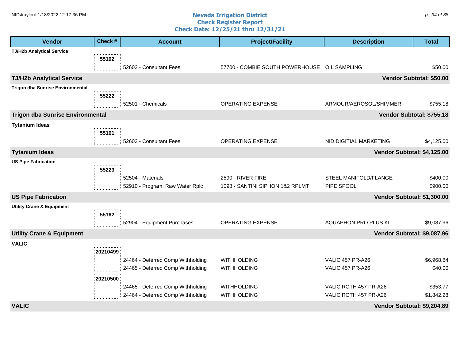#### **Nevada Irrigation District Check Register Report Check Date: 12/25/21 thru 12/31/21** NID\traylord 1/18/2022 12:17:36 PM p. 34 of 38 p. 34 of 38 p. 34 of 38 p. 34 of 38 p. 34 of 38 p. 34 of 38 p. 34 of 38 p. 34 of 38 p. 34 of 38 p. 34 of 38 p. 34 of 38 p. 34 of 38 p. 34 of 38 p. 34 of 38 p. 34 of 38 p. 34

| <b>Vendor</b>                                       | Check #  | <b>Account</b>                    | <b>Project/Facility</b>                      | <b>Description</b>          | <b>Total</b>             |
|-----------------------------------------------------|----------|-----------------------------------|----------------------------------------------|-----------------------------|--------------------------|
| <b>TJ/H2b Analytical Service</b>                    |          |                                   |                                              |                             |                          |
|                                                     | 55192    |                                   |                                              |                             |                          |
|                                                     |          | 52603 - Consultant Fees           | 57700 - COMBIE SOUTH POWERHOUSE OIL SAMPLING |                             | \$50.00                  |
| <b>TJ/H2b Analytical Service</b>                    |          |                                   |                                              |                             | Vendor Subtotal: \$50.00 |
| <b>Trigon dba Sunrise Environmental</b>             |          |                                   |                                              |                             |                          |
|                                                     | 55222    | 52501 - Chemicals                 | OPERATING EXPENSE                            | ARMOUR/AEROSOL/SHIMMER      | \$755.18                 |
|                                                     |          |                                   |                                              |                             |                          |
| <b>Trigon dba Sunrise Environmental</b>             |          |                                   |                                              | Vendor Subtotal: \$755.18   |                          |
| <b>Tytanium Ideas</b>                               |          |                                   |                                              |                             |                          |
|                                                     | 55161    | 52603 - Consultant Fees           | OPERATING EXPENSE                            | NID DIGITIAL MARKETING      | \$4,125.00               |
|                                                     |          |                                   |                                              |                             |                          |
| <b>Tytanium Ideas</b><br><b>US Pipe Fabrication</b> |          |                                   |                                              | Vendor Subtotal: \$4,125.00 |                          |
|                                                     | 55223    |                                   |                                              |                             |                          |
|                                                     |          | 52504 - Materials                 | 2590 - RIVER FIRE                            | STEEL MANIFOLD/FLANGE       | \$400.00                 |
|                                                     |          | 52910 - Program: Raw Water Rplc   | 1098 - SANTINI SIPHON 1&2 RPLMT              | PIPE SPOOL                  | \$900.00                 |
| <b>US Pipe Fabrication</b>                          |          |                                   |                                              | Vendor Subtotal: \$1,300.00 |                          |
| <b>Utility Crane &amp; Equipment</b>                |          |                                   |                                              |                             |                          |
|                                                     | 55162    |                                   |                                              |                             |                          |
|                                                     |          | 52904 - Equipment Purchases       | OPERATING EXPENSE                            | AQUAPHON PRO PLUS KIT       | \$9,087.96               |
| <b>Utility Crane &amp; Equipment</b>                |          |                                   |                                              | Vendor Subtotal: \$9,087.96 |                          |
| <b>VALIC</b>                                        |          |                                   |                                              |                             |                          |
|                                                     | 20210499 |                                   |                                              |                             |                          |
|                                                     |          | 24464 - Deferred Comp Withholding | <b>WITHHOLDING</b>                           | <b>VALIC 457 PR-A26</b>     | \$6,968.84               |
|                                                     |          | 24465 - Deferred Comp Withholding | <b>WITHHOLDING</b>                           | <b>VALIC 457 PR-A26</b>     | \$40.00                  |
|                                                     | 20210500 | 24465 - Deferred Comp Withholding | <b>WITHHOLDING</b>                           | VALIC ROTH 457 PR-A26       | \$353.77                 |
|                                                     |          | 24464 - Deferred Comp Withholding | <b>WITHHOLDING</b>                           | VALIC ROTH 457 PR-A26       | \$1,842.28               |
| <b>VALIC</b>                                        |          |                                   |                                              | Vendor Subtotal: \$9,204.89 |                          |
|                                                     |          |                                   |                                              |                             |                          |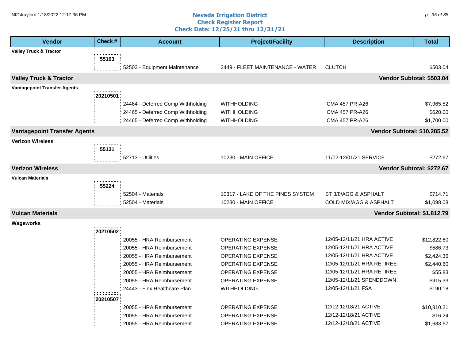#### **Nevada Irrigation District Check Register Report Check Date: 12/25/21 thru 12/31/21** NID\traylord 1/18/2022 12:17:36 PM p. 35 of 38 contract a set of the set of the set of the set of the set of the set of the set of the set of the set of the set of the set of the set of the set of the set of the set of th

| <b>Vendor</b>                       | Check #   | <b>Account</b>                    | <b>Project/Facility</b>          | <b>Description</b>           | <b>Total</b> |
|-------------------------------------|-----------|-----------------------------------|----------------------------------|------------------------------|--------------|
| <b>Valley Truck &amp; Tractor</b>   |           |                                   |                                  |                              |              |
|                                     | 55193     |                                   |                                  |                              |              |
|                                     |           | 52503 - Equipment Maintenance     | 2449 - FLEET MAINTENANCE - WATER | <b>CLUTCH</b>                | \$503.04     |
| <b>Valley Truck &amp; Tractor</b>   |           |                                   |                                  | Vendor Subtotal: \$503.04    |              |
| <b>Vantagepoint Transfer Agents</b> |           |                                   |                                  |                              |              |
|                                     | :20210501 |                                   |                                  |                              |              |
|                                     |           | 24464 - Deferred Comp Withholding | <b>WITHHOLDING</b>               | <b>ICMA 457 PR-A26</b>       | \$7,965.52   |
|                                     |           | 24465 - Deferred Comp Withholding | <b>WITHHOLDING</b>               | <b>ICMA 457 PR-A26</b>       | \$620.00     |
|                                     |           | 24465 - Deferred Comp Withholding | <b>WITHHOLDING</b>               | <b>ICMA 457 PR-A26</b>       | \$1,700.00   |
| <b>Vantagepoint Transfer Agents</b> |           |                                   |                                  | Vendor Subtotal: \$10,285.52 |              |
| <b>Verizon Wireless</b>             |           |                                   |                                  |                              |              |
|                                     | 55131     |                                   |                                  |                              |              |
|                                     |           | 52713 - Utilities                 | 10230 - MAIN OFFICE              | 11/02-12/01/21 SERVICE       | \$272.67     |
| <b>Verizon Wireless</b>             |           |                                   |                                  | Vendor Subtotal: \$272.67    |              |
| <b>Vulcan Materials</b>             |           |                                   |                                  |                              |              |
|                                     | 55224     |                                   |                                  |                              |              |
|                                     |           | 52504 - Materials                 | 10317 - LAKE OF THE PINES SYSTEM | ST 3/8/AGG & ASPHALT         | \$714.71     |
|                                     |           | 52504 - Materials                 | 10230 - MAIN OFFICE              | COLD MIX/AGG & ASPHALT       | \$1,098.08   |
|                                     |           |                                   |                                  |                              |              |
| <b>Vulcan Materials</b>             |           |                                   |                                  | Vendor Subtotal: \$1,812.79  |              |
| Wageworks                           |           |                                   |                                  |                              |              |
|                                     | 20210502  |                                   |                                  |                              |              |
|                                     |           | 20055 - HRA Reimbursement         | <b>OPERATING EXPENSE</b>         | 12/05-12/11/21 HRA ACTIVE    | \$12,822.60  |
|                                     |           | 20055 - HRA Reimbursement         | OPERATING EXPENSE                | 12/05-12/11/21 HRA ACTIVE    | \$586.73     |
|                                     |           | 20055 - HRA Reimbursement         | OPERATING EXPENSE                | 12/05-12/11/21 HRA ACTIVE    | \$2,424.36   |
|                                     |           | 20055 - HRA Reimbursement         | <b>OPERATING EXPENSE</b>         | 12/05-12/11/21 HRA RETIREE   | \$2,440.80   |
|                                     |           | 20055 - HRA Reimbursement         | OPERATING EXPENSE                | 12/05-12/11/21 HRA RETIREE   | \$55.83      |
|                                     |           | 20055 - HRA Reimbursement         | OPERATING EXPENSE                | 12/05-12/11/21 SPENDDOWN     | \$915.33     |
|                                     |           | 24443 - Flex Healthcare Plan      | <b>WITHHOLDING</b>               | 12/05-12/11/21 FSA           | \$190.18     |
|                                     | 20210507  |                                   |                                  |                              |              |
|                                     |           | 20055 - HRA Reimbursement         | <b>OPERATING EXPENSE</b>         | 12/12-12/18/21 ACTIVE        | \$10,810.21  |
|                                     |           | 20055 - HRA Reimbursement         | <b>OPERATING EXPENSE</b>         | 12/12-12/18/21 ACTIVE        | \$16.24      |
|                                     |           | 20055 - HRA Reimbursement         | <b>OPERATING EXPENSE</b>         | 12/12-12/18/21 ACTIVE        | \$1,683.67   |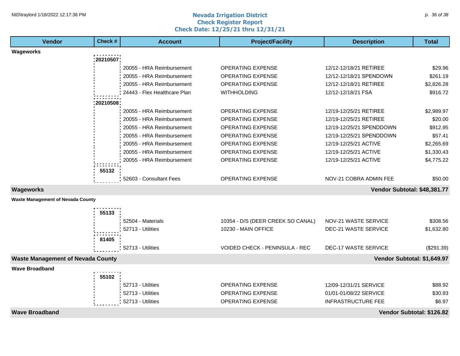#### **Nevada Irrigation District Check Register Report Check Date: 12/25/21 thru 12/31/21** NID\traylord 1/18/2022 12:17:36 PM p. 36 of 38 p. 36 of 38 p. 36 of 38 p. 36 of 38 p. 36 of 38 p. 36 of 38 p. 36 p. 36 p. 36 p. 36 p. 36 p. 36 p. 36 p. 36 p. 36 p. 36 p. 36 p. 36 p. 36 p. 36 p. 37 p. 38 p. 38 p. 38 p. 38

| <b>Vendor</b>                            | Check #    | <b>Account</b>               | <b>Project/Facility</b>           | <b>Description</b>           | <b>Total</b> |
|------------------------------------------|------------|------------------------------|-----------------------------------|------------------------------|--------------|
| Wageworks                                |            |                              |                                   |                              |              |
|                                          | :20210507: |                              |                                   |                              |              |
|                                          |            | 20055 - HRA Reimbursement    | OPERATING EXPENSE                 | 12/12-12/18/21 RETIREE       | \$29.96      |
|                                          |            | 20055 - HRA Reimbursement    | <b>OPERATING EXPENSE</b>          | 12/12-12/18/21 SPENDOWN      | \$261.19     |
|                                          |            | 20055 - HRA Reimbursement    | <b>OPERATING EXPENSE</b>          | 12/12-12/18/21 RETIREE       | \$2,826.28   |
|                                          |            | 24443 - Flex Healthcare Plan | <b>WITHHOLDING</b>                | 12/12-12/18/21 FSA           | \$916.72     |
|                                          | 20210508   |                              |                                   |                              |              |
|                                          |            | 20055 - HRA Reimbursement    | <b>OPERATING EXPENSE</b>          | 12/19-12/25/21 RETIREE       | \$2,989.97   |
|                                          |            | 20055 - HRA Reimbursement    | <b>OPERATING EXPENSE</b>          | 12/19-12/25/21 RETIREE       | \$20.00      |
|                                          |            | 20055 - HRA Reimbursement    | <b>OPERATING EXPENSE</b>          | 12/19-12/25/21 SPENDDOWN     | \$912.95     |
|                                          |            | 20055 - HRA Reimbursement    | <b>OPERATING EXPENSE</b>          | 12/19-12/25/21 SPENDDOWN     | \$57.41      |
|                                          |            | 20055 - HRA Reimbursement    | <b>OPERATING EXPENSE</b>          | 12/19-12/25/21 ACTIVE        | \$2,265.69   |
|                                          |            | 20055 - HRA Reimbursement    | <b>OPERATING EXPENSE</b>          | 12/19-12/25/21 ACTIVE        | \$1,330.43   |
|                                          |            | 20055 - HRA Reimbursement    | <b>OPERATING EXPENSE</b>          | 12/19-12/25/21 ACTIVE        | \$4,775.22   |
|                                          | 55132      |                              |                                   |                              |              |
|                                          |            | 52603 - Consultant Fees      | <b>OPERATING EXPENSE</b>          | NOV-21 COBRA ADMIN FEE       | \$50.00      |
| <b>Wageworks</b>                         |            |                              |                                   | Vendor Subtotal: \$48,381.77 |              |
| <b>Waste Management of Nevada County</b> |            |                              |                                   |                              |              |
|                                          | 55133      |                              |                                   |                              |              |
|                                          |            | 52504 - Materials            | 10354 - D/S (DEER CREEK SO CANAL) | NOV-21 WASTE SERVICE         | \$308.56     |
|                                          |            | 52713 - Utilities            | 10230 - MAIN OFFICE               | <b>DEC-21 WASTE SERVICE</b>  | \$1,632.80   |
|                                          |            |                              |                                   |                              |              |
|                                          | 81405      | 52713 - Utilities            | VOIDED CHECK - PENINSULA - REC    | <b>DEC-17 WASTE SERVICE</b>  | (\$291.39)   |
|                                          |            |                              |                                   |                              |              |
| <b>Waste Management of Nevada County</b> |            |                              |                                   | Vendor Subtotal: \$1,649.97  |              |
| <b>Wave Broadband</b>                    |            |                              |                                   |                              |              |
|                                          | 55102      |                              |                                   |                              |              |
|                                          |            | 52713 - Utilities            | <b>OPERATING EXPENSE</b>          | 12/09-12/31/21 SERVICE       | \$88.92      |
|                                          |            | 52713 - Utilities            | <b>OPERATING EXPENSE</b>          | 01/01-01/08/22 SERVICE       | \$30.93      |
|                                          |            | 52713 - Utilities            | <b>OPERATING EXPENSE</b>          | <b>INFRASTRUCTURE FEE</b>    | \$6.97       |
| <b>Wave Broadband</b>                    |            |                              |                                   | Vendor Subtotal: \$126.82    |              |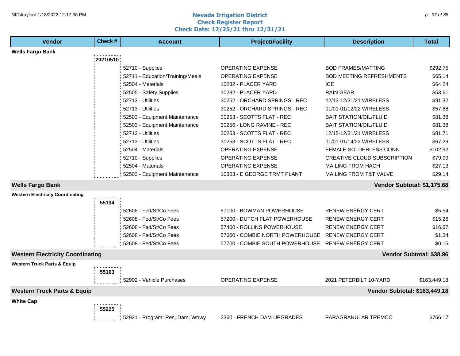#### **Nevada Irrigation District Check Register Report Check Date: 12/25/21 thru 12/31/21** NID\traylord 1/18/2022 12:17:36 PM p. 37 of 38 p. 37 of 38 p. 37 of 38 p. 37 of 38 p. 37 of 38 p. 37 of 38 p. 37 of 38 p. 37 of 38 p. 37 of 38 p. 37 of 38 p. 37 of 38 p. 37 of 38 p. 37 of 38 p. 37 of 38 p. 37 of 38 p. 37

| <b>Vendor</b>                           | Check #    | <b>Account</b>                   | <b>Project/Facility</b>         | <b>Description</b>                | <b>Total</b>             |
|-----------------------------------------|------------|----------------------------------|---------------------------------|-----------------------------------|--------------------------|
| <b>Wells Fargo Bank</b>                 |            |                                  |                                 |                                   |                          |
|                                         | :20210510; |                                  |                                 |                                   |                          |
|                                         |            | 52710 - Supplies                 | <b>OPERATING EXPENSE</b>        | <b>BOD FRAMES/MATTING</b>         | \$292.75                 |
|                                         |            | 52711 - Education/Training/Meals | <b>OPERATING EXPENSE</b>        | <b>BOD MEETING REFRESHMENTS</b>   | \$65.14                  |
|                                         |            | 52504 - Materials                | 10232 - PLACER YARD             | <b>ICE</b>                        | \$64.24                  |
|                                         |            | 52505 - Safety Supplies          | 10232 - PLACER YARD             | <b>RAIN GEAR</b>                  | \$53.61                  |
|                                         |            | 52713 - Utilities                | 30252 - ORCHARD SPRINGS - REC   | 12/13-12/31/21 WIRELESS           | \$91.32                  |
|                                         |            | 52713 - Utilities                | 30252 - ORCHARD SPRINGS - REC   | 01/01-01/12/22 WIRELESS           | \$57.68                  |
|                                         |            | 52503 - Equipment Maintenance    | 30253 - SCOTTS FLAT - REC       | <b>BAIT STATION/OIL/FLUID</b>     | \$81.38                  |
|                                         |            | 52503 - Equipment Maintenance    | 30256 - LONG RAVINE - REC       | <b>BAIT STATION/OIL/FLUID</b>     | \$81.38                  |
|                                         |            | 52713 - Utilities                | 30253 - SCOTTS FLAT - REC       | 12/15-12/31/21 WIRELESS           | \$81.71                  |
|                                         |            | 52713 - Utilities                | 30253 - SCOTTS FLAT - REC       | 01/01-01/14/22 WIRELESS           | \$67.29                  |
|                                         |            | 52504 - Materials                | <b>OPERATING EXPENSE</b>        | <b>FEMALE SOLDERLESS CONN</b>     | \$102.92                 |
|                                         |            | 52710 - Supplies                 | <b>OPERATING EXPENSE</b>        | CREATIVE CLOUD SUBSCRIPTION       | \$79.99                  |
|                                         |            | 52504 - Materials                | <b>OPERATING EXPENSE</b>        | <b>MAILING FROM HACH</b>          | \$27.13                  |
|                                         |            | 52503 - Equipment Maintenance    | 10303 - E GEORGE TRMT PLANT     | <b>MAILING FROM T&amp;T VALVE</b> | \$29.14                  |
| <b>Wells Fargo Bank</b>                 |            |                                  |                                 | Vendor Subtotal: \$1,175.68       |                          |
| <b>Western Electricity Coordinating</b> |            |                                  |                                 |                                   |                          |
|                                         | 55134      |                                  |                                 |                                   |                          |
|                                         |            | 52608 - Fed/St/Co Fees           | 57100 - BOWMAN POWERHOUSE       | <b>RENEW ENERGY CERT</b>          | \$5.54                   |
|                                         |            | 52608 - Fed/St/Co Fees           | 57200 - DUTCH FLAT POWERHOUSE   | <b>RENEW ENERGY CERT</b>          | \$15.26                  |
|                                         |            | 52608 - Fed/St/Co Fees           | 57400 - ROLLINS POWERHOUSE      | <b>RENEW ENERGY CERT</b>          | \$16.67                  |
|                                         |            | 52608 - Fed/St/Co Fees           | 57600 - COMBIE NORTH POWERHOUSE | <b>RENEW ENERGY CERT</b>          | \$1.34                   |
|                                         |            | 52608 - Fed/St/Co Fees           | 57700 - COMBIE SOUTH POWERHOUSE | <b>RENEW ENERGY CERT</b>          | \$0.15                   |
| <b>Western Electricity Coordinating</b> |            |                                  |                                 |                                   | Vendor Subtotal: \$38.96 |
| <b>Western Truck Parts &amp; Equip</b>  |            |                                  |                                 |                                   |                          |
|                                         | 55163      |                                  |                                 |                                   |                          |
|                                         |            | 52902 - Vehicle Purchases        | <b>OPERATING EXPENSE</b>        | 2021 PETERBILT 10-YARD            | \$163,449.18             |
| <b>Western Truck Parts &amp; Equip</b>  |            |                                  |                                 | Vendor Subtotal: \$163,449.18     |                          |
| <b>White Cap</b>                        |            |                                  |                                 |                                   |                          |
|                                         | 55225      |                                  |                                 |                                   |                          |
|                                         |            | 52921 - Program: Res, Dam, Wtrwy | 2360 - FRENCH DAM UPGRADES      | PARAGRANULAR TREMCO               | \$766.17                 |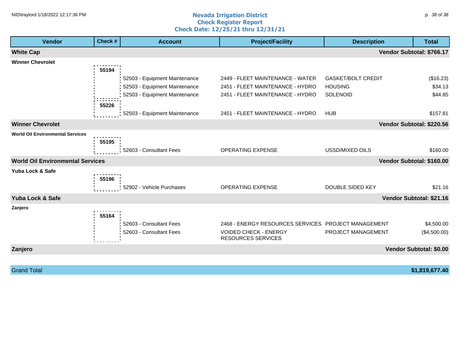#### **Nevada Irrigation District Check Register Report Check Date: 12/25/21 thru 12/31/21** NID\traylord 1/18/2022 12:17:36 PM p. 38 of 38 cm  $\sim$  and  $\sim$  Nevada Irrigation District

| <b>Vendor</b>                           | Check # | <b>Account</b>                | <b>Project/Facility</b>                             | <b>Description</b>        | <b>Total</b>              |
|-----------------------------------------|---------|-------------------------------|-----------------------------------------------------|---------------------------|---------------------------|
| <b>White Cap</b>                        |         |                               |                                                     |                           | Vendor Subtotal: \$766.17 |
| <b>Winner Chevrolet</b>                 |         |                               |                                                     |                           |                           |
|                                         | 55194   |                               |                                                     |                           |                           |
|                                         |         | 52503 - Equipment Maintenance | 2449 - FLEET MAINTENANCE - WATER                    | <b>GASKET/BOLT CREDIT</b> | (\$16.23)                 |
|                                         |         | 52503 - Equipment Maintenance | 2451 - FLEET MAINTENANCE - HYDRO                    | <b>HOUSING</b>            | \$34.13                   |
|                                         |         | 52503 - Equipment Maintenance | 2451 - FLEET MAINTENANCE - HYDRO                    | <b>SOLENOID</b>           | \$44.85                   |
|                                         | 55226   |                               |                                                     |                           |                           |
|                                         |         | 52503 - Equipment Maintenance | 2451 - FLEET MAINTENANCE - HYDRO                    | <b>HUB</b>                | \$157.81                  |
| <b>Winner Chevrolet</b>                 |         |                               |                                                     |                           | Vendor Subtotal: \$220.56 |
| <b>World Oil Environmental Services</b> |         |                               |                                                     |                           |                           |
|                                         | 55195   |                               |                                                     |                           |                           |
|                                         |         | 52603 - Consultant Fees       | OPERATING EXPENSE                                   | USSD/MIXED OILS           | \$160.00                  |
| <b>World Oil Environmental Services</b> |         |                               |                                                     |                           | Vendor Subtotal: \$160.00 |
| Yuba Lock & Safe                        |         |                               |                                                     |                           |                           |
|                                         | 55196   |                               |                                                     |                           |                           |
|                                         |         | 52902 - Vehicle Purchases     | <b>OPERATING EXPENSE</b>                            | DOUBLE SIDED KEY          | \$21.16                   |
| Yuba Lock & Safe                        |         |                               |                                                     |                           | Vendor Subtotal: \$21.16  |
| Zanjero                                 |         |                               |                                                     |                           |                           |
|                                         | 55164   |                               |                                                     |                           |                           |
|                                         |         | 52603 - Consultant Fees       | 2468 - ENERGY RESOURCES SERVICES PROJECT MANAGEMENT |                           | \$4,500.00                |
|                                         |         | 52603 - Consultant Fees       | <b>VOIDED CHECK - ENERGY</b><br>RESOURCES SERVICES  | PROJECT MANAGEMENT        | (\$4,500.00)              |
| Zanjero                                 |         |                               |                                                     |                           | Vendor Subtotal: \$0.00   |
|                                         |         |                               |                                                     |                           |                           |

Grand Total **\$1,819,677.40**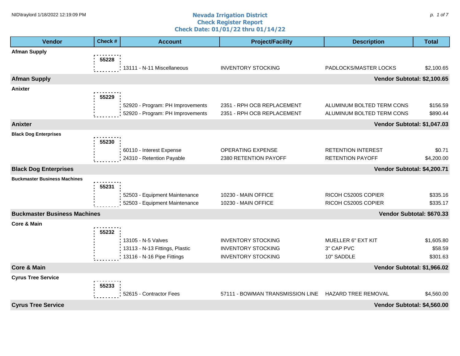#### **Nevada Irrigation District Check Register Report Check Date: 01/01/22 thru 01/14/22** NID\traylord 1/18/2022 12:19:09 PM p. 1 of 7 contract the contract of  $\sim$  **Nevada Irrigation District** contract to the contract of  $p$ . 1 of 7

| Vendor                              | Check # | <b>Account</b>                   | <b>Project/Facility</b>          | <b>Description</b>          |                           |  |
|-------------------------------------|---------|----------------------------------|----------------------------------|-----------------------------|---------------------------|--|
| <b>Afman Supply</b>                 |         |                                  |                                  |                             |                           |  |
|                                     | 55228   |                                  |                                  |                             |                           |  |
|                                     |         | 13111 - N-11 Miscellaneous       | <b>INVENTORY STOCKING</b>        | PADLOCKS/MASTER LOCKS       | \$2,100.65                |  |
| <b>Afman Supply</b>                 |         |                                  |                                  | Vendor Subtotal: \$2,100.65 |                           |  |
| <b>Anixter</b>                      |         |                                  |                                  |                             |                           |  |
|                                     | 55229   |                                  |                                  |                             |                           |  |
|                                     |         | 52920 - Program: PH Improvements | 2351 - RPH OCB REPLACEMENT       | ALUMINUM BOLTED TERM CONS   | \$156.59                  |  |
|                                     |         | 52920 - Program: PH Improvements | 2351 - RPH OCB REPLACEMENT       | ALUMINUM BOLTED TERM CONS   | \$890.44                  |  |
| <b>Anixter</b>                      |         |                                  |                                  | Vendor Subtotal: \$1,047.03 |                           |  |
| <b>Black Dog Enterprises</b>        |         |                                  |                                  |                             |                           |  |
|                                     | 55230   |                                  |                                  |                             |                           |  |
|                                     |         | 60110 - Interest Expense         | OPERATING EXPENSE                | <b>RETENTION INTEREST</b>   | \$0.71                    |  |
|                                     |         | 24310 - Retention Payable        | 2380 RETENTION PAYOFF            | <b>RETENTION PAYOFF</b>     | \$4,200.00                |  |
| <b>Black Dog Enterprises</b>        |         |                                  |                                  | Vendor Subtotal: \$4,200.71 |                           |  |
| <b>Buckmaster Business Machines</b> |         |                                  |                                  |                             |                           |  |
|                                     | 55231   |                                  |                                  |                             |                           |  |
|                                     |         | 52503 - Equipment Maintenance    | 10230 - MAIN OFFICE              | RICOH C5200S COPIER         | \$335.16                  |  |
|                                     |         | 52503 - Equipment Maintenance    | 10230 - MAIN OFFICE              | RICOH C5200S COPIER         | \$335.17                  |  |
| <b>Buckmaster Business Machines</b> |         |                                  |                                  |                             | Vendor Subtotal: \$670.33 |  |
| <b>Core &amp; Main</b>              |         |                                  |                                  |                             |                           |  |
|                                     | 55232   |                                  |                                  |                             |                           |  |
|                                     |         | 13105 - N-5 Valves               | <b>INVENTORY STOCKING</b>        | <b>MUELLER 6" EXT KIT</b>   | \$1,605.80                |  |
|                                     |         | 13113 - N-13 Fittings, Plastic   | <b>INVENTORY STOCKING</b>        | 3" CAP PVC                  | \$58.59                   |  |
|                                     |         | 13116 - N-16 Pipe Fittings       | <b>INVENTORY STOCKING</b>        | 10" SADDLE                  | \$301.63                  |  |
| <b>Core &amp; Main</b>              |         |                                  |                                  | Vendor Subtotal: \$1,966.02 |                           |  |
| <b>Cyrus Tree Service</b>           |         |                                  |                                  |                             |                           |  |
|                                     | 55233   |                                  |                                  |                             |                           |  |
|                                     |         | 52615 - Contractor Fees          | 57111 - BOWMAN TRANSMISSION LINE | HAZARD TREE REMOVAL         | \$4,560.00                |  |
| <b>Cyrus Tree Service</b>           |         |                                  |                                  | Vendor Subtotal: \$4,560.00 |                           |  |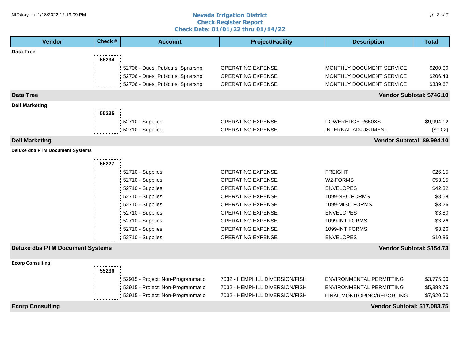#### **Nevada Irrigation District Check Register Report Check Date: 01/01/22 thru 01/14/22** NID\traylord 1/18/2022 12:19:09 PM p. 2 of 7 and 2 of 7 and 2 of 7 and 2 of 7 and 2 of 7 and 2 of 7 and 2 of 7

| <b>Vendor</b>                          | Check# | <b>Account</b>                    | <b>Project/Facility</b>        | <b>Description</b>           | <b>Total</b>              |  |
|----------------------------------------|--------|-----------------------------------|--------------------------------|------------------------------|---------------------------|--|
| <b>Data Tree</b>                       |        |                                   |                                |                              |                           |  |
|                                        | 55234  |                                   |                                |                              |                           |  |
|                                        |        | 52706 - Dues, Publctns, Spnsrshp  | OPERATING EXPENSE              | MONTHLY DOCUMENT SERVICE     | \$200.00                  |  |
|                                        |        | 52706 - Dues, Publctns, Spnsrshp  | OPERATING EXPENSE              | MONTHLY DOCUMENT SERVICE     | \$206.43                  |  |
|                                        |        | 52706 - Dues, Publctns, Spnsrshp  | <b>OPERATING EXPENSE</b>       | MONTHLY DOCUMENT SERVICE     | \$339.67                  |  |
| <b>Data Tree</b>                       |        |                                   |                                |                              | Vendor Subtotal: \$746.10 |  |
| <b>Dell Marketing</b>                  |        |                                   |                                |                              |                           |  |
|                                        | 55235  |                                   |                                |                              |                           |  |
|                                        |        | 52710 - Supplies                  | <b>OPERATING EXPENSE</b>       | POWEREDGE R650XS             | \$9,994.12                |  |
|                                        |        | 52710 - Supplies                  | <b>OPERATING EXPENSE</b>       | <b>INTERNAL ADJUSTMENT</b>   | (\$0.02)                  |  |
| <b>Dell Marketing</b>                  |        |                                   |                                | Vendor Subtotal: \$9,994.10  |                           |  |
| <b>Deluxe dba PTM Document Systems</b> |        |                                   |                                |                              |                           |  |
|                                        | 55227  |                                   |                                |                              |                           |  |
|                                        |        | 52710 - Supplies                  | <b>OPERATING EXPENSE</b>       | <b>FREIGHT</b>               | \$26.15                   |  |
|                                        |        | 52710 - Supplies                  | OPERATING EXPENSE              | W2-FORMS                     | \$53.15                   |  |
|                                        |        | 52710 - Supplies                  | OPERATING EXPENSE              | <b>ENVELOPES</b>             | \$42.32                   |  |
|                                        |        | 52710 - Supplies                  | OPERATING EXPENSE              | 1099-NEC FORMS               | \$8.68                    |  |
|                                        |        | 52710 - Supplies                  | OPERATING EXPENSE              | 1099-MISC FORMS              | \$3.26                    |  |
|                                        |        | 52710 - Supplies                  | <b>OPERATING EXPENSE</b>       | <b>ENVELOPES</b>             | \$3.80                    |  |
|                                        |        | 52710 - Supplies                  | <b>OPERATING EXPENSE</b>       | 1099-INT FORMS               | \$3.26                    |  |
|                                        |        | 52710 - Supplies                  | <b>OPERATING EXPENSE</b>       | 1099-INT FORMS               | \$3.26                    |  |
|                                        |        | 52710 - Supplies                  | <b>OPERATING EXPENSE</b>       | <b>ENVELOPES</b>             | \$10.85                   |  |
| <b>Deluxe dba PTM Document Systems</b> |        |                                   |                                |                              | Vendor Subtotal: \$154.73 |  |
| <b>Ecorp Consulting</b>                |        |                                   |                                |                              |                           |  |
|                                        | 55236  |                                   |                                |                              |                           |  |
|                                        |        | 52915 - Project: Non-Programmatic | 7032 - HEMPHILL DIVERSION/FISH | ENVIRONMENTAL PERMITTING     | \$3,775.00                |  |
|                                        |        | 52915 - Project: Non-Programmatic | 7032 - HEMPHILL DIVERSION/FISH | ENVIRONMENTAL PERMITTING     | \$5,388.75                |  |
|                                        |        | 52915 - Project: Non-Programmatic | 7032 - HEMPHILL DIVERSION/FISH | FINAL MONITORING/REPORTING   | \$7,920.00                |  |
| <b>Ecorp Consulting</b>                |        |                                   |                                | Vendor Subtotal: \$17,083.75 |                           |  |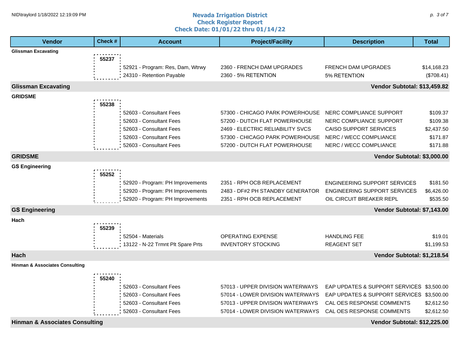#### **Nevada Irrigation District Check Register Report Check Date: 01/01/22 thru 01/14/22** NID\traylord 1/18/2022 12:19:09 PM p. 3 of 7 and 2012 and 2013 **Nevada Irrigation District** the person of  $p$ . 3 of 7

| <b>Vendor</b>                             | Check # | <b>Account</b>                                                | <b>Project/Facility</b>                           | <b>Description</b>                         | <b>Total</b>              |
|-------------------------------------------|---------|---------------------------------------------------------------|---------------------------------------------------|--------------------------------------------|---------------------------|
| <b>Glissman Excavating</b>                |         |                                                               |                                                   |                                            |                           |
|                                           | 55237   |                                                               |                                                   |                                            |                           |
|                                           |         | 52921 - Program: Res, Dam, Wtrwy<br>24310 - Retention Payable | 2360 - FRENCH DAM UPGRADES<br>2360 - 5% RETENTION | <b>FRENCH DAM UPGRADES</b><br>5% RETENTION | \$14,168.23<br>(\$708.41) |
|                                           |         |                                                               |                                                   |                                            |                           |
| <b>Glissman Excavating</b>                |         |                                                               |                                                   | Vendor Subtotal: \$13,459.82               |                           |
| <b>GRIDSME</b>                            | 55238   |                                                               |                                                   |                                            |                           |
|                                           |         | 52603 - Consultant Fees                                       | 57300 - CHICAGO PARK POWERHOUSE                   | NERC COMPLIANCE SUPPORT                    | \$109.37                  |
|                                           |         | 52603 - Consultant Fees                                       | 57200 - DUTCH FLAT POWERHOUSE                     | NERC COMPLIANCE SUPPORT                    | \$109.38                  |
|                                           |         | 52603 - Consultant Fees                                       | 2469 - ELECTRIC RELIABILITY SVCS                  | <b>CAISO SUPPORT SERVICES</b>              | \$2,437.50                |
|                                           |         | 52603 - Consultant Fees                                       | 57300 - CHICAGO PARK POWERHOUSE                   | NERC / WECC COMPLIANCE                     | \$171.87                  |
|                                           |         | 52603 - Consultant Fees                                       | 57200 - DUTCH FLAT POWERHOUSE                     | NERC / WECC COMPLIANCE                     | \$171.88                  |
| <b>GRIDSME</b>                            |         |                                                               |                                                   | Vendor Subtotal: \$3,000.00                |                           |
| <b>GS Engineering</b>                     |         |                                                               |                                                   |                                            |                           |
|                                           | 55252   |                                                               |                                                   |                                            |                           |
|                                           |         | 52920 - Program: PH Improvements                              | 2351 - RPH OCB REPLACEMENT                        | <b>ENGINEERING SUPPORT SERVICES</b>        | \$181.50                  |
|                                           |         | 52920 - Program: PH Improvements                              | 2483 - DF#2 PH STANDBY GENERATOR                  | <b>ENGINEERING SUPPORT SERVICES</b>        | \$6,426.00                |
|                                           |         | 52920 - Program: PH Improvements                              | 2351 - RPH OCB REPLACEMENT                        | OIL CIRCUIT BREAKER REPL                   | \$535.50                  |
| <b>GS Engineering</b>                     |         |                                                               |                                                   | Vendor Subtotal: \$7,143.00                |                           |
| Hach                                      |         |                                                               |                                                   |                                            |                           |
|                                           | 55239   |                                                               |                                                   |                                            |                           |
|                                           |         | 52504 - Materials                                             | <b>OPERATING EXPENSE</b>                          | <b>HANDLING FEE</b>                        | \$19.01                   |
|                                           |         | 13122 - N-22 Trmnt Plt Spare Prts                             | <b>INVENTORY STOCKING</b>                         | <b>REAGENT SET</b>                         | \$1,199.53                |
| Hach                                      |         |                                                               |                                                   | Vendor Subtotal: \$1,218.54                |                           |
| <b>Hinman &amp; Associates Consulting</b> |         |                                                               |                                                   |                                            |                           |
|                                           | 55240   |                                                               |                                                   |                                            |                           |
|                                           |         | 52603 - Consultant Fees                                       | 57013 - UPPER DIVISION WATERWAYS                  | EAP UPDATES & SUPPORT SERVICES \$3,500.00  |                           |
|                                           |         | 52603 - Consultant Fees                                       | 57014 - LOWER DIVISION WATERWAYS                  | EAP UPDATES & SUPPORT SERVICES \$3,500.00  |                           |
|                                           |         | 52603 - Consultant Fees                                       | 57013 - UPPER DIVISION WATERWAYS                  | CAL OES RESPONSE COMMENTS                  | \$2,612.50                |
|                                           |         | 52603 - Consultant Fees                                       | 57014 - LOWER DIVISION WATERWAYS                  | CAL OES RESPONSE COMMENTS                  | \$2,612.50                |
| <b>Hinman &amp; Associates Consulting</b> |         |                                                               |                                                   | Vendor Subtotal: \$12,225.00               |                           |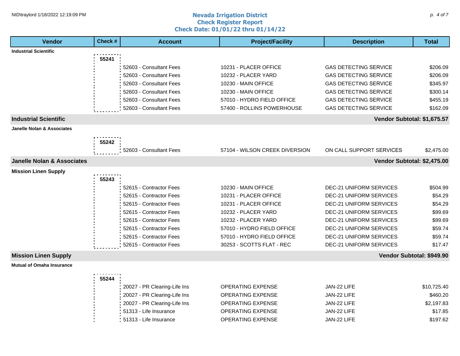#### **Nevada Irrigation District Check Register Report Check Date: 01/01/22 thru 01/14/22** NID\traylord 1/18/2022 12:19:09 PM p. 4 of 7 and 2012 and 2013 **Nevada Irrigation District** compared to the p. 4 of 7 and 2013 and 2014 and 2013 and 2014 and 2013 and 2014 and 2013 and 2014 and 2013 and 2014 and 2014 and

| <b>Vendor</b>                         | Check # | <b>Account</b>               | <b>Project/Facility</b>        | <b>Description</b>             | <b>Total</b>              |
|---------------------------------------|---------|------------------------------|--------------------------------|--------------------------------|---------------------------|
| <b>Industrial Scientific</b>          |         |                              |                                |                                |                           |
|                                       | 55241   |                              |                                |                                |                           |
|                                       |         | 52603 - Consultant Fees      | 10231 - PLACER OFFICE          | <b>GAS DETECTING SERVICE</b>   | \$206.09                  |
|                                       |         | 52603 - Consultant Fees      | 10232 - PLACER YARD            | <b>GAS DETECTING SERVICE</b>   | \$206.09                  |
|                                       |         | 52603 - Consultant Fees      | 10230 - MAIN OFFICE            | <b>GAS DETECTING SERVICE</b>   | \$345.97                  |
|                                       |         | 52603 - Consultant Fees      | 10230 - MAIN OFFICE            | <b>GAS DETECTING SERVICE</b>   | \$300.14                  |
|                                       |         | 52603 - Consultant Fees      | 57010 - HYDRO FIELD OFFICE     | <b>GAS DETECTING SERVICE</b>   | \$455.19                  |
|                                       |         | 52603 - Consultant Fees      | 57400 - ROLLINS POWERHOUSE     | <b>GAS DETECTING SERVICE</b>   | \$162.09                  |
| <b>Industrial Scientific</b>          |         |                              |                                | Vendor Subtotal: \$1,675.57    |                           |
| <b>Janelle Nolan &amp; Associates</b> |         |                              |                                |                                |                           |
|                                       |         |                              |                                |                                |                           |
|                                       | 55242   |                              |                                |                                |                           |
|                                       |         | 52603 - Consultant Fees      | 57104 - WILSON CREEK DIVERSION | ON CALL SUPPORT SERVICES       | \$2,475.00                |
| <b>Janelle Nolan &amp; Associates</b> |         |                              |                                | Vendor Subtotal: \$2,475.00    |                           |
| <b>Mission Linen Supply</b>           |         |                              |                                |                                |                           |
|                                       | 55243   |                              |                                |                                |                           |
|                                       |         | 52615 - Contractor Fees      | 10230 - MAIN OFFICE            | <b>DEC-21 UNIFORM SERVICES</b> | \$504.99                  |
|                                       |         | 52615 - Contractor Fees      | 10231 - PLACER OFFICE          | <b>DEC-21 UNIFORM SERVICES</b> | \$54.29                   |
|                                       |         | 52615 - Contractor Fees      | 10231 - PLACER OFFICE          | <b>DEC-21 UNIFORM SERVICES</b> | \$54.29                   |
|                                       |         | 52615 - Contractor Fees      | 10232 - PLACER YARD            | <b>DEC-21 UNIFORM SERVICES</b> | \$99.69                   |
|                                       |         | 52615 - Contractor Fees      | 10232 - PLACER YARD            | <b>DEC-21 UNIFORM SERVICES</b> | \$99.69                   |
|                                       |         | 52615 - Contractor Fees      | 57010 - HYDRO FIELD OFFICE     | <b>DEC-21 UNIFORM SERVICES</b> | \$59.74                   |
|                                       |         | 52615 - Contractor Fees      | 57010 - HYDRO FIELD OFFICE     | <b>DEC-21 UNIFORM SERVICES</b> | \$59.74                   |
|                                       |         | 52615 - Contractor Fees      | 30253 - SCOTTS FLAT - REC      | <b>DEC-21 UNIFORM SERVICES</b> | \$17.47                   |
| <b>Mission Linen Supply</b>           |         |                              |                                |                                | Vendor Subtotal: \$949.90 |
| <b>Mutual of Omaha Insurance</b>      |         |                              |                                |                                |                           |
|                                       | 55244   |                              |                                |                                |                           |
|                                       |         | 20027 - PR Clearing-Life Ins | <b>OPERATING EXPENSE</b>       | JAN-22 LIFE                    | \$10,725.40               |
|                                       |         | 20027 - PR Clearing-Life Ins | <b>OPERATING EXPENSE</b>       | JAN-22 LIFE                    | \$460.20                  |
|                                       |         | 20027 - PR Clearing-Life Ins | <b>OPERATING EXPENSE</b>       | JAN-22 LIFE                    | \$2,197.83                |
|                                       |         | 51313 - Life Insurance       | <b>OPERATING EXPENSE</b>       | JAN-22 LIFE                    | \$17.85                   |
|                                       |         | 51313 - Life Insurance       | <b>OPERATING EXPENSE</b>       | JAN-22 LIFE                    | \$197.62                  |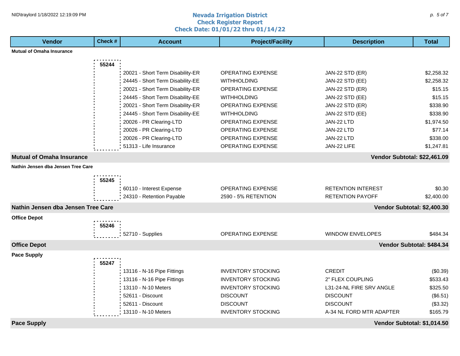#### **Nevada Irrigation District Check Register Report Check Date: 01/01/22 thru 01/14/22** NID\traylord 1/18/2022 12:19:09 PM p. 5 of 7 and  $\alpha$  and  $\alpha$  are all the contract of  $P$  is the contract of  $p$ . 5 of 7 and  $p$  is the contract of  $p$  is the contract of  $p$ . 5 of 7 and  $p$  is the contract of  $p$  is the

| Vendor                             | Check # | <b>Account</b>                   | <b>Project/Facility</b>   | <b>Description</b>           | <b>Total</b> |
|------------------------------------|---------|----------------------------------|---------------------------|------------------------------|--------------|
| <b>Mutual of Omaha Insurance</b>   |         |                                  |                           |                              |              |
|                                    | 55244   |                                  |                           |                              |              |
|                                    |         | 20021 - Short Term Disability-ER | <b>OPERATING EXPENSE</b>  | JAN-22 STD (ER)              | \$2,258.32   |
|                                    |         | 24445 - Short Term Disability-EE | <b>WITHHOLDING</b>        | JAN-22 STD (EE)              | \$2,258.32   |
|                                    |         | 20021 - Short Term Disability-ER | <b>OPERATING EXPENSE</b>  | JAN-22 STD (ER)              | \$15.15      |
|                                    |         | 24445 - Short Term Disability-EE | <b>WITHHOLDING</b>        | JAN-22 STD (EE)              | \$15.15      |
|                                    |         | 20021 - Short Term Disability-ER | <b>OPERATING EXPENSE</b>  | JAN-22 STD (ER)              | \$338.90     |
|                                    |         | 24445 - Short Term Disability-EE | <b>WITHHOLDING</b>        | JAN-22 STD (EE)              | \$338.90     |
|                                    |         | 20026 - PR Clearing-LTD          | OPERATING EXPENSE         | JAN-22 LTD                   | \$1,974.50   |
|                                    |         | 20026 - PR Clearing-LTD          | OPERATING EXPENSE         | JAN-22 LTD                   | \$77.14      |
|                                    |         | 20026 - PR Clearing-LTD          | <b>OPERATING EXPENSE</b>  | JAN-22 LTD                   | \$338.00     |
|                                    |         | 51313 - Life Insurance           | OPERATING EXPENSE         | JAN-22 LIFE                  | \$1,247.81   |
| <b>Mutual of Omaha Insurance</b>   |         |                                  |                           | Vendor Subtotal: \$22,461.09 |              |
| Nathin Jensen dba Jensen Tree Care |         |                                  |                           |                              |              |
|                                    |         |                                  |                           |                              |              |
|                                    | 55245   |                                  |                           |                              |              |
|                                    |         | 60110 - Interest Expense         | <b>OPERATING EXPENSE</b>  | <b>RETENTION INTEREST</b>    | \$0.30       |
|                                    |         | 24310 - Retention Payable        | 2590 - 5% RETENTION       | <b>RETENTION PAYOFF</b>      | \$2,400.00   |
| Nathin Jensen dba Jensen Tree Care |         |                                  |                           | Vendor Subtotal: \$2,400.30  |              |
| <b>Office Depot</b>                |         |                                  |                           |                              |              |
|                                    | 55246   |                                  |                           |                              |              |
|                                    |         | 52710 - Supplies                 | <b>OPERATING EXPENSE</b>  | <b>WINDOW ENVELOPES</b>      | \$484.34     |
| <b>Office Depot</b>                |         |                                  |                           | Vendor Subtotal: \$484.34    |              |
| <b>Pace Supply</b>                 |         |                                  |                           |                              |              |
|                                    | 55247   |                                  |                           |                              |              |
|                                    |         | 13116 - N-16 Pipe Fittings       | <b>INVENTORY STOCKING</b> | <b>CREDIT</b>                | (\$0.39)     |
|                                    |         | 13116 - N-16 Pipe Fittings       | <b>INVENTORY STOCKING</b> | 2" FLEX COUPLING             | \$533.43     |
|                                    |         | 13110 - N-10 Meters              | <b>INVENTORY STOCKING</b> | L31-24-NL FIRE SRV ANGLE     | \$325.50     |
|                                    |         | 52611 - Discount                 | <b>DISCOUNT</b>           | <b>DISCOUNT</b>              | (\$6.51)     |
|                                    |         | 52611 - Discount                 | <b>DISCOUNT</b>           | <b>DISCOUNT</b>              | (\$3.32)     |
|                                    |         | 13110 - N-10 Meters              | <b>INVENTORY STOCKING</b> | A-34 NL FORD MTR ADAPTER     | \$165.79     |
| <b>Pace Supply</b>                 |         |                                  |                           | Vendor Subtotal: \$1,014.50  |              |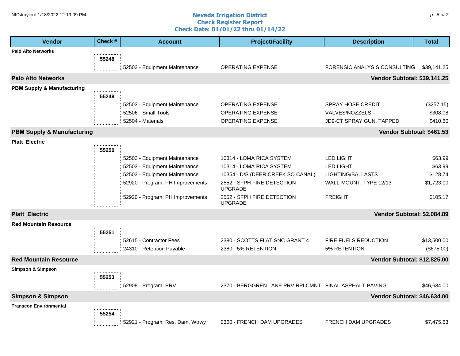#### **Nevada Irrigation District Check Register Report Check Date: 01/01/22 thru 01/14/22** NID\traylord 1/18/2022 12:19:09 PM p. 6 of 7 and  $\alpha$  and  $\alpha$  are contracted by  $\rho$  and  $\rho$  and  $\rho$  and  $\rho$  and  $\rho$  and  $\rho$  and  $\rho$  and  $\rho$  and  $\rho$  and  $\rho$  and  $\rho$  and  $\rho$  and  $\rho$  and  $\rho$  and  $\rho$  and  $\rho$

| <b>Vendor</b>                         | Check # | <b>Account</b>                   | <b>Project/Facility</b>                               | <b>Description</b>           | <b>Total</b> |
|---------------------------------------|---------|----------------------------------|-------------------------------------------------------|------------------------------|--------------|
| <b>Palo Alto Networks</b>             |         |                                  |                                                       |                              |              |
|                                       | 55248   |                                  |                                                       |                              |              |
|                                       |         | 52503 - Equipment Maintenance    | <b>OPERATING EXPENSE</b>                              | FORENSIC ANALYSIS CONSULTING | \$39,141.25  |
| <b>Palo Alto Networks</b>             |         |                                  |                                                       | Vendor Subtotal: \$39,141.25 |              |
| <b>PBM Supply &amp; Manufacturing</b> |         |                                  |                                                       |                              |              |
|                                       | 55249   |                                  |                                                       |                              |              |
|                                       |         | 52503 - Equipment Maintenance    | <b>OPERATING EXPENSE</b>                              | <b>SPRAY HOSE CREDIT</b>     | (\$257.15)   |
|                                       |         | 52506 - Small Tools              | <b>OPERATING EXPENSE</b>                              | VALVES/NOZZELS               | \$308.08     |
|                                       |         | 52504 - Materials                | <b>OPERATING EXPENSE</b>                              | JD9-CT SPRAY GUN, TAPPED     | \$410.60     |
| <b>PBM Supply &amp; Manufacturing</b> |         |                                  |                                                       | Vendor Subtotal: \$461.53    |              |
| <b>Platt Electric</b>                 |         |                                  |                                                       |                              |              |
|                                       | 55250   |                                  |                                                       |                              |              |
|                                       |         | 52503 - Equipment Maintenance    | 10314 - LOMA RICA SYSTEM                              | <b>LED LIGHT</b>             | \$63.99      |
|                                       |         | 52503 - Equipment Maintenance    | 10314 - LOMA RICA SYSTEM                              | <b>LED LIGHT</b>             | \$63.99      |
|                                       |         | 52503 - Equipment Maintenance    | 10354 - D/S (DEER CREEK SO CANAL)                     | LIGHTING/BALLASTS            | \$128.74     |
|                                       |         | 52920 - Program: PH Improvements | 2552 - SFPH FIRE DETECTION<br><b>UPGRADE</b>          | WALL-MOUNT, TYPE 12/13       | \$1,723.00   |
|                                       |         | 52920 - Program: PH Improvements | 2552 - SFPH FIRE DETECTION<br><b>UPGRADE</b>          | <b>FREIGHT</b>               | \$105.17     |
| <b>Platt Electric</b>                 |         |                                  |                                                       | Vendor Subtotal: \$2,084.89  |              |
| <b>Red Mountain Resource</b>          |         |                                  |                                                       |                              |              |
|                                       | 55251   |                                  |                                                       |                              |              |
|                                       |         | 52615 - Contractor Fees          | 2380 - SCOTTS FLAT SNC GRANT 4                        | FIRE FUELS REDUCTION         | \$13,500.00  |
|                                       |         | 24310 - Retention Payable        | 2380 - 5% RETENTION                                   | 5% RETENTION                 | (\$675.00)   |
| <b>Red Mountain Resource</b>          |         |                                  |                                                       | Vendor Subtotal: \$12,825.00 |              |
| <b>Simpson &amp; Simpson</b>          |         |                                  |                                                       |                              |              |
|                                       | 55253   |                                  |                                                       |                              |              |
|                                       |         | 52908 - Program: PRV             | 2370 - BERGGREN LANE PRV RPLCMNT FINAL ASPHALT PAVING |                              | \$46,634.00  |
| <b>Simpson &amp; Simpson</b>          |         |                                  |                                                       | Vendor Subtotal: \$46,634.00 |              |
| <b>Transcon Environmental</b>         |         |                                  |                                                       |                              |              |
|                                       | 55254   |                                  |                                                       |                              |              |
|                                       |         | 52921 - Program: Res, Dam, Wtrwy | 2360 - FRENCH DAM UPGRADES                            | <b>FRENCH DAM UPGRADES</b>   | \$7,475.63   |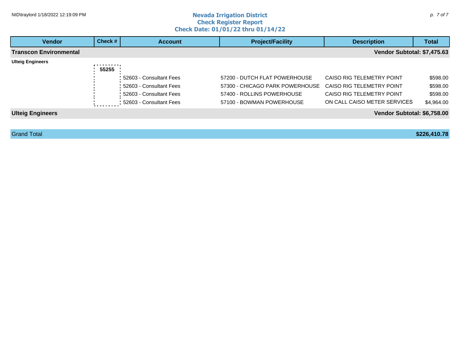#### **Nevada Irrigation District Check Register Report Check Date: 01/01/22 thru 01/14/22** NID\traylord 1/18/2022 12:19:09 PM p. 7 of 7

| <b>Vendor</b>           | Check # | <b>Account</b>            | <b>Project/Facility</b><br><b>Description</b> |                                  |            |
|-------------------------|---------|---------------------------|-----------------------------------------------|----------------------------------|------------|
| Transcon Environmental  |         |                           |                                               | Vendor Subtotal: \$7,475.63      |            |
| <b>Ulteig Engineers</b> | .       |                           |                                               |                                  |            |
|                         | 55255   |                           |                                               |                                  |            |
|                         |         | 52603 - Consultant Fees   | 57200 - DUTCH FLAT POWERHOUSE                 | CAISO RIG TELEMETRY POINT        | \$598.00   |
|                         |         | 52603 - Consultant Fees   | 57300 - CHICAGO PARK POWERHOUSE               | CAISO RIG TELEMETRY POINT        | \$598.00   |
|                         |         | 52603 - Consultant Fees   | 57400 - ROLLINS POWERHOUSE                    | <b>CAISO RIG TELEMETRY POINT</b> | \$598.00   |
|                         |         | : 52603 - Consultant Fees | 57100 - BOWMAN POWERHOUSE                     | ON CALL CAISO METER SERVICES     | \$4,964.00 |
| <b>Ulteig Engineers</b> |         |                           |                                               | Vendor Subtotal: \$6,758.00      |            |
|                         |         |                           |                                               |                                  |            |

Grand Total **\$226,410.78**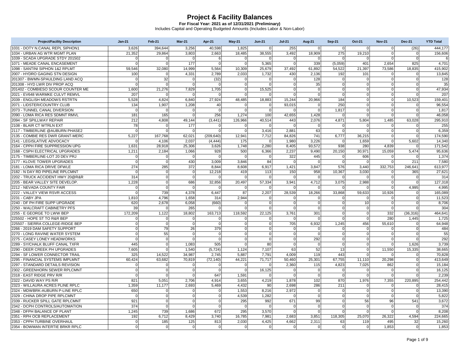| <b>Project/Facility Description</b>                        | $Jan-21$        | <b>Feb-21</b> | <b>Mar-21</b>            | Apr-21       | <b>May-21</b>  | <b>Jun-21</b>   | $Jul-21$       | <b>Aug-21</b>  | <b>Sep-21</b>  | <b>Oct-21</b>  | <b>Nov-21</b>  | <b>Dec-21</b>  | <b>YTD Total</b> |
|------------------------------------------------------------|-----------------|---------------|--------------------------|--------------|----------------|-----------------|----------------|----------------|----------------|----------------|----------------|----------------|------------------|
| 1031 - DOTY N.CANAL REPL SIPHON1                           | 3.626           | 394.644       | 3,256                    | 40.598       | 1,825          | $\mathbf 0$     | 255            | $\mathbf 0$    | $\Omega$       | $\overline{0}$ | $\Omega$       | (26)           | 444.177          |
| 1034 - URBAN AG WTR MGMT PLAN                              | 21,352          | 29,864        | 3,803                    | 2,663        | 18,485         | 38,555          | 3,492          | 18,909         | 275            | 19,210         | $\Omega$       | $\Omega$       | 156,606          |
| 1039 - SCADA UPGRADE STDY 201502                           | $\Omega$        |               | $\Omega$                 |              | $\Omega$       |                 | $\Omega$       | $\Omega$       | $\Omega$       | 0              | $\Omega$       | $\Omega$       | 6                |
| 1071 - MEADE CANAL ENCASEMENT                              | $\Omega$        | $\Omega$      | 177                      | $\Omega$     | $\mathbf 0$    | 5.365           | $\Omega$       | 339            | (5,059)        | 401            | 2.654          | 825            | 4,701            |
| 1098 - SANTINI SIPHON 1&2 RPLMT                            | 59,546          | 32,080        | 14,999                   | 5,564        | 10,309         | 25,679          | 37,492         | 61,892         | 54,522         | 21,397         | 73,586         | 18,835         | 415,902          |
| 2007 - HYDRO GAGING STN DESIGN                             | 100             |               | 4,331                    | 2,789        | 2,033          | 1,732           | 430            | 2,136          | 192            | 101            | $\Omega$       |                | 13,845           |
| 201307 - BWMN-SPAULDING LAND ACQ                           | $\mathbf 0$     | 32            | $\mathbf{0}$             | (32)         | $\mathbf 0$    | $\mathbf 0$     | $\Omega$       | 128            | $\mathbf 0$    | $\overline{0}$ | $\mathbf 0$    | $\Omega$       | 128              |
| 201308 - HYD LWR DIV PROP ACQ                              | $\Omega$        | $\Omega$      | $\mathbf{0}$             | $\sqrt{ }$   | $\mathbf 0$    | $\Omega$        | $\Omega$       | 35             | $\Omega$       | 0              | $\Omega$       |                | 35               |
| 201402 - COMBIESO SCOUR COUNTER ME                         | 1,600           | 21,276        | 7,829                    | 1,705        | $\mathbf 0$    | 15,525          | $\Omega$       | $\Omega$       | $\Omega$       | $\overline{0}$ | $\mathbf 0$    | $\Omega$       | 47,934           |
| 2021 - EV648 WARMKE CULVT REMVL                            | 207             | O             | $\mathbf{0}$             | -C           | $\overline{0}$ | $\Omega$        | $\Omega$       | $\mathbf 0$    | $\Omega$       | $\overline{0}$ | $\mathbf 0$    | $\Omega$       | 207              |
| 2039 - ENGLISH MEADOWS RSTRTN                              | 5,528           | 4,824         | 6,840                    | 27,924       | 48,485         | 18,883          | 15,244         | 20,966         | 184            | <sub>0</sub>   | $\mathbf 0$    | 10,523         | 159,401          |
| 2071 - LIDSTER/COUNTRY CLUB                                | 134             | 1,907         | 1,208                    | 40           | $\Omega$       | $\Omega$        | 93,015         | $\Omega$       | 250            | $\overline{0}$ | $\Omega$       | $\Omega$       | 96,554           |
| 2073 - TUNNEL CANAL DIVERSION                              | $\Omega$        | $\Omega$      | $\mathbf 0$              | $\Omega$     | $\mathbf 0$    | $\mathbf 0$     | $\Omega$       | $\mathbf 0$    | 1,817          | 0              | $\mathbf 0$    | $\Omega$       | 1,817            |
| 2090 - LOMA RICA RES SDMNT RMVL                            | 181             | 165           | $\mathbf 0$              | 256          | 1,274          | 100             | 42,655         | 1,428          | $\Omega$       | <sub>0</sub>   | $\Omega$       |                | 46,058           |
| 2094 - SF SPILLWAY REPAIR                                  | 212             | 4,808         | 49,144                   | (3, 441)     | 126,966        | 40,514          | 443            | 2.076          | 4,871          | 5,804          | 1.485          | 63.028         | 295.910          |
| 2108 - BLAIR CT WTRLN EXT                                  | 78              | $\Omega$      | 177                      | $\Omega$     | $\mathbf 0$    | $\Omega$        | $\Omega$       | $\mathbf 0$    | $\Omega$       | $\overline{0}$ | $\mathbf 0$    | $\Omega$       | 255              |
| 2117 - TIMBERLINE @AUBURN PHASE2                           | $\Omega$        | O             | $\mathbf{0}$             | $\sqrt{ }$   | $\mathbf 0$    | 3,416           | 2,881          | 63             | $\Omega$       | $\Omega$       | $\overline{0}$ | $\Omega$       | 6,359            |
| 2135 - COMBIE RES DWR GRANT-MERC                           | 5.227           | 167.768       | 62.021                   | (209, 640)   | 12.941         | 7,712           | 84.826         | 741            | 6.777          | 36,215         | $\Omega$       |                | 174.590          |
| 2141 - LEGISLATIVE ADVOCACY                                | $\mathbf 0$     | 4,106         | 2,037                    | (4, 444)     | 175            | $\Omega$        | 1,980          | 3,226          | $\mathbf 0$    | 1,659          | $\mathbf 0$    | 5,602          | 14,340           |
| 2164 - CPPH FIRE SUPPRESSION UPG                           | 1,631           | 28,918        | 25,306                   | 3,626        | 1,748          | 2,280           | 8,405          | 93,572         | 938            | 280            | 4,839          |                | 171,542          |
| 2168 - CSPH ELECTRICAL UPGRADES                            | 1.211           | 2.184         | 1.066                    | 928          | 500            | 6.366           | 2.237          | 9.490          | 20.150         | 30.971         | 15,059         | 5,474          | 95.636           |
| 2175 - TIMBERLINE-LOT 20 DEV PRJ                           | $\mathbf 0$     | $\Omega$      | $\mathbf{0}$             | $\mathsf{C}$ | $\mathbf 0$    | $\Omega$        | 322            | 445            | $\mathbf 0$    | 606            | $\mathbf 0$    | -0             | 1,374            |
| 2177 - KLOVE TOWER UPGRADES                                | $\mathbf 0$     | $\Omega$      | 430                      | 3.009        | 3,846          | 84              | $\Omega$       | $\Omega$       | $\Omega$       | $\Omega$       | $\Omega$       | 211            | 7,580            |
| 2181 - LOMA RICA DRIVE DFWLE                               | 274             | 285           | 372                      | 8,844        | 8,608          | 6,917           | 1,421          | 3,847          | 576            | 3,440          | 332,753        | 246,641        | 613,977          |
| 2182 - N DAY RD PIPELINE RPLCMNT                           | $\mathbf 0$     | $\mathbf 0$   | $\mathbf 0$              | 12,218       | 419            | 113             | 150            | 958            | 10,367         | 3,030          | 0              | 365            | 27,621           |
| 2202 - TRUCK ACCIDENT HWY 20@R&R                           | 314             | $\Omega$      | $\Omega$                 | $\sqrt{ }$   | $\Omega$       | $\Omega$        | $\Omega$       | $\Omega$       | $\Omega$       | $\overline{0}$ | $\Omega$       | $\Omega$       | 314              |
| 2205 - BEAR VALLEY SITE DEVELOP.                           | 1,228           | $\Omega$      | 686                      | 32,856       | 20,497         | 57,334          | 3,941          | 4,712          | 3,075          | 2,988          | $\mathbf 0$    | $\Omega$       | 127,318          |
| 2212 - NEVADA COUNTY FAIR                                  | $\mathbf 0$     | $\Omega$      | $\mathbf 0$              | C            | $\mathbf 0$    | $\Omega$        | O              | $\Omega$       | $\Omega$       | $\overline{0}$ | $\mathbf 0$    | 4,995          | 4,995            |
| 2222 - VALLEY VIEW RSVR ACCESS                             | $\Omega$        | 739           | 4,378                    | 6.447        | 87             | 2,207           | 28,539         | 18,266         | 33,868         | 59,633         | 10,926         | $\Omega$       | 165.089          |
| 2231 - CABY JPA                                            | 1,810           | 4,796         | 1,658                    | 314          | 2,944          | $\Omega$        | $\Omega$       | $\overline{0}$ | $\Omega$       | $\Omega$       | $\Omega$       | $\Omega$       | 11,523           |
| 2240 - DF PH FIRE SUPP UPGRADE                             | 620             | 2,678         | 6,058                    | (660)        | $\Omega$       | $\overline{0}$  | $\Omega$       | 0              | $\Omega$       | 10             | $\mathbf 0$    | $\overline{0}$ | 8,706            |
| 2250 - WALCRAFT CABINETRY PFS                              | 39              |               | 265                      |              | $\Omega$       | $\Omega$        | $\Omega$       | $\Omega$       | $\Omega$       | 0              | $\Omega$       |                | 304              |
| 2255 - E GEORGE TO LWW BEP                                 | 172,209         | 1,122         | 18,802                   | 163,713      | 118,592        | 22,125          | 3,761          | 301            | $\Omega$       | $\Omega$       | 332            | (36, 316)      | 464,641          |
| 225502 - HOPE ST TO R&R BEP                                | $\Omega$        | $\Omega$      | $\mathbf{0}$             | $\Omega$     | $\mathbf 0$    | $\Omega$        | $\Omega$       | $\Omega$       | $\Omega$       | $\overline{0}$ | 280            | 1.445          | 1.725            |
| 225507 - SIERRA COLLEGE-RIDGE BEP                          | $\Omega$        | $\Omega$      | $\mathbf 0$              | $\mathsf{C}$ | $\mathbf 0$    | $\overline{0}$  | 705            | 6,932          | 1,245          | 456            | 55,610         | $\Omega$       | 64,948           |
| 2266 - 2019 DAM SAFETY SUPPORT                             | $\Omega$        | 79            | 26                       | 379          | $\mathbf 0$    | $\overline{0}$  | $\Omega$       | $\Omega$       |                | $\overline{0}$ | $\Omega$       | $\Omega$       | 484              |
| 2270 - LONG RAVINE WATER SYSTEM                            | $\mathbf 0$     | 55            | $\mathbf{0}$             | $\Omega$     | $\mathbf 0$    | $\overline{0}$  | $\Omega$       | $\Omega$       | $\Omega$       | $\overline{0}$ | $\overline{0}$ | $\Omega$       | 55               |
| 2275 - CASEY LONEY HEADWORKS                               | $\Omega$        | $\mathbf 0$   | $\Omega$                 | $\mathsf{C}$ | $\Omega$       | $\Omega$        | $\Omega$       | 292            | $\Omega$       | 0              | $\Omega$       |                | 292              |
| 2289 - SY/CHALK BLUFF CANAL TXFR                           | 445             | $\Omega$      | 1,083                    | 505          | $\Omega$       | 80              | $\Omega$       | $\Omega$       | $\Omega$       | 0              | $\Omega$       | 1,626          | 3,739            |
| 2290 - DEER CREEK PH UPGRADES                              | 7.605           | $\Omega$      | 1.540                    | (5, 724)     | 1,124          | 7,107           | 63             | 52             | 13             | $\overline{0}$ | 11.550         | 15,335         | 38.665           |
| 2294 - SF LOWER CONNECTOR TRAIL                            | 325             | 14,522        | 34,987                   | 2,745        | 5,887          | 7,791           | 4,009          | 119            | 443            | $\Omega$       |                | $\Omega$       | 70,828           |
| 2295 - FINANCIAL SYSTEMS IMPLMNT                           | 60,424          | 63,682        | 70,819                   | (72, 140)    | 44,221         | 71,717          | 50,460         | 25,301         | 67,755         | 11,110         | 20,298         | $\Omega$       | 413,649          |
| 2297 - STANDARD DETAILS REVISION                           | $\mathbf 0$     | $\Omega$      | $\mathbf{0}$             | $\Omega$     | $\mathbf 0$    | $\Omega$        | 2.360          | 115            | 4,823          | 7.025          | 862            | $\Omega$       | 15.184           |
| 2302 - GREENHORN SEWER RPLCMNT                             | $\mathbf 0$     | $\Omega$      | $\mathbf{0}$             |              | $\mathbf 0$    | 16,125          | $\Omega$       | $\mathbf 0$    | $\Omega$       | 0              | $\overline{0}$ |                | 16,125           |
| 2318 - EAST RIDGE PRV R/R                                  | $\Omega$        |               | $\mathbf{0}$             | 647          | 1,591          |                 | $\Omega$       | $\Omega$       | $\Omega$       | $\Omega$       | $\Omega$       |                | 2,239            |
| 2322 - DAVID WAY PS R/R                                    | 821             | 5,051         | 2,706                    | 4,914        | 3,655          | 4,219           | 1,878          | 102            | 870            | 1,976          | 7,355          | 220,895        | 254,442          |
| 2323 - WILLAURA ACRES PLINE RPLC                           | 1,359           | 11,177        | 2,693                    | 5,469        | 4,432          | 90              | 2,698          | 286            | 211            | 0              | $\overline{0}$ |                | 28,415           |
| 2324 - MDWBRK-AUBURN P-LINE RPLC                           | 650             | $\Omega$      | $\mathbf{0}$             | $\sqrt{ }$   | 1,553          | 8,216           | 2,972          | $\Omega$       | $\Omega$       | $\Omega$       | $\Omega$       | $\Omega$       | 13,390           |
| 2329 - CHINA DROP PIPE RPLCMNT                             | $\mathbf 0$     | $\mathbf 0$   | $\overline{0}$           | $\Omega$     | 4,539          | 1,282           | $\Omega$       |                | $\Omega$       | $\overline{0}$ | $\mathbf 0$    | $\Omega$       | 5,822            |
| 2339 - RUCKER SPILL GATE RPLCMNT                           | 921             | $\Omega$      |                          | $\Omega$     | 295            |                 | 671            | $\mathbf 0$    | $\Omega$       | 56             | 96             | 541            | 3,672            |
| 2342 - DCPH CONTROLS/AUTOMATION                            | 374             | $\Omega$      | $\mathbf{0}$<br>$\Omega$ | $\Omega$     | $\Omega$       | 992<br>$\Omega$ | $\Omega$       | 99<br>$\Omega$ | $\Omega$       | $\Omega$       | $\Omega$       |                | 374              |
|                                                            |                 |               |                          |              |                |                 | $\overline{0}$ | $\Omega$       | $\Omega$       |                | $\Omega$       |                |                  |
| 2348 - DFPH BALANCE OF PLANT<br>2351 - RPH OCB REPLACEMENT | 1,245           | 739           | 1,686                    | 672          | 295            | 3,570           |                |                |                | $\overline{0}$ |                | $\mathbf 0$    | 8,208<br>224.665 |
|                                                            | 192<br>$\Omega$ | 6,712         | 8,429                    | 3,740<br>813 | 16,785         | 7,981           | 2,683          | 3,851          | 118,305        | 25,070         | 26,322         | 4,594<br>32    |                  |
| 2353 - CPPH TURBINE OVERHAUL                               |                 | 185           | 125                      |              | 2,030          | 4,425           | 4.662          | 2.311          | 63             | 119            | 495            |                | 15,260           |
| 2354 - BOWMAN INTERTIE BRKR RPLC                           | $\mathbf 0$     | $\mathbf 0$   | $\overline{0}$           | $\mathbf 0$  | $\mathbf 0$    | $\mathbf 0$     | $\overline{0}$ | $\mathbf 0$    | $\overline{0}$ | $\overline{0}$ | 1,853          | <sub>0</sub>   | 1,853            |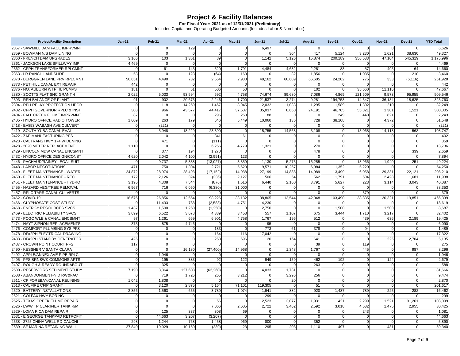| <b>Project/Facility Description</b> | <b>Jan-21</b> | Feb-21         | <b>Mar-21</b>  | Apr-21         | $May-21$       | <b>Jun-21</b>  | <b>Jul-21</b>   | <b>Aug-21</b>  | <b>Sep-21</b>  | Oct-21         | <b>Nov-21</b>  | <b>Dec-21</b> | <b>YTD Total</b> |
|-------------------------------------|---------------|----------------|----------------|----------------|----------------|----------------|-----------------|----------------|----------------|----------------|----------------|---------------|------------------|
| 2357 - SAWMILL DAM FACE IMPRVMNT    | $\mathbf 0$   | $\mathbf 0$    | 129            | $\mathbf{0}$   | $\overline{0}$ | 6,497          | $\overline{0}$  | $\mathbf 0$    | $\overline{0}$ | 0              | $\mathbf 0$    | $\mathbf 0$   | 6,626            |
| 2359 - BOWMAN N/S DAM LINING        | $\mathbf{0}$  | $\overline{0}$ | $\Omega$       | $\Omega$       | $\mathbf 0$    | $\Omega$       | 304             | 417            | 5.124          | 3.230          | 1,621          | 38.630        | 49.327           |
| 2360 - FRENCH DAM UPGRADES          | 3,166         | 103            | 1,351          | 89             | $\mathbf 0$    | 1,142          | 5,126           | 15,874         | 200,189        | 356,533        | 47,104         | 545,319       | 1,175,996        |
| 2361 - JACKSON LAKE SPILLWAY IMP    | 4,469         | $\overline{0}$ | 0              | $\overline{0}$ | $\mathbf 0$    | $\Omega$       | $\Omega$        | $\Omega$       | $\overline{0}$ | $\Omega$       | 0              | $\Omega$      | 4,469            |
| 2362 - CPPH TRANSFORMER RPLCMNT     | $\mathbf{0}$  | 61             | 143            | 520            | 1.791          | 4,484          | 4.682           | 2.281          | 83             | 57             | 495            | 64            | 14.660           |
| 2363 - LR RANCH LANDSLIDE           | 53            | $\sqrt{ }$     | 128            | (64)           | 160            |                | 32 <sub>1</sub> | 1,856          | $\Omega$       | 1,085          | $\Omega$       | 210           | 3,460            |
| 2370 - BERGGREN LANE PRV RPLCMNT    | 56,651        | 4,490          | 732            | 2,554          | 2,930          | 48,162         | 60,609          | 66,605         | 24,202         | 775            | 333            | (6, 116)      | 261,928          |
| 2373 - PET HILL CANAL EXT REPAIR    | 442           | $\Omega$       | $\Omega$       | $\Omega$       | $\mathbf 0$    | $\Omega$       | $\Omega$        | $\Omega$       | $\Omega$       |                | $\Omega$       |               | 442              |
| 2376 - NO. AUBURN WTP HL PUMPS      | 181           | $\Omega$       | 51             | 506            | 50             | $\Omega$       | $\Omega$        | 102            | $\Omega$       | 35,660         | 11,116         | $\Omega$      | 47,667           |
| 2380 - SCOTTS FLAT SNC GRANT 4      | 2,022         | 5,033          | 93,594         | 692            | 4,758          | 74,674         | 89,680          | 7,086          | 4,869          | 121,609        | 9,573          | 95,955        | 509,546          |
| 2393 - RPH BALANCE OF PLANT         | 91            | 902            | 20.673         | 2.246          | 1.700          | 21,537         | 3.274           | 9.281          | 194,753        | 14.547         | 36,134         | 18,625        | 323.763          |
| 2394 - RPH RELAY PROTECTION UPGR    | $\mathbf{0}$  | 118            | 14,259         | 1,467          | 8,945          | 2,032          | 1,033           | 1,295          | 1,589          | 1,302          | 210            |               | 32,249           |
| 2402 - CPPH GOVERNOR RPLC & INST    | 303           | 966            | 43,577         | 44,417         | 37,507         | 35,037         | 8,660           | 24,191         | 46,705         | 55,821         | 1,301          | 1,521         | 300,005          |
| 2404 - FALL CREEK FLUME IMPRVMNT    | 87            | $\Omega$       | $\Omega$       | 296            | 263            | 88             | $\Omega$        | $\Omega$       | 249            | 440            | 821            |               | 2.243            |
| 2405 - HYDRO OFFICE RADIO TOWER     | 1,609         | 263            | 179            | 646            | 5,449          | 10,060         | 136             | 728            | 38,108         | $\Omega$       | 4,372          | $\Omega$      | 61,548           |
| 2418 - EV853 WABASH AVE CULVERT     | $\mathbf 0$   | (221)          | $\overline{0}$ | $\Omega$       | $\mathbf 0$    | $\Omega$       | $\Omega$        | $\Omega$       | $\overline{0}$ | $\overline{0}$ | $\Omega$       | $\Omega$      | (221)            |
| 2419 - SOUTH YUBA CANAL EVAL        | $\mathbf{0}$  | 5,948          | 18,229         | 23,390         | $\mathbf 0$    | 15,755         | 14,568          | 3,108          | $\Omega$       | 13,068         | 14,118         | 563           | 108,747          |
| 2422 - ZAP MANUFACTURING PFS        | $\Omega$      | $\Omega$       | $\overline{0}$ | 341            | 61             | $\Omega$       | $\Omega$        | $\Omega$       | $\Omega$       | $\Omega$       | $\Omega$       | $\Omega$      | 402              |
| 2423 - CALTRANS HWY 174 WIDENING    | $\mathbf 0$   | 471            | $\overline{0}$ | (111)          | $\mathbf 0$    | $\overline{0}$ | $\overline{0}$  | $\Omega$       | $\overline{0}$ | $\Omega$       | $\Omega$       | $\mathbf 0$   | 359              |
| 2428 - 2020 METER REPLACEMENT       | 1,110         | $\Omega$       | $\Omega$       | 6.256          | 4,779          | 1,321          | $\Omega$        | 270            | $\Omega$       | $\Omega$       | $\Omega$       | $\Omega$      | 13,736           |
| 2429 - LINCOLN MDW CANAL ENCSMNT    | $\Omega$      | 377            | 194            | 1,270          | $\Omega$       | $\Omega$       | $\Omega$        | 478            | $\Omega$       | $\Omega$       | $\Omega$       | 339           | 2,659            |
| 2432 - HYDRO OFFICE DESIGN/CONST    | 4,620         | 2,042          | 4,100          | (2,991)        | 123            | $\overline{0}$ | $\overline{0}$  | $\Omega$       | $\overline{0}$ | $\overline{0}$ | $\Omega$       | $\Omega$      | 7,894            |
| 2446 - PACHAUD/RAINEY LEGAL SUIT    | $\mathbf{0}$  | 9.737          | 5,338          | (13.027)       | 3,359          | 1,130          | 5,275           | 16.255         | $\Omega$       | 18.966         | 1,940          | 251           | 49.224           |
| 2448 - LABOR NEGOTIATIONS           | 471           | 750            | 1,304          | 2,721          | 5,620          | 9,571          | 10,257          | 6,984          | 11,352         | 5,220          | $\Omega$       |               | 54,250           |
| 2449 - FLEET MAINTENANCE - WATER    | 24,872        | 28,974         | 28,493         | (17, 152)      | 14,938         | 27,199         | 14,888          | 14,989         | 13,499         | 6,058          | 29,331         | 22,121        | 208,210          |
| 2450 - FLEET MAINTENANCE - REC      | 172           | 2.126          | 324            | (336)          | 2.127          | 506            | 54              | 562            | 1.791          | 504            | 2.428          | 1,681         | 11.938           |
| 2451 - FLEET MAINTENANCE - HYDRO    | 3,195         | 4,308          | 7,544          | (876)          | 1,516          | 6,440          | 2,160           | 3,791          | 5,627          | 223            | 3,114          | 3,043         | 40,087           |
| 2455 - HAZARD VEG/TREE REMOVAL      | 6,967         | 716            | 6,050          | (6, 380)       | 31,000         | $\Omega$       | 0               | 0              | 0              | $\overline{0}$ | $\mathbf 0$    | $\mathbf 0$   | 38,353           |
| 2457 - RPLC TARR CANAL CULVERTS     | $\mathbf{0}$  |                | $\Omega$       | $\Omega$       | $\mathbf 0$    | $\Omega$       | $\overline{0}$  | $\Omega$       | $\Omega$       | 379            | $\mathbf 0$    | $\Omega$      | 379              |
| 2462 - COVID-19                     | 18,676        | 26,856         | 12,554         | 98,226         | 33,132         | 38,805         | 13,544          | 42,048         | 103,490        | 38,835         | 20,321         | 19,851        | 466,339          |
| 2466 - GLYPHOSATE COST STUDY        | $\mathbf{0}$  | 11,433         | 788            | (2,583)        | 4,751          | 4,230          | $\Omega$        | $\overline{0}$ | $\overline{0}$ | $\overline{0}$ | $\overline{0}$ | $\Omega$      | 18,619           |
| 2468 - ENERGY RESOURCES SVCS        | 1,437         | 1.500          | 1,250          | (1,250)        | $\mathbf 0$    | 2,750          | $\Omega$        | $\Omega$       | 1,500          | $\overline{0}$ | 1,500          | $\Omega$      | 8.687            |
| 2469 - ELECTRIC RELIABILITY SVCS    | 3,699         | 6,522          | 3,678          | 4,339          | 3,453          | 557            | 1,107           | 675            | 3,444          | 1,710          | 3,217          |               | 32,402           |
| 2473 - PCGC WLE & CANAL ENCSMNT     | 97            | 1,261          | 669            | 6,901          | 4,758          | 1,767          | 196             | 512            | $\overline{0}$ | 439            | 636            | 2,189         | 19,425           |
| 2474 - HAYT SIPHON REPLACEMENTS     | 373           | 875            | 4,746          | $\Omega$       | $\mathbf 0$    | 95             | $\overline{0}$  | $\overline{0}$ | $\Omega$       | $\mathbf 0$    | $\mathbf 0$    |               | 6.090            |
| 2476 - COMFORT PLUMBING SYS PFS     | $\mathbf 0$   | $\Omega$       | $\Omega$       | 183            | $\mathbf 0$    | 773            | 61              | 378            | $\Omega$       | 94             | $\mathbf 0$    | $\Omega$      | 1,489            |
| 2478 - DF#2PH ELECTRICAL DRAWING    | $\mathbf{0}$  | $\mathbf 0$    | $\overline{0}$ | 164            | 116            | 17,042         | $\overline{0}$  | $\Omega$       | $\overline{0}$ | $\overline{0}$ | $\mathbf 0$    | $\mathbf 0$   | 17,322           |
| 2483 - DF#2PH STANDBY GENERATOR     | 426           | $\Omega$       | $\Omega$       | 258            | 696            | 20             | 164             | 641            | $\Omega$       | $\overline{0}$ | 225            | 2,704         | 5,135            |
| 2487 - CROWN POINT COURT PFS        | 117           | $\Omega$       | $\Omega$       | $\Omega$       | $\Omega$       | $\Omega$       | $\Omega$        | 39             | $\Omega$       | 119            | $\Omega$       |               | 275              |
| 2490 - KESSNER V SANTA CLARA        | $\mathbf 0$   | $\overline{0}$ | 16,180         | (27, 400)      | 14,968         | 0              | 1,348           | 1,767          | $\overline{0}$ | 445            | $\mathbf 0$    | 987           | 8,296            |
| 2492 - APPLE/ANNEX AVE PIPE RPLC    | $\mathbf{0}$  | 1.946          | $\Omega$       | -0             | $\mathbf 0$    | $\mathbf 0$    | $\Omega$        | $\Omega$       | $\Omega$       | $\overline{0}$ | $\mathbf 0$    | $\Omega$      | 1.946            |
| 2495 - PFS BRNSWK COMMONS APTS      | $\Omega$      | 195            | 383            | 92             | 122            | 949            | 159             | 462            | 192            | $\Omega$       | 124            | $\Omega$      | 2,679            |
| 2497 - ROUGH & READY ROUNDABOUT     | $\mathbf{0}$  | 325            | $\mathbf 0$    | $\overline{0}$ | $\mathbf 0$    | $\mathbf 0$    | $\overline{0}$  | 263            | $\mathbf 0$    | $\overline{0}$ | $\mathbf 0$    | $\mathbf 0$   | 588              |
| 2500 - RESERVOIRS SEDIMENT STUDY    | 7,190         | 3.364          | 127,608        | (62, 260)      | $\mathbf 0$    | 4,033          | 1,731           | $\overline{0}$ | $\overline{0}$ | $\overline{0}$ | $\mathbf 0$    | $\Omega$      | 81.666           |
| 2508 - ABANDONMENT-NID RW&FAC       | $\Omega$      | 719            | 1,726          | 265            | 3,212          | $\Omega$       | 3,296           | 256            | $\Omega$       | $\Omega$       | $\Omega$       |               | 9,474            |
| 2511 - CP FOREBAY/CANAL RELINING    | 1,042         | 1,808          | $\Omega$       | $\overline{0}$ | $\mathbf 0$    | $\Omega$       | 20              | $\overline{0}$ | $\overline{0}$ | 0              | $\mathbf 0$    | $\mathbf 0$   | 2,870            |
| 2513 - CALFIRE CFIP GRANT           | $\mathbf{0}$  | 3.120          | 2,875          | 5,164          | 71,101         | 119,305        | $\overline{0}$  | 51             | $\Omega$       | $\overline{0}$ | $\mathbf 0$    | $\Omega$      | 201.617          |
| 2520 - BATTERY INSTALLATIONS        | 2,856         | 1,563          | 655            | 3.789          | 1,074          | 1,941          | 882             | 920            | 1,487          | 789            | 225            | 282           | 16,462           |
| 2521 - COLFAX HWY BORING            | $\mathbf{0}$  | $\Omega$       | $\mathbf{0}$   | $\Omega$       | $\mathbf 0$    | 299            | $\overline{0}$  | $\Omega$       | $\Omega$       | $\overline{0}$ | $\Omega$       | $\Omega$      | 299              |
| 2525 - TEXAS CREEK FLUME REPAIR     | $\mathbf{0}$  | $\Omega$       | $\Omega$       | 66             | $\mathbf 0$    | 2,523          | 3.077           | 1.931          | 421            | 2,299          | 1,521          | 91,261        | 103.099          |
| 2526 - LWW TP CLARIFIER TANK R/M    | $\mathbf{0}$  | $\Omega$       | $\Omega$       | 7.066          | 2,605          | 2,722          | 3,462           | 2,592          | 3,018          | 4,532          | 1,475          | 2,955         | 30,425           |
| 2529 - LOMA RICA DAM REPAIR         | $\mathbf{0}$  | 125            | 337            | 308            | 69             | $\Omega$       | $\overline{0}$  | $\Omega$       | 0              | 243            | $\mathbf 0$    | $\mathbf 0$   | 1,081            |
| 2531 - E GEORGE TANKPAD RETROFIT    | $\mathbf{0}$  | 44.663         | 3,207          | (3,207)        | $\mathbf 0$    | $\Omega$       | $\Omega$        | $\Omega$       | $\Omega$       | $\Omega$       | $\Omega$       |               | 44.663           |
| 2538 - 2725 CHINA WELL RD-CAUCHI    | 298           | 1.244          | 768            | 1,458          | 969            | 800            | $\Omega$        | 352            | $\Omega$       | $\Omega$       | $\Omega$       |               | 5,890            |
| 2539 - SF MARINA RETAINING WALL     | 27,840        | 19,029         | 10,150         | (239)          | 23             | 295            | 203             | 1,110          | 497            | $\overline{0}$ | 431            | <sub>0</sub>  | 59,340           |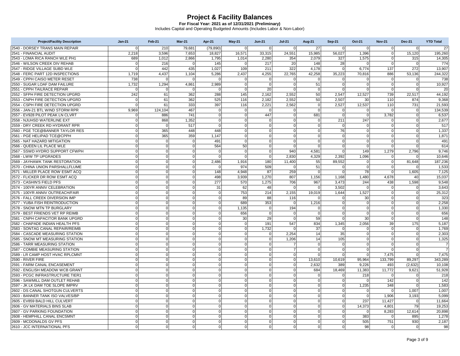| <b>Project/Facility Description</b> | <b>Jan-21</b>  | Feb-21         | Mar-21      | Apr-21       | $May-21$    | <b>Jun-21</b>  | <b>Jul-21</b>  | <b>Aug-21</b>  | <b>Sep-21</b>  | Oct-21         | <b>Nov-21</b> | <b>Dec-21</b>  | <b>YTD Total</b> |
|-------------------------------------|----------------|----------------|-------------|--------------|-------------|----------------|----------------|----------------|----------------|----------------|---------------|----------------|------------------|
| 2540 - DORSEY TRANS MAIN REPAIR     | $\Omega$       | 210            | 79.681      | (79.890)     | $\mathbf 0$ | $\Omega$       | $\Omega$       | 27             | $\Omega$       | $\Omega$       | $\mathbf 0$   | $\Omega$       | 27               |
| 2541 - FINANCIAL AUDIT              | 2,218          | 3,596          | 7,653       | 18,827       | 16,571      | 33,315         | 24,551         | 15,985         | 56,027         | 1,396          | $\mathbf 0$   | 15,120         | 195,260          |
| 2543 - LOMA RICA RANCH WLE PH1      | 689            | 1.012          | 2,866       | 1,795        | 1,014       | 2,280          | 354            | 2.079          | 327            | 1,575          | $\mathbf 0$   | 315            | 14,305           |
| 2546 - WILSON CREEK DIV REHAB       | $\Omega$       | 216            | $\Omega$    | 145          | $\Omega$    | 217            | 20             | 148            | 28             | $\Omega$       | $\Omega$      | $\Omega$       | 774              |
| 2547 - RIDGE VILLAGE SUBD WLE       | $\mathbf 0$    | 442            | 435         | 1,027        | 109         | 211            | 322            | 4,178          | $\overline{0}$ | 6,774          | 137           | 272            | 13,907           |
| 2548 - FERC PART 12D INSPECTIONS    | 1,719          | 4.437          | 1,104       | 5.286        | 2,437       | 4,255          | 22,765         | 42.258         | 35,223         | 70.816         | 886           | 53,136         | 244,322          |
| 2549 - CPPH CAISO METER RESET       | 738            |                | $\Omega$    | $\Omega$     | $\Omega$    | $\Omega$       | $\Omega$       | $\Omega$       | $\Omega$       | $\Omega$       | $\Omega$      | $\Omega$       | 738              |
| 2550 - SUGAR LOAF DAM FAILURE       | 1,732          | 1,294          | 4,861       | 2,989        | $\mathbf 0$ | $\overline{0}$ | 0              | 51             | $\overline{0}$ | $\overline{0}$ | $\mathbf 0$   | $\Omega$       | 10,927           |
| 2551 - CPPH TAILRACE REPAIR         | $\Omega$       |                |             | $\Omega$     | $\Omega$    | 20             | $\Omega$       | $\Omega$       | $\Omega$       |                | $\mathbf 0$   |                | 20               |
| 2552 - SFPH FIRE DETECTION UPGRD    | 242            | 61             | 362         | 288          | 145         | 2,162          | 2,552          | 50             | 2,547          | 12,527         | 739           | 22.517         | 44,192           |
| 2553 - CNPH FIRE DETECTION UPGRD    | $\overline{0}$ | 61             | 362         | 525          | 116         | 2,182          | 2,552          | 50             | 2,507          | 30             | 110           | 874            | 9,368            |
| 2554 - CSPH FIRE DETECTION UPGRD    | $\Omega$       | 61             | 333         | 397          | 116         | 2,221          | 2,562          | $\Omega$       | 2,527          | 12,537         | 110           | 731            | 21,593           |
| 2556 - JAN-21 BTL WIND STORM RPR    | 9,969          | 124.104        | 467         | $\mathbf 0$  | $\Omega$    | $\mathbf 0$    | $\Omega$       | $\Omega$       | $\overline{0}$ | $\mathbf 0$    | $\mathbf 0$   | $\overline{0}$ | 134,539          |
| 2557 - EV928 PILOT PEAK LN CLVRT    | $\overline{0}$ | 886            | 741         | $\Omega$     | $\mathbf 0$ | 447            | $\overline{0}$ | 681            | $\Omega$       | $\mathbf 0$    | 3,782         | $\Omega$       | 6,537            |
| 2558 - NJUHSD WATERLINE EXT         | $\Omega$       | 868            | 1,352       | $\Omega$     | $\Omega$    | $\Omega$       | $\mathbf 0$    | $\mathbf 0$    | 211            | 247            | $\Omega$      | $\Omega$       | 2,677            |
| 2559 - DRY CREEK RD HYDRANT RPR     | $\overline{0}$ | $\Omega$       | 517         | $\mathbf 0$  | $\mathbf 0$ | $\overline{0}$ | 0l             | $\Omega$       | $\overline{0}$ | $\overline{0}$ | $\mathbf 0$   | $\Omega$       | 517              |
| 2560 - PGE TCE@BANNER TAYLOR RES    | $\overline{0}$ | 365            | 448         | 448          | $\mathbf 0$ | $\Omega$       | $\overline{0}$ | $\Omega$       | 76             | $\overline{0}$ | $\Omega$      |                | 1,337            |
| 2561 - PGE HELIPAD TCE@CPPH         | $\Omega$       | 365            | 359         | 1,147        | $\Omega$    | $\Omega$       | 0              | $\Omega$       | $\overline{0}$ | $\overline{0}$ | $\Omega$      | $\Omega$       | 1,871            |
| 2565 - NAT HAZARD MITIGATION        | $\overline{0}$ | $\overline{0}$ | $\Omega$    | 491          | $\mathbf 0$ | $\overline{0}$ | 0              | $\Omega$       | $\overline{0}$ | 0              | $\mathbf 0$   | $\Omega$       | 491              |
| 2566 - QUEEN LIL PLACE WLE          | $\Omega$       | $\mathbf 0$    | $\Omega$    | 564          | 50          | $\Omega$       | $\overline{0}$ | $\Omega$       | $\Omega$       | $\Omega$       | $\mathbf 0$   |                | 614              |
| 2567 - SSWD HYDRO SUPPORT CFWPH     | $\Omega$       | $\Omega$       | $\Omega$    | $\Omega$     | $\Omega$    | $\overline{0}$ | 940            | 4.581          | $\Omega$       | 149            | 1,279         | 2,796          | 9,746            |
| 2568 - LWW TP UPGRADES              | $\overline{0}$ | $\overline{0}$ | $\mathbf 0$ | $\mathbf 0$  | $\mathbf 0$ | $\Omega$       | 2.830          | 4.329          | 2.392          | 1.096          | $\mathbf 0$   | $\Omega$       | 10.646           |
| 2569 - JAYHAWK TANK RESTORATION     | $\Omega$       | $\Omega$       | $\Omega$    | 2,486        | 1,916       | 180            | 11,400         | 55             | 89,552         | $\overline{0}$ | $\mathbf 0$   | 81,648         | 187,236          |
| 2570 - CHINA UNION PARSHALLFLUME    | $\Omega$       | $\Omega$       | $\Omega$    | $\Omega$     | 974         | 509            | $\Omega$       | 51             | $\Omega$       | $\Omega$       | $\mathbf 0$   |                | 1,533            |
| 2571 - MILLER PLACE ROW ESMT ACQ    | $\Omega$       | $\overline{0}$ | $\Omega$    | 148          | 4.948       | 87             | 259            | $\Omega$       | $\Omega$       | 78             | $\mathbf 0$   | 1.605          | 7.125            |
| 2572 - FLICKER DR ROW ESMT ACQ      | $\Omega$       | $\Omega$       | $\Omega$    | 498          | 3,939       | 1,270          | 807            | 1,156          | 1,168          | 1,480          | 4,678         | 40             | 15,037           |
| 2573 - CASHIN'S FIELD PFS           | $\overline{0}$ | $\overline{0}$ | $\Omega$    | 277          | 570         | 1,275          | 706            | 967            | 3,473          | 244            | 438           | 1,598          | 9,548            |
| 2574 - 100YR ANNIV CELEBRATION      | $\Omega$       | $\mathbf 0$    | $\Omega$    | 31           | 62          | 48             | $\overline{0}$ | $\Omega$       | 3,502          | $\Omega$       | $\mathbf 0$   | $\Omega$       | 3,643            |
| 2575 - 100YR ANNIV OUTREACH/FAIR    | $\Omega$       | $\Omega$       | $\Omega$    | $\mathbf 0$  | 753         | 214            | 2,155          | 19,019         | 1,644          | 1,527          | $\mathbf 0$   |                | 25,312           |
| 2576 - FALL CREEK DIVERSION IMP     | $\Omega$       | $\Omega$       | $\Omega$    | $\Omega$     | 89          | 88             | 116            |                | $\Omega$       | 30             | $\Omega$      | $\Omega$       | 323              |
| 2577 - YUBA FISH REINTRODUCTION     | $\overline{0}$ | $\mathbf 0$    | $\Omega$    | $\mathbf 0$  | 689         | 353            | $\overline{0}$ | 1,216          | $\overline{0}$ | $\overline{0}$ | $\mathbf 0$   | $\mathbf 0$    | 2,258            |
| 2578 - SNOW MTN TP BURGLARY         | $\Omega$       | $\Omega$       | $\Omega$    | $\mathbf 0$  | 1,135       | $\overline{0}$ | 194            | $\Omega$       | $\Omega$       | $\Omega$       | $\Omega$      |                | 1,330            |
| 2579 - BEST FRIENDS VET RP REIMB    | $\Omega$       | $\Omega$       | $\Omega$    | $\Omega$     | 656         | $\overline{0}$ | $\Omega$       | $\Omega$       | $\Omega$       | $\Omega$       | $\Omega$      | $\Omega$       | 656              |
| 2581 - CNPH CAPACITOR BANK UPGRD    | $\Omega$       | $\overline{0}$ | $\Omega$    | $\mathbf 0$  | 30          | 29             | $\mathbf 0$    | 59             | $\Omega$       | 30             | $\mathbf 0$   | $\Omega$       | 148              |
| 2582 - CHAPADE INDIAN HEALTH PFS    | $\Omega$       | $\Omega$       | $\Omega$    | $\Omega$     | $\Omega$    | 191            | 547            | 834            | 1,345          | 2,056          | 39            | 175            | 5,187            |
| 2583 - SONTAG CANAL REPAIR/REIMB    | $\Omega$       | $\Omega$       | $\Omega$    | $\Omega$     | $\Omega$    | 1,732          | $\Omega$       | 37             | $\Omega$       |                | $\Omega$      |                | 1,769            |
| 2584 - CASCADE MEASURING STATION    | $\overline{0}$ | $\overline{0}$ | $\Omega$    | $\Omega$     | $\mathbf 0$ | $\mathbf 0$    | 2.254          | 14             | 35             | $\overline{0}$ | $\mathbf 0$   | $\Omega$       | 2,303            |
| 2585 - SNOW MT MEASURING STATION    | $\Omega$       | $\Omega$       | $\Omega$    | $\Omega$     | $\mathbf 0$ | $\overline{0}$ | 1.206          | 14             | 105            | $\Omega$       | $\Omega$      |                | 1,325            |
| 2586 - TARR MEASURING STATION       | $\overline{0}$ | $\Omega$       | $\Omega$    | $\Omega$     | $\Omega$    | $\overline{0}$ | $\overline{7}$ | $\Omega$       | $\overline{0}$ | $\overline{0}$ | $\Omega$      | $\Omega$       | $\overline{7}$   |
| 2587 - COMBIE MEASURING STATION     | $\Omega$       | $\overline{0}$ | $\Omega$    | $\mathbf 0$  | $\mathbf 0$ | $\overline{0}$ | $\overline{7}$ | $\Omega$       | $\overline{0}$ | $\overline{0}$ | $\mathbf 0$   | $\Omega$       | $\overline{7}$   |
| 2589 - LR CAMP HOST HVAC RPLCMNT    | $\Omega$       | $\Omega$       | $\Omega$    | $\mathbf 0$  | $\Omega$    | $\Omega$       | $\overline{0}$ | $\Omega$       | $\Omega$       | $\Omega$       | 7,475         |                | 7.475            |
| 2590 - RIVER FIRE                   | $\overline{0}$ | $\Omega$       | $\Omega$    | $\Omega$     | $\Omega$    | $\overline{0}$ | 0              | 13,610         | 10,619         | 95,964         | 133,799       | 89,297         | 343,289          |
| 2591 - FARM CANAL ENCASEMENT        | $\Omega$       | $\overline{0}$ | $\Omega$    | $\mathbf 0$  | $\mathbf 0$ | $\Omega$       | 0              | 2.632          | 389            | 9.226          | 493           | (2,632)        | 10.108           |
| 2592 - ENGLISH MEADOW WCB GRANT     | $\Omega$       | $\Omega$       | $\Omega$    | $\Omega$     | $\Omega$    | $\Omega$       | 0              | 684            | 18,469         | 11,383         | 11,772        | 9,621          | 51,928           |
| 2593 - PCGC INFRASTRUCTURE TIER1    | $\overline{0}$ | $\Omega$       | $\Omega$    | $\Omega$     | $\Omega$    | $\overline{0}$ | 0              | $\Omega$       | $\Omega$       | 218            | $\Omega$      | $\Omega$       | 218              |
| 2596 - SAWMILL DAM OUTLET REHAB     | $\overline{0}$ | $\overline{0}$ | $\Omega$    | $\mathbf 0$  | $\mathbf 0$ | $\Omega$       | 0              | $\Omega$       | $\Omega$       | $\Omega$       | 142           | $\Omega$       | 142              |
| 2597 - JK LK DAM TOE SLOPE IMPRV    | $\Omega$       | $\Omega$       | $\Omega$    | $\Omega$     | $\mathbf 0$ | $\overline{0}$ | $\mathbf 0$    | $\Omega$       | $\overline{0}$ | 1,235          | 348           |                | 1,583            |
| 2602 - DS CANAL SHOTGUN CULVERTS    | $\Omega$       | $\Omega$       | $\Omega$    | $\Omega$     | $\Omega$    | $\overline{0}$ | $\overline{0}$ | $\Omega$       | $\Omega$       | $\Omega$       | $\Omega$      | 1,007          | 1,007            |
| 2603 - BANNER TANK ISO VALVES/BP    | $\Omega$       | $\mathbf 0$    | $\Omega$    | $\Omega$     | $\mathbf 0$ | $\Omega$       | 0              | $\Omega$       | $\Omega$       | $\Omega$       | 1,906         | 3,193          | 5,099            |
| 2605 - EV859 BALD HILL CULVERT      | $\Omega$       | $\overline{0}$ | $\Omega$    | $\mathbf 0$  | $\mathbf 0$ | $\overline{0}$ | 0              | $\overline{0}$ | $\overline{0}$ | 237            | 11,427        |                | 11.664           |
| 2606 - GV MATERIALS BINS SLAB       | $\Omega$       | $\Omega$       | $\Omega$    | $\Omega$     | $\Omega$    | $\Omega$       | $\Omega$       | $\Omega$       | $\Omega$       | 14,373         | 4,801         | 79             | 19,253           |
| 2607 - GV PARKING FOUNDATION        | $\Omega$       | $\overline{0}$ | $\Omega$    | $\Omega$     | $\mathbf 0$ | $\overline{0}$ | 0              | $\Omega$       | $\overline{0}$ | $\overline{0}$ | 8,283         | 12,614         | 20,898           |
| 2608 - HEMPHILL CANAL ENCSMNT       | $\Omega$       | $\Omega$       | $\Omega$    | $\Omega$     | $\Omega$    | $\Omega$       | $\Omega$       | $\Omega$       | $\Omega$       | 383            | $\Omega$      | 895            | 1,278            |
| 2609 - MCDONALDS GV PFS             | $\Omega$       | $\Omega$       | $\Omega$    | $\Omega$     | $\Omega$    | $\Omega$       | $\Omega$       | $\Omega$       | $\Omega$       | 505            | 751           | 930            | 2,187            |
| 2610 - JCC INTERNATIONAL PFS        | $\overline{0}$ | $\mathbf 0$    | $\mathbf 0$ | $\mathbf{0}$ | $\mathbf 0$ | $\overline{0}$ | 0              | $\mathbf 0$    | $\overline{0}$ | 98             | $\mathbf 0$   | $\overline{0}$ | 98               |
|                                     |                |                |             |              |             |                |                |                |                |                |               |                |                  |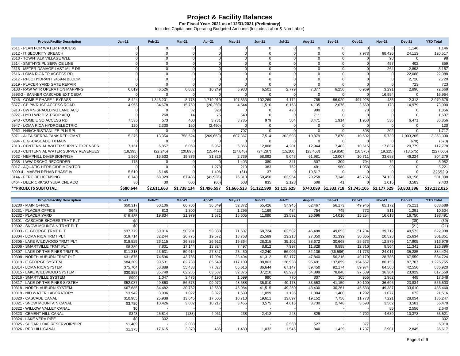**For Fiscal Year: 2021 as of 12/31/2021 (Preliminary)** Includes Capital and Operating Budgeted Amounts (Includes Labor & Non-Labor)

| <b>Project/Facility Description</b>     | $Jan-21$        | Feb-21      | Mar-21      | Apr-21      | $May-21$  | <b>Jun-21</b>                       | <b>Jul-21</b> | <b>Aug-21</b> | <b>Sep-21</b> | Oct-21    | <b>Nov-21</b>                                             | <b>Dec-21</b> | <b>YTD Total</b> |
|-----------------------------------------|-----------------|-------------|-------------|-------------|-----------|-------------------------------------|---------------|---------------|---------------|-----------|-----------------------------------------------------------|---------------|------------------|
| 2611 - PLAN FOR WATER PROCESS           |                 |             |             |             |           |                                     |               |               |               |           | $\Omega$                                                  | 1.146         | 1,146            |
| 2612 - IT SECURITY BREACH               |                 |             |             |             |           |                                     |               |               |               | 7,978     | 88,426                                                    | 24,113        | 120,517          |
| 2613 - TOWNTALK VILLAGE WLE             |                 |             |             |             |           |                                     |               |               |               |           | 98                                                        |               | 98               |
| 2614 - SMITHY'S PL SERVICE LINE         |                 |             |             |             | $\Omega$  |                                     | $\Omega$      |               |               |           | 457                                                       | 402           | 859              |
| 2615 - METER DAMAGE LAST MILE DR        |                 |             |             |             | $\Omega$  |                                     |               |               |               |           | 264                                                       | 2.893         | 3,157            |
| 2616 - LOMA RICA TP ACCESS RD           |                 |             |             |             |           |                                     |               |               |               |           |                                                           | 22.088        | 22,088           |
| 2617 - RPLC HYDRANT 2469-N BLOOM        |                 |             |             |             |           |                                     |               |               |               |           |                                                           | 2.720         | 2,720            |
| 2619 - PLACER YARD GATE REPAIR          |                 |             |             |             |           |                                     |               |               |               |           |                                                           | 723           | 723              |
| 6108 - RAW WTR OPERATION MAPPING        | 6,019           | 6,526       | 6,882       | 10.249      | 6,930     | 6,501                               | 2.779         | 7,377         | 6,250         | 6,969     | 3.291                                                     | 2,896         | 72,668           |
| 6593-2 - BANNER CASCADE EXT CEOA        |                 |             |             |             |           |                                     |               |               |               |           | 16,954                                                    |               | 16,954           |
| 6746 - COMBIE PHASE 1 BYPASS            | 8.424           | 1,343,201   | 8.778       | 1,719,019   | 197,333   | 102,269                             | 4.172         | 785           | 86,020        | 497,928   | 435                                                       | 2.313         | 3,970,678        |
| 6877 - CP PWRHSE ACCESS ROAD            | 4,955           | 34,678      | 15,759      | (20, 250)   | 4,544     | 1,510                               | 6,168         | 4.135         | 2,676         | 3,669     | 178                                                       | 14.979        | 73,000           |
| 6913 - BWMN-SPAULDING LAND ACO          |                 |             | 32          | 328         |           |                                     | 428           | 990           |               | 78        |                                                           |               | 1,856            |
| 6927 - HYD LWR DIV PROP ACQ             |                 | 268         | 14          | 75          | 540       |                                     |               | 711           |               |           |                                                           |               | 1,607            |
| 6943 - COMBIE SO ACCESS RD              | 7,535           | 573         | 400         | 3.731       | 8.785     | 979                                 | 504           | 3,471         | 1,914         | 1,958     | 536                                                       | 6.471         | 36,856           |
| 6947 - LOMA RICA HYDROELECTRIC          | 120             | 2,330       | 160         | (2,490)     |           |                                     |               |               |               |           |                                                           |               | 120              |
| 6962 - H49/CHRISTIANLIFE PLN RPL        |                 |             |             |             | 707       |                                     |               |               |               | 808       | 202                                                       |               | 1,717            |
| 6971 - ALTA SIERRA TANK REPLCMNT        | 5,376           | 13,354      | 758,524     | (269, 663)  | 607.367   | 7,514                               | 302,503       | 10.879        | 7.878         | 10,592    | 5,739                                                     | 1,903,265     | 3,363,330        |
| 6994 - E.G.-CASCADE TX MAIN             |                 |             |             |             |           |                                     |               |               |               |           |                                                           | (670)         | (670)            |
| 7013 - CENTENNIAL WATER SUPPLY EXPENSES | 7.161           | 6.857       | 6,069       | 5,957       | 5,866     | 12,008                              | 4,201         | 12.944        | 7,483         | 10.615    | 17,837                                                    | 20,779        | 117,778          |
| 7013 - CENTENNIAL WATER SUPPLY REVENUES | (18, 395)       | (22, 245)   | (20, 895)   | (15, 447)   | (17, 848) | (24, 287)                           | (15, 100)     | (23, 463)     | (19, 850)     | (16, 575) | (19, 325)                                                 | (13, 575)     | (227,005)        |
| 7032 - HEMPHILL DIVERSION/FISH          | 1.560           | 16.533      | 19.876      | 31,826      | 2.739     | 58,092                              | 9.043         | 61.981        | 12,007        | 10.711    | 33,688                                                    | 46.224        | 304,279          |
| 7038 - LWW DSCHG RECORDER               | 175             |             |             |             | 1.403     | 380                                 | 341           | 507           | 309           | 794       | 72                                                        |               | 3,982            |
| 8017 - AQUATIC HERBICIDE MONITOR        |                 |             |             | 1.278       | 210       | 383                                 | 762           | 481           | 960           | 1,058     | 90                                                        |               | 5,221            |
| 8099-4 - MABEN REHAB PHASE IV           | 5.610           | 5.145       |             | 1.406       | (61)      | 37                                  | $\Omega$      | 10.517        |               |           |                                                           |               | 22652.9          |
| 8144 - FERC RELICENSING                 | 8,748           | 68,329      | 67,485      | (41, 936)   | 76,813    | 50,450                              | 63,954        | 20,258        | 7,146         | 45,766    | 74,138                                                    | 60,156        | 501,308          |
| 8464 - DEER CRK/SO YUBA CNL ACQ         | 30 <sup>1</sup> | 30          | 606         | (80)        | 608       | 835                                 | 2.128         | 608           | 41            |           | 1.015                                                     | 3.583         | 9,403            |
| ** PROJECTS SUBTOTAL:                   | \$580.644       | \$2,611,663 | \$1,738,134 | \$1,496,597 |           | \$1,666,523 \$1,122,999 \$1,115,629 |               |               |               |           | \$740,089 \$1,333,718 \$1,745,105 \$1,177,529 \$3,803,396 |               | \$19,132,025     |

| <b>Project/Facility Description</b> | $Jan-21$ | <b>Feb-21</b> | $Mar-21$ | Apr-21 | $Mav-21$ | $Jun-21$ | <b>Jul-21</b> | <b>Aug-21</b> | <b>Sep-21</b> | Oct-21  | <b>Nov-21</b> | <b>Dec-21</b> | <b>YTD Total</b> |
|-------------------------------------|----------|---------------|----------|--------|----------|----------|---------------|---------------|---------------|---------|---------------|---------------|------------------|
| 10230 - MAIN OFFICE                 | \$50.317 | 60,106        | 66.706   | 36.849 | 52,372   | 55.426   | 57,945        | 62.467        | 56,173        | 49.945  | 65.172        | 75.211        | 688,688          |
| 10231 - PLACER OFFICE               | \$648    | 813           | 1.300    | 422    | 1.295    | 1.169    | 484           | 754           | 745           | 772     | 811           | 1.291         | 10,504           |
| 10232 - PLACER YARD                 | \$15,485 | 19.834        | 21.979   | 1.571  | 15.605   | 11.090   | 23,592        | 26.696        | 14.016        | 15.254  | 16.618        | 16.750        | 198,491          |
| 10301 - CASCADE SHORES TRMT PLT     | \$0      |               |          |        |          |          |               |               |               |         |               | (39)          | (39)             |
| 10302 - SNOW MOUNTAIN TRMT PLT      | \$0      |               |          |        |          |          |               |               |               |         |               | (21)          | (21)             |
| 10303 - E. GEORGE TRMT PLT          | \$37,779 | 50.016        | 50,201   | 53.888 | 71.607   | 68,724   | 62,582        | 46.498        | 49.653        | 51.704  | 39.712        | 40.573        | 622,938          |
| 10304 - LOMA RICA TRMT PLT          | \$19,714 | 32.244        | 26.775   | 19.572 | 18,768   | 25,589   | 23,213        | 27,050        | 31,399        | 30,865  | 20,528        | 25,634        | 301,351          |
| 10305 - LAKE WILDWOOD TRMT PLT      | \$18.525 | 26,115        | 36.835   | 26,922 | 19,364   | 28,315   | 35.102        | 38.672        | 30.668        | 25.673  | 12,879        | 17.905        | 316,976          |
| 10306 - SMARTVILLE TRMT PLT         | \$8,389  | 7.801         | 17.144   | 13.824 | 7.497    | 8.812    | 7.997         | 11.828        | 9.888         | 12.810  | 9,564         | 11.341        | 126,896          |
| 10307 - LAKE OF THE PINES TRMT PL   | \$11.318 | 23,631        | 50.914   | 27.347 | 25,450   | 42,240   | 56,906        | 32.136        | (36, 586)     | 41.773  | 24.011        | 35,285        | 334,424          |
| 10308 - NORTH AUBURN TRMT PLT       | \$31.875 | 74.596        | 43.786   | 17.994 | 23,404   | 41.312   | 52.177        | 47.840        | 56.216        | 49.179  | 28.786        | 67.559        | 534,724          |
| 10313 - E GEORGE SYSTEM             | \$84,209 | 99,531        | 82,738   | 85.549 | 117,109  | 88,803   | 126,938       | 95,491        | 137.859       | 134.667 | 86,153        | 87.707        | ,226,755         |
| 10314 - LOMA RICA SYSTEM            | \$75,704 | 58.889        | 55.438   | 77.827 | 86.616   | 86.644   | 67.147        | 89.450        | 92.174        | 89.974  | 64,500        | 42.556        | 886,920          |
| 10315 - LAKE WILDWOOD SYSTEM        | \$30.858 | 35.740        | 62.285   | 63.587 | 32,376   | 37.210   | 63.923        | 54.899        | 78.848        | 97.539  | 36,364        | 23.929        | 617,559          |
| 10316 - SMARTVILLE SYSTEM           | \$999    | 1.047         | 3,476    | 4.190  | 1,699    | 990      | 770           | 807           | 305           | 955     | 1,962         | 448           | 17,648           |
| 10317 - LAKE OF THE PINES SYSTEM    | \$52,087 | 49.863        | 56,573   | 99.072 | 48,588   | 35,810   | 40.178        | 33.553        | 41.150        | 39.100  | 36,696        | 23.834        | 556,503          |
| 10318 - NORTH AUBURN SYSTEM         | \$67.685 | 34.482        | 30,752   | 12,559 | 45,984   | 41,515   | 49.260        | 43.430        | 30,261        | 46,533  | 49,387        | 33,610        | 485,460          |
| 10319 - NID WATER LABORATORY        | \$3,942  | 3,906         | 1.022    | 3,327  | 1,639    | 1,099    | 1.136         | 1,004         | 1,400         | 1.292   | 1.077         | 673           | 21,516           |
| 10320 - CASCADE CANAL               | \$10,985 | 25,938        | 13,645   | 17,505 | 10,710   | 19,611   | 13,897        | 19,152        | 7,756         | 11.773  | 7,221         | 28,054        | 186,247          |
| 10321 - SNOW MOUNTAIN CANAL         | \$3,780  | 10.426        | 3.082    | 10.217 | 3.455    | 3,575    | 4.616         | 3.730         | 2.748         | 3.698   | 3,562         | 3.581         | 56,470           |
| 10322 - WILLOW VALLEY CANAL         | \$0      |               |          |        |          |          |               |               |               |         | 85            | 2.556         | 2,640            |
| 10323 - CEMENT HILL CANAL           | \$343    | 25,814        | (138)    | 4,061  | 238      | 2.412    | 248           | 829           |               | 4.702   | 4.639         | 10.373        | 53,521           |
| 10324 - LAKE VERA PIPE              | \$0      | 302           |          |        |          |          |               |               |               |         |               |               | 302              |
| 10325 - SUGAR LOAF RESERVOIR/PIPE   | \$1,409  |               | 2,038    |        |          |          | 2,560         | 527           |               | 377     |               |               | 6,910            |
| 10326 - RED HILL CANAL              | \$1,375  | 17.615        | 3.379    | 436    | 1.483    | 1.032    | 1.546         | 840           | 1.429         | 1.737   | 2.901         | 2.845         | 36,617           |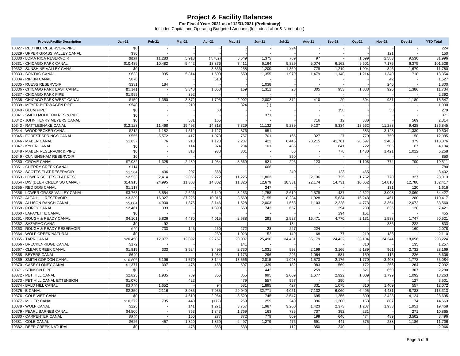| <b>Project/Facility Description</b> | $Jan-21$ | Feb-21 | <b>Mar-21</b> | Apr-21   | <b>May-21</b> | <b>Jun-21</b> | <b>Jul-21</b> | <b>Aug-21</b> | <b>Sep-21</b> | Oct-21 | <b>Nov-21</b> | <b>Dec-21</b> | <b>YTD Total</b> |
|-------------------------------------|----------|--------|---------------|----------|---------------|---------------|---------------|---------------|---------------|--------|---------------|---------------|------------------|
| 10327 - RED HILL RESERVOIR/PIPE     | \$0      |        |               |          |               |               | 224           |               |               |        |               |               | 224              |
| 10329 - UPPER GRASS VALLEY CANAL    | \$30     |        |               |          |               |               |               |               |               |        | 121           |               | 150              |
| 10330 - LOMA RICA RESERVOIR         | \$935    | 11,283 | 5,918         | (7, 762) | 5,549         | 1,375         | 789           | 97            |               | 1,699  | 2,583         | 9,530         | 31,996           |
| 10331 - CHICAGO PARK CANAL          | \$10.439 | 10.482 | 9.442         | 13.376   | 7.411         | 6.164         | 9.829         | 5.074         | 6.162         | 9.601  | 7,175         | 6.375         | 101.528          |
| 10332 - SUNSHINE VALLEY CANAL       | \$0      |        |               | 3,336    | 258           | 1,200         | 1,369         | 778           | 1,219         | 1,094  | 846           | 1,679         | 11,780           |
| 10333 - SONTAG CANAL                | \$633    | 995    | 5,314         | 1,609    | 559           | 1,355         | 1,979         | 1,479         | 1,148         | 1,214  | 1,349         | 718           | 18,354           |
| 10334 - RIPKIN CANAL                | \$876    |        |               | 610      |               |               |               |               |               |        | 42            |               | 1,527            |
| 10335 - RUESS RESERVOIR             | \$331    | 184    |               |          |               | 1,038         |               |               |               |        | 246           |               | 1,800            |
| 10336 - CHICAGO PARK EAST CANAL     | \$1,161  |        | 3,348         | 1.058    | 169           | 1,311         | 28            | 305           | 953           | 1,088  | 926           | 1,386         | 11,734           |
| 10337 - CHICAGO PARK PIPE           | \$1,999  |        | 392           |          |               |               |               |               |               |        |               |               | 2,392            |
| 10338 - CHICAGO PARK WEST CANAL     | \$159    | 1,350  | 3,872         | 1,795    | 2,902         | 2,002         | 372           | 410           | 20            | 504    | 981           | 1,180         | 15,547           |
| 10339 - MEYER-BIERWAGEN PIPE        | \$548    |        | 219           |          | 324           | (1)           |               |               |               |        |               |               | 1,090            |
| 10340 - BLUM PIPE                   | \$0      |        |               | 63       |               |               |               |               | 158           |        | 58            |               | 279              |
| 10341 - SMITH MOULTON RES & PIPE    | \$0      |        |               |          |               | 371           |               |               |               |        |               |               | 371              |
| 10342 - JOHN HENRY MEYERS CANAL     | \$0      |        | 531           | 155      |               |               |               | 716           | 12            | 330    |               | 569           | 2,314            |
| 10343 - RATTLESNAKE CANAL           | \$12.123 | 11,468 | 19,493        | 14,318   | 7,329         | 11,132        | 9,239         | 9,137         | 8,334         | 13,562 | 11,283        | 9,428         | 136,845          |
| 10344 - WOODPECKER CANAL            | \$212    | 1,182  | 1,612         | 1,127    | 376           | 951           |               |               |               | 583    | 3,123         | 1,339         | 10.504           |
| 10345 - FOREST SPRINGS CANAL        | \$555    | 5,572  | 417           | 1,978    | 757           | 701           | 165           | 327           | 27            | 779    | 759           | 58            | 12,095           |
| 10346 - MABEN CANAL                 | \$1.837  | 76     | 210           | 1,123    | 2,287         | 422           | 6,446         | 28,215        | 41,781        | 28,697 | 2,403         | 379           | 113,876          |
| 10347 - KYLER CANAL                 | \$0      |        | 114           | 974      | 284           | 101           | 485           | 11            | 841           | 722    | 505           | 67            | 4,104            |
| 10348 - MABEN RESERVOIR & PIPE      | \$0      |        | 313           | 938      | 301           |               | 66            |               | 778           | 1,430  | 1,421         | 1,012         | 6,258            |
| 10349 - CUNNINGHAM RESERVOIR        | \$0      |        |               |          |               |               | 850           |               |               |        |               |               | 850              |
| 10350 - GROVE CANAL                 | \$7,082  | 1,325  | 2,489         | 1,034    | 3,660         | 921           | 296           | 123           |               | 1,108  | 774           | 700           | 19,511           |
| 10351 - CHERRY CREEK CANAL          | \$114    |        |               |          |               | 666           |               |               |               |        |               |               | 780              |
| 10352 - SCOTTS FLAT RESERVOIR       | \$1.564  | 436    | 207           | 368      |               |               | 240           |               | 123           | 465    |               |               | 3,402            |
| 10353 - LOWER SCOTTS FLAT RES       | \$2,533  | 2.414  | 2,056         | 2,272    | 11,225        | 1,802         |               | 2,136         | 725           | 1,752  | 770           | 327           | 28,013           |
| 10354 - D/S (DEER CREEK SO CANAL)   | \$14,915 | 24,995 | 11,303        | 14,302   | 11,326        | 12,679        | 18,331        | 22,174        | 14,731        | 10,062 | 14,810        | 12,788        | 182,417          |
| 10355 - RED DOG CANAL               | \$1,117  |        |               |          |               | 247           |               |               |               |        | 131           | 120           | 1,616            |
| 10356 - LOWER GRASS VALLEY CANAL    | \$3,763  | 3,554  | 2,626         | 6,149    | 3,253         | 1,758         | 2,619         | 2,578         | 437           | 2,622  | 3,008         | 2,060         | 34,427           |
| 10357 - ALTA HILL RESERVOIR         | \$3,339  | 16.327 | 37,226        | 10.015   | 3,569         | 7,155         | 8,234         | 1,928         | 5,634         | 16,248 | 461           | 280           | 110,417          |
| 10358 - ALLISON RANCH CANAL         | \$5,004  | 4,900  | 1,875         | 3,146    | 1,528         | 2,003         | 1,563         | 1,103         | 2,228         | 4,773  | 3,364         | 2,072         | 33,560           |
| 10359 - COREY CANAL                 | \$2,461  | 333    |               | 1,390    | 550           | 743           | 657           |               | 294           | 230    | 636           | 128           | 7,421            |
| 10360 - LAFAYETTE CANAL             | \$0      |        |               |          |               |               |               |               | 294           | 161    |               |               | 455              |
| 10361 - ROUGH & READY CANAL         | \$4,101  | 5,826  | 4,470         | 4,015    | 2,588         | 293           | 2,527         | 16,471        | 4,770         | 2,131  | 1,583         | 1,747         | 50,521           |
| 10362 - SAZARAC CANAL               | \$0      | 92     |               |          |               |               | 184           |               |               |        | 336           | 222           | 833              |
| 10363 - ROUGH & READY RESERVOIR     | \$29     | 733    | 145           | 260      | 272           | 28            | 227           | 224           |               |        |               | 160           | 2,078            |
| 10364 - WOLF CREEK NATURAL          | \$0      |        |               | 239      | 1,023         | 152           | 149           | 68            | 77            | 219    | 183           |               | 2,110            |
| 10365 - TARR CANAL                  | \$20,450 | 12.077 | 12,892        | 32,757   | 20,007        | 25,496        | 34,431        | 35,179        | 24,432        | 33,104 | 24,344        | 18,056        | 293,224          |
| 10366 - BRECKENRIDGE CANAL          | \$172    |        |               |          | 141           |               |               |               |               | 810    |               | 135           | 1,257            |
| 10367 - CLEAR CREEK CANAL           | \$1,815  | 333    | 3,524         | 3,495    | 2,730         | 1,031         | 993           | 2,199         | 3,166         | 5,189  | 961           | 2,732         | 28,169           |
| 10368 - BEYERS CANAL                | \$640    |        |               | 1.054    | 1,173         | 296           | 296           | 1.064         | 581           | 159    | 116           | 226           | 5.606            |
| 10369 - SMITH GORDON CANAL          | \$10,805 | 5,196  | 1,570         | 3,144    | 18,556        | 2,015         | 1,098         | 1,573         | 2,176         | 1,770  | 3,408         | 1,773         | 53,084           |
| 10370 - CASEY LONEY CANAL           | \$1,377  | 337    | 478           | 468      | 597           | 1,339         | 182           | 983           | 569           | 172    | 266           | 264           | 7,032            |
| 10371 - STINSON PIPE                | \$0      |        |               |          |               | 442           |               | 259           |               | 621    | 650           | 307           | 2.280            |
| 10372 - PET HILL CANAL              | \$2,825  | 1,935  | 789           | 356      | 855           | 995           | 2,009         | 1,677         | 2,922         | 1,009  | 1,799         | 1,092         | 18,263           |
| 10373 - PET HILL CANAL EXTENSION    | \$1,070  |        | 422           |          | 479           | 557           | 557           |               | 290           |        |               | 127           | 3.501            |
| 10374 - BALD HILL CANAL             | \$3,240  | 1,652  |               | 94       | 581           | 1,895         | 427           | 331           | 1,075         | 810    | 1,409         | 557           | 12,072           |
| 10375 - B CANAL                     | \$2,350  | 2.116  | 3,085         | 7.035    | 29,049        | 32,771        | 4,051         | 7,132         | 6,060         | 6,495  | 4,431         | 8,738         | 113,313          |
| 10376 - COLE VIET CANAL             | \$0      |        | 4,610         | 2.964    | 3,529         | 745           | 2.547         | 695           | 1.256         | 800    | 2,423         | 4,124         | 23,695           |
| 10377 - MILLER CANAL                | \$10,272 | 735    | 440           | (172)    | 259           | 259           | 240           | 396           | 1,200         | 153    | 807           | 74            | 14,663           |
| 10378 - WOLF CANAL                  | \$225    |        | 141           | 1,271    | 3,757         | 1,987         | 3,200         | 1.423         | 2,373         | 1,207  | 1,933         | 1,951         | 19,468           |
| 10379 - PEARL BARNES CANAL          | \$4,500  |        | 753           | 1,343    | 1,769         | 163           | 735           | 707           | 392           | 231    |               | 271           | 10,865           |
| 10380 - CARPENTER CANAL             | \$849    |        | 150           | 277      | 372           | 779           | 809           | 199           | 646           | 474    | 439           | 3,502         | 8,496            |
| 10381 - COLE CANAL                  | \$626    | 457    | 1,320         | 1.869    | 2.497         | 1.279         | 476           | 691           | 441           | 575    | 288           | 1.186         | 11,706           |
| 10382 - DEER CREEK NATURAL          | \$0      |        | 478           | 355      | 533           |               | 112           | 350           | 240           |        |               |               | 2,066            |
|                                     |          |        |               |          |               |               |               |               |               |        |               |               |                  |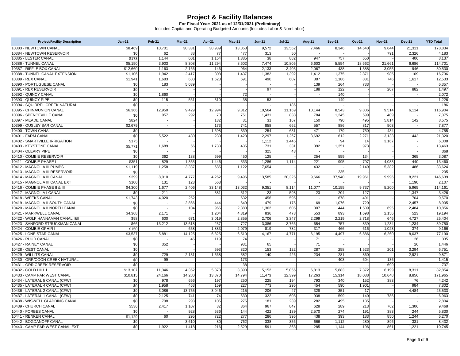| <b>Project/Facility Description</b> | $Jan-21$ | Feb-21 | Mar-21 | Apr-21 | <b>May-21</b> | <b>Jun-21</b>    | <b>Jul-21</b> | <b>Aug-21</b> | <b>Sep-21</b> | Oct-21 | <b>Nov-21</b> | <b>Dec-21</b> | <b>YTD Total</b> |
|-------------------------------------|----------|--------|--------|--------|---------------|------------------|---------------|---------------|---------------|--------|---------------|---------------|------------------|
| 10383 - NEWTOWN CANAL               | \$8,469  | 10,701 | 30,331 | 30,939 | 13,853        | 9,572            | 13,562        | 7,466         | 8,346         | 14,640 | 9,644         | 21,311        | 178,834          |
| 10384 - NEWTOWN RESERVOIR           | \$0      | 62     | 88     | 77     | 477           | 313              | 50            |               |               |        | 791           | 2,326         | 4,183            |
| 10385 - LESTER CANAL                | \$173    | 1,144  | 601    | 1,154  | 1,385         | 38               | 882           | 947           | 757           | 650    |               | 406           | 8,137            |
| 10386 - TUNNEL CANAL                | \$5,150  | 3,903  | 8,308  | 11,294 | 8,602         | 7,474            | 10,805        | 6,603         | 5,554         | 18,662 | 21,661        | 6,686         | 114,701          |
| 10387 - RIFFLE BOX CANAL            | \$12,660 | 1,163  | 2,166  | 146    | 964           | 2,133            | 3,405         | 2.067         | 438           | 1,388  | 3,055         | 946           | 30.530           |
| 10388 - TUNNEL CANAL EXTENSION      | \$1,106  | 1,942  | 2,417  | 308    | 1,437         | 1,382            | 1,392         | 1,412         | 1,375         | 2,871  | 985           | 109           | 16,736           |
| 10389 - REX CANAL                   | \$1,941  | 1,683  | 680    | 1,623  | 691           | 490              | 607           | 387           | 1,186         | 881    | 746           | 1.617         | 12,533           |
| 10390 - PORTUGUESE CANAL            | \$0      | 183    | 5,039  |        |               |                  |               | 139           | 264           | 733    |               |               | 6,357            |
| 10391 - REX RESERVOIR               | \$0      |        |        |        |               | 97               |               | 188           | 122           |        | 207           | 882           | 1,497            |
| 10392 - QUINCY CANAL                | \$0      | 1,860  |        |        | 72            |                  |               |               | 140           |        |               |               | 2,072            |
| 10393 - QUINCY PIPE                 | \$0      | 115    | 561    | 310    | 38            | 53               |               |               | 149           |        |               |               | 1,226            |
| 10394 - SQUIRREL CREEK NATURAL      | \$0      |        |        |        |               |                  | 186           |               |               |        |               |               | 186              |
| 10395 - CHINA/UNION CANAL           | \$6,366  | 12,950 | 9,429  | 12,994 | 9,312         | 10,564           | 11,169        | 10,144        | 8,543         | 9,806  | 9,514         | 6,114         | 116,904          |
| 10396 - SPENCEVILLE CANAL           | \$0      | 957    | 292    | 70     | 751           | 1,431            | 838           | 784           | 1,245         | 599    | 409           |               | 7,375            |
| 10397 - MEADE CANAL                 | \$824    |        |        | 132    | 31            | 31               | 167           | 150           | 790           | 495    | 5,814         | 142           | 8,575            |
| 10399 - OUSLEY BAR CANAL            | \$2,679  |        |        | 173    | 741           | 858              | 662           | 557           | 886           | 817    | 503           |               | 7,877            |
| 10400 - TOWN CANAL                  | \$0      |        |        | 1.698  | 339           | 254              | 631           | 471           | 179           | 750    | 434           |               | 4,755            |
| 10401 - FARM CANAL                  | \$0      | 5,522  | 430    | 230    | 1,423         | 2,297            | 1,267         | 3,692         | 612           | 2,271  | 3,133         | 443           | 21,320           |
| 10402 - SMARTVILLE IRRIGATION       | \$175    |        |        |        |               | 1,112            | 1.445         |               | 94            | 14     | 3,167         |               | 6,008            |
| 10403 - KEYSTONE CANAL              | \$5,771  | 1,689  | 56     | 1,733  | 435           | 731              | 331           | 392           | 1,351         | 973    |               |               | 13,463           |
| 10404 - OLEARY PIPE                 | \$0      |        |        |        |               | 325              | 43            |               |               |        |               |               | 368              |
| 10410 - COMBIE RESERVOIR            | \$0      | 362    | 138    | 699    | 450           | 125              |               | 254           | 559           | 134    |               | 365           | 3,087            |
| 10411 - COMBIE PHASE I              | \$351    | 829    | 1,365  | 1,446  | 533           | 1,286            | 1,114         | 221           | 995           | 797    | 4,083         | 440           | 13,460           |
| 10412 - MAGNOLIA III PUMPS          | \$1,119  | 1,258  | 3,337  | 685    | 1,122         | 17,654           |               | 432           |               | 2,149  | 5,382         | 486           | 33,624           |
| 10413 - MAGNOLIA III RESERVOIR      | \$0      |        |        |        |               |                  |               |               | 235           |        |               |               | 235              |
| 10414 - MAGNOLIA III CANAL          | \$399    | 8,010  | 4,777  | 4,262  | 9,496         | 13,585           | 20,325        | 9,666         | 37,940        | 19,961 | 9,996         | 8,221         | 146,639          |
| 10415 - MAGNOLIA III CANAL EXT      | \$100    | 131    | 123    | 563    |               |                  |               |               |               |        |               | 1,190         | 2,107            |
| 10416 - COMBIE PHASE II & III       | \$4,300  | 1,677  | 2,406  | 33,148 | 13,032        | 9,351            | 8,114         | 11,077        | 10,155        | 9,737  | 5,200         | 5,965         | 114,161          |
| 10417 - MAGNOLIA I CANAL            | \$0      | 211    |        | 381    | 512           | 23               | 598           | 23            | 204           | 127    |               | 1,347         | 3,426            |
| 10418 - WEEKS CANAL                 | \$1,743  | 4,020  | 252    |        | 632           | 456              | 595           |               | 678           | 491    |               | 704           | 9,570            |
| 10419 - MAGNOLIA II SOUTH CANAL     | \$0      |        | 2,866  | 444    | 649           | 479              | 175           | 69            | 1,076         | 720    |               | 2.457         | 8,935            |
| 10420 - MAGNOLIA II NORTH CANAL     | \$0      |        | 104    | 965    | 2,380         | 1,362            | 605           | 307           | 444           | 1,509  | 695           | 2,484         | 10,856           |
| 10421 - MARKWELL CANAL              | \$4,368  | 2,171  |        | 1,204  | 4,319         | 836              | 473           | 553           | 893           | 1,698  | 2,156         | 523           | 19,194           |
| 10422 - WOLF HANNAMAN CANAL I&II    | \$98     | 600    | 671    | 3,019  | 2,355         | 2,706            | 3,347         | 2,299         | 2,219         | 2,718  | 646           | 4,727         | 25,404           |
| 10423 - SANFORD STRUCKMAN CANAL     | \$66     | 13,212 | 13,618 | 257    | 727           | 3,386            | 3,766         | 654           | 757           | 839    | 1,234         | 1,234         | 39,750           |
| 10424 - COMBIE OPHIR I              | \$150    |        | 658    | 1,883  | 2,079         | 819              | 782           | 317           | 466           | 616    | 1,023         | 374           | 9,166            |
| 10425 - LONE STAR CANAL             | \$3,537  | 5,881  | 14,125 | 6,325  | 6,510         | 4,167            | 4,771         | 6,195         | 4,497         | 6,886  | 6,260         | 8,037         | 77,190           |
| 10426 - RUUD CANAL                  | \$0      |        | 45     | 119    | 74            |                  |               | 71            |               |        |               | 26            | 335              |
| 10427 - RAINEY CANAL                | \$0      | 352    |        |        | 931           | 65               |               | 71            |               |        |               | 26            | 1,446            |
| 10428 - OEST CANAL                  | \$0      |        |        | 593    | 320           | 153              | 122           | 287           | 258           | 1,523  | 201           | 3,294         | 6,751            |
| 10429 - WILLITS CANAL               | \$0      | 729    | 2,131  | 1,568  | 582           | 140              | 426           | 234           | 281           | 860    |               | 2,921         | 9,871            |
| 10430 - ORR/COON CREEK NATURAL      | \$0      | 99     |        |        | 173           |                  |               |               | 403           | 604    | 136           |               | 1,415            |
| 10431 - ORR CREEK RESERVOIR         | \$0      |        |        |        | 38            |                  |               |               |               |        | 699           |               | 737              |
| 10432 - GOLD HILL I                 | \$13,107 | 11,346 | 4,352  | 5,870  | 3,393         | 5,152            | 5,056         | 6,813         | 5,883         | 7,372  | 6,199         | 8,311         | 82,854           |
| 10433 - CAMP FAR WEST CANAL         | \$10,815 | 24,166 | 14,280 | 13.870 | 14,794        | 11,473           | 12,399        | 17.263        | 15,314        | 18,088 | 10,648        | 8,856         | 171,965          |
| 10434 - LATERAL 5 CANAL (CFW)       | \$0      | 978    | 656    | 197    | 250           | 225              | 194           | 793           | 340           | 152    | 383           | 76            | 4,242            |
| 10435 - LATERAL 4 CANAL (CFW)       | \$0      | 1,958  | 463    | 159    | 227           | $\overline{773}$ | 295           | 454           | 590           | 1,901  |               | 984           | 7,802            |
| 10436 - LATERAL 2 CANAL (CFW)       | \$0      | 3,086  | 13,755 | 3,046  | 215           | 206              | 47            | 328           | 351           | 17     |               | 4,484         | 25,533           |
| 10437 - LATERAL 1 CANAL (CFW)       | \$0      | 2,125  | 741    | 74     | 630           | 322              | 608           | 938           | 599           | 140    | 786           |               | 6,963            |
| 10438 - WISWELL GLADDING CANAL      | \$0      | 798    | 293    | 105    | 275           | 181              | 239           | 282           | 495           | 135    |               |               | 2,804            |
| 10439 - CHURCH CANAL                | \$536    | 2,417  | 1,107  | 32     | 364           | 967              | 847           | 628           | 289           | 213    | 762           | 1,306         | 9,468            |
| 10440 - FORBES CANAL                | \$0      |        | 928    | 536    | 144           | 422              | 139           | 2,570         | 274           | 191    | 383           | 244           | 5,830            |
| 10441 - RENKEN CANAL                | \$1,129  | 60     | 295    | 722    | 277           | 286              | 395           | 438           | 393           | 183    | 850           | 1,244         | 6,270            |
| 10442 - BOGDANOFF CANAL             | \$0      |        | 3,610  | 80     | 762           | 338              | 356           | 666           | 1,112         | 280    | 896           | 331           | 8,432            |
| 10443 - CAMP FAR WEST CANAL EXT     | \$0      | 1,922  | 1,418  | 216    | 2,529         | 591              | 363           | 285           | 1,144         | 196    | 861           | 1,221         | 10,745           |
|                                     |          |        |        |        |               |                  |               |               |               |        |               |               |                  |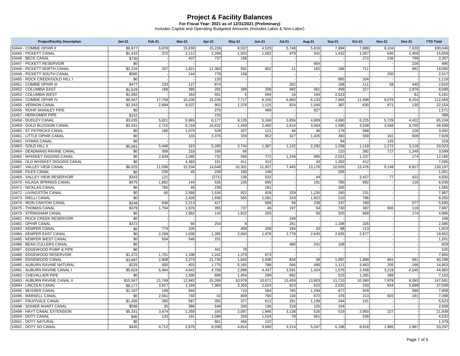| <b>Project/Facility Description</b> | $Jan-21$ | Feb-21 | Mar-21 | Apr-21 | May-21 | <b>Jun-21</b> | <b>Jul-21</b> | <b>Aug-21</b> | <b>Sep-21</b> | Oct-21 | <b>Nov-21</b> | <b>Dec-21</b> | <b>YTD Total</b> |
|-------------------------------------|----------|--------|--------|--------|--------|---------------|---------------|---------------|---------------|--------|---------------|---------------|------------------|
| 10444 - COMBIE OPHIR II             | \$6.677  | 6.978  | 15,630 | 15.226 | 8,537  | 4,529         | 5.748         | 5,816         | 7,894         | 7.888  | 8,104         | 7,020         | 100,046          |
| 10445 - PICKETT CANAL               | \$1,415  | 372    | 2,112  | 2,269  | 1,503  | 1,082         | 979           | 341           | 1,432         | 1,057  | 640           | 2,459         | 15,659           |
| 10446 - BECK CANAL                  | \$730    |        | 437    | 737    | 156    |               |               |               |               | 272    | 236           | 799           | 3,367            |
| 10447 - PICKETT RESERVOIR           | \$0      |        |        |        |        |               |               | 664           |               |        |               | 226           | 890              |
| 10448 - PICKETT NORTH CANAL         | \$2,234  | 207    | 1,821  | 11,363 | 591    | 802           | 21            | 162           | 186           | 711    |               | 982           | 19,080           |
| 10449 - PICKETT SOUTH CANAL         | \$585    |        | 244    | 779    | 158    |               |               |               |               |        | 250           |               | 2,017            |
| 10450 - ROCK CREEK/GOLD HILL I      | \$0      |        |        | 120    |        |               |               |               | 895           | 104    |               |               | 1,119            |
| 10451 - COMBIE OPHIR III            | \$477    | 233    | 127    | 874    |        |               | 302           |               | 188           | 111    | 58            | 440           | 2,810            |
| 10452 - COLUMBIA EAST               | \$1,629  | 168    | 385    | 255    | 389    | 208           | 992           | 361           | 499           | 227    |               | 2.976         | 8,089            |
| 10453 - COLUMBIA WEST               | \$1,082  |        | 164    | 551    | 5      | 594           | 16            | 164           | 2,523         |        |               | 81            | 5,181            |
| 10454 - COMBIE OPHIR IV             | \$6,567  | 17,709 | 10,105 | 15,236 | 7,717  | 6,150         | 6,860         | 6,133         | 7,665         | 11,098 | 9,076         | 8,154         | 112,469          |
| 10455 - VERNON CANAL                | \$2,343  | 2,894  | 9,537  | 902    | 1,376  | 1,115         | 924           | 1,046         | 387           | 630    | 871           | 130           | 22,154           |
| 10456 - ROHR SHANLEY PIPE           | \$0      |        |        | 275    |        | 469           |               | 827           |               |        |               |               | 1,571            |
| 10457 - HERKOMER PIPE               | \$152    |        |        | 216    |        |               |               |               |               |        |               |               | 368              |
| 10458 - DUDLEY CANAL                | \$3,035  | 5,821  | 5,965  | 6,177  | 9,135  | 5,240         | 3,856         | 4,809         | 4,690         | 6,225  | 5,729         | 4,422         | 65,104           |
| 10459 - GOLD BLOSSON CANAL          | \$2.431  | 2,715  | 6,218  | 16,632 | 1,459  | 2,492         | 1,614         | 3,564         | 1,595         | 3,538  | 3,568         | 3,765         | 49,589           |
| 10460 - ST PATRICKS CANAL           | \$0      | 186    | 1,075  | 529    | 207    | 121           | 46            | 46            | 179           | 568    |               | 126           | 3,082            |
| 10461 - LITTLE OPHIR CANAL          | \$0      |        | 103    | 3,375  | 159    | 852           | 327           | 1,425         | 360           | 559    | 161           | 609           | 7,929            |
| 10462 - HYMAS CANAL                 | \$0      |        |        |        |        |               |               |               | 94            |        | 125           |               | 219              |
| 10463 - GOLD HILL II                | \$5,681  | 5.448  | 323    | 5,280  | 3,734  | 1,367         | 1,132         | 2,292         | 1,258         | 1,119  | 2,272         | 3,118         | 33,023           |
| 10464 - DEADMANS RAVINE CANAL       | \$0      | 568    | 218    | 169    | 66     |               |               |               | 210           | 392    | 727           | 1,248         | 3,599            |
| 10465 - WHISKEY DIGGINS CANAL       | \$0      | 2,839  | 1,085  | 732    | 590    | 772           | 1,249         | 985           | 2,521         | 1,237  |               | 174           | 12,185           |
| 10466 - OLD WHISKEY DIGGINS CANAL   | \$0      |        | 4,383  | 151    | 411    | 412           |               | 43            | 1,282         | 412    |               |               | 7,095            |
| 10467 - VALLEY VIEW CANAL           | \$6,025  | 11,036 | 15,534 | 14,648 | 10,301 | 11,657        | 7,445         | 13,176        | 10,935        | 13,476 | 9,149         | 6,817         | 130,197          |
| 10468 - FILES CANAL                 | \$0      | 235    | 45     | 239    | 180    | 148           |               |               | 205           |        |               |               | 1,051            |
| 10469 - VALLEY VIEW RESERVOIR       | \$343    | 121    |        | (271)  | 136    | 532           |               | 44            |               | 3,427  | 77            | 422           | 4,830            |
| 10470 - KILAGA SPRINGS CANAL        | \$475    | 1,882  | 144    | 535    | 226    | 695           |               | 191           | 780           | 992    |               | 116           | 6,036            |
| 10471 - NICKLAS CANAL               | \$0      | 785    | 45     | 239    |        | 291           |               |               | 205           |        |               |               | 1,565            |
| 10472 - LIVINGSTON CANAL            | \$0      | 60     | 2,568  | 1,534  | 922    | 828           | 329           | 1,235         | 280           | 231    |               |               | 7,987            |
| 10473 - RIELLI CANAL                | \$0      |        | 2,426  | 1,936  | 565    | 1,081         | 318           | 1,922         | 210           | 796    |               |               | 9,255            |
| 10474 - IRON CANYON CANAL           | \$248    | 646    | 2,213  | 417    |        | 666           | 56            | 239           | 247           | 190    |               | 577           | 5,500            |
| 10475 - THOMAS CANAL                | \$379    | 1.794  | 1,976  | 355    | 737    | 46            | 197           | 54            | 730           | 397    | 906           | 116           | 7.687            |
| 10476 - STRINGHAM CANAL             | \$0      |        | 1,562  | 142    | 1,622  | 255           |               | 56            | 325           | 859    |               | 174           | 4,995            |
| 10481 - ROCK CREEK RESERVOIR        | \$0      |        |        |        |        |               | 248           |               |               |        |               |               | 248              |
| 10482 - OPHIR CANAL                 | \$372    |        | 66     | 254    | 8      |               | 261           |               | 1,198         | 326    |               |               | 2,486            |
| 10483 - KEMPER CANAL                | \$0      | 774    | 105    |        | 408    | 208           | 184           | 43            | 88            | 113    |               |               | 1,923            |
| 10484 - KEMPER EAST CANAL           | \$0      | 2,269  | 1,030  | 1,395  | 2,043  | 1,979         | 2,778         | 2,645         | 2,835         | 2,677  |               |               | 19,652           |
| 10485 - KEMPER WEST CANAL           | \$0      | 504    | 546    | 151    |        |               |               |               |               |        |               |               | 1,201            |
| 10486 - BEAN CULLERS CANAL          | \$0      |        |        |        |        |               | 480           | 241           | 108           |        |               |               | 829              |
| 10487 - EDGEWOOD PUMP & PIPE        | \$0      |        |        | 441    | 79     |               |               |               |               |        |               |               | 520              |
| 10488 - EDGEWOOD RESERVOIR          | \$1.472  | 1,701  | 1,198  | 1,242  | 1,379  | 873           |               |               |               |        |               |               | 7,865            |
| 10489 - EDGEWOOD CANAL              | \$3.897  | 2.808  | 3.273  | 21.730 | 1.643  | 1.048         | 834           | 38            | 1,897         | 1.889  | 661           | 581           | 40.298           |
| 10490 - AUBURN RAVINE NATURAL       | \$225    | 500    | 403    | 1,775  | 5,165  | 788           | 566           | 486           | 1,111         | 3,463  | 205           | 166           | 14,853           |
| 10491 - AUBURN RAVINE CANAL I       | \$5,824  | 6,464  | 4,642  | 4,709  | 2,096  | 4,437         | 3,591         | 1,424         | 1,576         | 2,438  | 3,219         | 4,545         | 44,965           |
| 10492 - CHEVALLIER PIPE             | \$0      |        | 1,590  | 899    | 1,454  | 299           | 692           |               | 515           | 1,265  | 389           |               | 7,103            |
| 10493 - AUBURN RAVINE CANAL II      | \$10,567 | 21,749 | 12,942 | 15,269 | 10,979 | 10,671        | 13,459        | 13,803        | 11,710        | 10,360 | 7,978         | 8,093         | 147,581          |
| 10494 - LINCOLN CANAL               | \$8.177  | 3,817  | 2,169  | 7,393  | 3,303  | 2,024         | 923           | 615           | 2,032         | 233    | 654           | 5,699         | 37.039           |
| 10495 - MUSSER CANAL                | \$1,167  | 199    | 944    |        | 710    | 584           | 765           | 1,294         | 677           | 929    |               | 589           | 7,858            |
| 10496 - MARKELL CANAL               | \$0      | 2,561  | 740    | 43     | 809    | 760           | 130           | 672           | 376           | 213    | 603           | 191           | 7,098            |
| 10497 - FRUITVALE CANAL             | \$1,456  | 280    | 567    | 355    | 377    | 612           | 281           | 1,199         | 244           | 151    |               |               | 5,523            |
| 10498 - SOHIER AHART CANAL          | \$586    | 35     | 386    | 548    | 330    | 196           | 318           | 155           | 104           |        |               |               | 2,659            |
| 10499 - HAYT CANAL EXTENSION        | \$5,331  | 3,674  | 1,358  | 183    | 2,087  | 1,946         | 3,138         | 526           | 519           | 2,950  | 227           |               | 21,939           |
| 10500 - DOTY CANAL                  | \$90     | 133    | 191    | 1,099  | 329    | 1,524         | 78            | 561           |               | 528    |               |               | 4,532            |
| 10501 - DOTY NATURAL                | \$0      |        |        | 801    | 456    | 122           |               |               |               |        |               |               | 1,379            |
| 10502 - DOTY SO CANAL               | \$435    | 9,712  | 2,676  | 6,039  | 4,814  | 3,690         | 3,214         | 5,047         | 5,198         | 8,618  | 1,965         | 1,887         | 53,297           |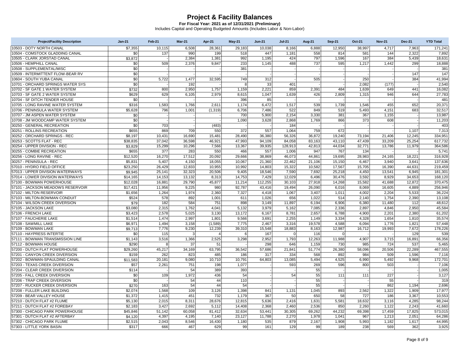| <b>Project/Facility Description</b> | $Jan-21$ | Feb-21 | <b>Mar-21</b> | Apr-21         | <b>May-21</b> | <b>Jun-21</b> | <b>Jul-21</b>  | <b>Aug-21</b> | <b>Sep-21</b>  | Oct-21 | <b>Nov-21</b> | <b>Dec-21</b> | <b>YTD Total</b> |
|-------------------------------------|----------|--------|---------------|----------------|---------------|---------------|----------------|---------------|----------------|--------|---------------|---------------|------------------|
| 10503 - DOTY NORTH CANAL            | \$7,355  | 10,115 | 6,508         | 28,361         | 29,183        | 10,038        | 8,166          | 6,888         | 12,950         | 38,997 | 4,717         | 7,963         | 171,241          |
| 10504 - COMSTOCK GLADDING CANAL     | \$0      | 137    | 990           | 199            | 518           | 447           | 1,181          | 558           | 814            | 581    | 144           | 2,322         | 7,892            |
| 10505 - CLARK JORSTAD CANAL         | \$3,872  |        | 2,384         | 1,381          | 992           | 1,195         | 424            | 797           | 1,596          | 167    | 384           | 5,439         | 18,631           |
| 10506 - HEMPHILL CANAL              | \$0      | 509    | 2,376         | 9.847          | 233           | 1,145         | 488            | 737           | 595            | 1,217  | 1,442         | 299           | 18,888           |
| 10508 - SUPPLEMENTAL/MISC           | \$0      |        |               |                | 381           |               |                |               |                |        |               |               | 381              |
| 10509 - INTERMITTENT FLOW-BEAR RV   | \$0      |        |               |                |               |               |                |               |                |        |               | 147           | 147              |
| 10604 - SOUTH YUBA CANAL            | \$0      | 5,722  | 1,477         | 32,595         | 749           | 312           |                | 505           |                | 250    |               | 384           | 41,994           |
| 10701 - ORCHARD SPRINGS WATER SYS   | \$0      |        | 192           |                | 8             | 33            | 401            |               |                | 2,082  | (177)         |               | 2,540            |
| 10702 - SF GATE 1 WATER SYSTEM      | \$732    | 800    | 2,950         | 1.757          | 1,159         | 2.221         | 859            | 2.391         | 484            | 1,639  | 649           | 441           | 16,082           |
| 10703 - SF GATE 2 WATER SYSTEM      | \$629    | 629    | 6,105         | 2,979          | 8,615         | 1,047         | 1,639          | 426           | 2,809          | 1,315  | 946           | 644           | 27,783           |
| 10704 - SF DITCH TENDER HOUSE       | \$0      |        |               |                | 396           | 85            |                |               |                |        |               |               | 481              |
| 10705 - LONG RAVINE WATER SYSTEM    | \$316    | 1,583  | 1,766         | 2,611          | 1,174         | 6,472         | 1,517          | 539           | 1,739          | 1,546  | 455           | 652           | 20,371           |
| 10706 - PENINSULA WATER SYSTEM      | \$5,628  | 796    | 1,001         | (1, 319)       | 6,706         | 7,486         | 522            | 849           | 519            | 5,493  | 4,151         | 683           | 32,517           |
| 10707 - JM ASPEN WATER SYSTEM       | \$0      |        |               |                | 700           | 5,900         | 2,154          | 3,330         | 381            | 367    | 1,155         |               | 13,987           |
| 10708 - JM WOODCAMP WATER SYSTEM    | \$0      |        |               |                | 1,090         | 3,628         | 2,868          | 1,769         | 866            | 373    | 608           |               | 11,203           |
| 30250 - GENERAL RECREATION          | \$0      | 703    |               | (483)          |               |               | 184            |               |                |        |               |               | 403              |
| 30251 - ROLLINS RECREATION          | \$655    | 869    | 709           | 550            | 372           | 557           | 1,064          | 759           | 672            |        |               | 1,107         | 7,313            |
| 30252 - ORCHARD SPRINGS - REC       | \$8,197  | 10,431 | 16,690        | 15,481         | 28,490        | 36,380        | 56,326         | 36,872        | 19,240         | 73,194 | 21,406        | 12,245        | 334,951          |
| 30253 - SCOTTS FLAT - REC           | \$38.835 | 37.042 | 36,598        | 46,921         | 47,993        | 94,109        | 84,058         | 83,163        | 43,110         | 47,439 | 33,209        | 25,254        | 617,732          |
| 30254 - UPPER DIVISION - REC        | \$3,829  | 15,299 | 10,296        | 7,566          | 13,367        | 39,935        | 128,913        | 42,813        | 44,034         | 32,771 | 13,786        | 11,979        | 364,586          |
| 30255 - COMBIE RECREATION           | \$655    | 377    | 283           | 550            | 466           | 557           | 1,006          | 947           | 767            | 134    |               |               | 5,741            |
| 30256 - LONG RAVINE - REC           | \$12,520 | 16,270 | 17,512        | 20,092         | 29,666        | 38,869        | 46,073         | 44,861        | 19,695         | 28,983 | 24,165        | 18,221        | 316,928          |
| 30257 - PENINSULA - REC             | \$5,831  | 5.407  | 4,150         | 18,055         | 10,067        | 21,360        | 22,462         | 21,106        | 15,150         | 6,467  | 3,940         | 3,641         | 137,636          |
| 57010 - HYDRO FIELD OFFICE          | \$23,250 | 26,429 | 12,833        | 10,955         | 10,992        | 14,803        | 15,322         | 10.582        | 17,567         | 15,705 | 16,390        | 44,631        | 219,459          |
| 57013 - UPPER DIVISION WATERWAYS    | \$9,945  | 25,141 | 32,323        | 20,506         | 9,405         | 18,546        | 7,590          | 7,692         | 25,218         | 4,450  | 13,541        | 6,945         | 181,301          |
| 57014 - LOWER DIVISION WATERWAYS    | \$14,165 | 14,153 | 13,132        | 8,313          | 14,753        | 7,429         | 12,029         | 6.496         | 30,476         | 3,592  | 8,929         | 34,653        | 168,120          |
| 57100 - BOWMAN POWERHOUSE           | \$12,028 | 16,881 | 29,790        | 45,877         | 11,214        | 112,255       | 30,103         | 27,918        | 14,268         | 15,582 | 41,688        | 12,872        | 370,475          |
| 57101 - JACKSON MEADOWS RESERVOIR   | \$17,421 | 11,956 | 9,225         | 980            | 92,787        | 43,416        | 19,494         | 26,090        | 6,016          | 8,069  | 16,605        | 4,889         | 256,946          |
| 57102 - MILTON RESERVOIR            | \$1,656  | 1,264  | 1,974         | 2,360          | 7,327         | 4,418         | 1,067          | 3.407         | 1,011          | 4.002  | 2,204         | 5,533         | 36.224           |
| 57103 - MILTON-BOWMAN CONDUIT       | \$524    | 578    | 892           | 1,001          | 611           | 1,026         | 656            | 1,022         | 514            | 2,140  | 1,754         | 2,390         | 13,108           |
| 57104 - WILSON CREEK DIVERSION      | \$79     | 182    | 584           | 751            | 898           | 3,149         | 11,897         | 6,194         | 6,906          | 6,380  | 11,480        | 112           | 48,612           |
| 57105 - JACKSON LAKE                | \$3,080  | 2,315  | 1,762         | 4.041          | 5,132         | 3,979         | 5,162          | 7.085         | 2,336          | 2.897  | 4,846         | 2,950         | 45.584           |
| 57106 - FRENCH LAKE                 | \$3,423  | 2,578  | 5,025         | 3,130          | 13,172        | 6,167         | 8,781          | 2,657         | 6,788          | 4,900  | 2,201         | 2,380         | 61,202           |
| 57107 - FAUCHERIE LAKE              | \$1,514  | 1,474  | 2,997         | 1.801          | 9,566         | 3,691         | 2,255          | 1,149         | 3,334          | 4,328  | 1,654         | 1,810         | 35,574           |
| 57108 - SAWMILL LAKE                | \$6,971  | 1,494  | 3,158         | (1,589)        | 7,775         | 2,467         | 3,316          | 19,578        | 4,588          | 6,094  | 1,776         | 1,821         | 57,448           |
| 57109 - BOWMAN LAKE                 | \$9,713  | 7,776  | 9,230         | 12,239         | 39,310        | 15,548        | 18,883         | 8,163         | 12,987         | 16,712 | 19,993        | 7,672         | 178,226          |
| 57110 - HAYPRESS INTERTIE           | \$0      | 115    | 3             | $\overline{4}$ | 6             | 167           | $\overline{0}$ | 116           | $\overline{0}$ |        |               | 129           | 539              |
| 57111 - BOWMAN TRANSMISSION LINE    | \$1,143  | 3,516  | 1,366         | 2,525          | 3,298         | 2,952         | 1,793          | 12,263        | 11,988         | 4,907  | 3,715         | 16,891        | 66,356           |
| 57112 - BOWMAN HOUSE                | \$290    |        | 37            | 51             |               | 298           | 646            | 1,159         | 730            | 985    | 724           | 537           | 5,465            |
| 57200 - DUTCH FLAT POWERHOUSE       | \$29,260 | 45,217 | 34,169        | 63,795         | 36,542        | 57,686        | 21,841         | 51,774        | 26,380         | 58,096 | 20,506        | 22,289        | 467,555          |
| 57201 - CANYON CREEK DIVERSION      | \$159    | 262    | 823           | 485            | 186           | 317           | 334            | 568           | 892            | 984    | 509           | 1,596         | 7,116            |
| 57202 - BOWMAN-SPAULDING CANAL      | \$11,583 | 20.181 | 9.080         | 10.710         | 10.791        | 64,803        | 13,085         | 5.494         | 4,525          | 6,990  | 5.492         | 9,968         | 172.701          |
| 57203 - TEXAS CREEK DIVERSION       | \$57     | 2,261  | 751           | 198            | 1,077         |               | 593            | 269           | 596            | 800    | 503           |               | 7,106            |
| 57204 - CLEAR CREEK DIVERSION       | \$114    |        | 54            | 389            | 393           |               |                | 55            |                |        |               |               | 1,005            |
| 57205 - FALL CREEK DIVERSION        | \$0      | 109    | 1,972         | 436            | 54            |               | 54             | 55            | 111            | 111    | 227           |               | 3,127            |
| 57206 - TRAP CREEK DIVERSION        | \$0      |        | 54            | 44             | 110           |               |                | 55            |                |        | 55            |               | 319              |
| 57207 - RUCKER CREEK DIVERSION      | \$270    | 163    | 54            | 44             | 54            |               |                | 55            |                |        | 862           | 1,194         | 2,696            |
| 57208 - FULLER LAKE BUILDING        | \$2,074  | 1,568  | 109           | 3,126          | 1,398         | 841           | 1,131          | 1,045         | 893            | 2,562  | 1,322         | 1,909         | 17,977           |
| 57209 - BEAR VALLEY HOUSE           | \$1,372  | 1,415  | 451           | 732            | 1,179         | 367           | 50             | 650           | 58             | 727    | 186           | 3,367         | 10,553           |
| 57210 - DUTCH FLAT #2 FLUME         | \$5,130  | 2,015  | 8,311         | 28,676         | 12,815        | 5,636         | 2,416          | 1,631         | 5,581          | 18,632 | 3,116         | 4,285         | 98,244           |
| 57211 - DUTCH FLAT #2 FOREBAY       | \$2,183  | 3,427  | 2,692         | 5,112          | 14.408        | 2,368         | 2,460          | 2,536         | 850            | 2,260  | 1,122         | 2,243         | 41,660           |
| 57300 - CHICAGO PARK POWERHOUSE     | \$45,846 | 51,142 | 60,058        | 81,412         | 32,634        | 53,441        | 30,305         | 69,262        | 44,232         | 69,398 | 17,459        | 17,825        | 573,015          |
| 57301 - DUTCH FLAT #2 AFTERBAY      | \$4,120  | 4,397  | 4,195         | 7,140          | 23,127        | 11,788        | 2,270          | 1,978         | 1,041          | 967    | 1,213         | 2,051         | 64,286           |
| 57302 - CHICAGO PARK FLUME          | \$2.515  | 2.043  | 8,546         | 16,430         | 1,180         | 535           | 879            | 2,167         | 1,908          | 5,993  | 1,182         | 1,617         | 44.995           |
| 57303 - LITTLE YORK BASIN           | \$317    | 666    | 467           | 629            | 99            | 161           | 129            | 99            | 189            | 238    | 569           | 362           | 3,925            |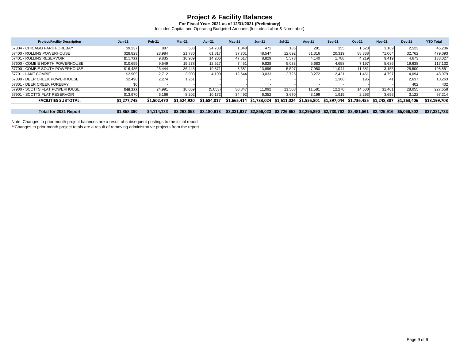**For Fiscal Year: 2021 as of 12/31/2021 (Preliminary)** Includes Capital and Operating Budgeted Amounts (Includes Labor & Non-Labor)

| <b>Project/Facility Description</b> | <b>Jan-21</b> | Feb-21            | $Mar-21$          | Apr-21      | $May-21$    | $Jun-21$           | <b>Jul-21</b>     | <b>Aug-21</b>     | <b>Sep-21</b> | <b>Oct-21</b>        | <b>Nov-21</b>     | <b>Dec-21</b>     | <b>YTD Total</b> |
|-------------------------------------|---------------|-------------------|-------------------|-------------|-------------|--------------------|-------------------|-------------------|---------------|----------------------|-------------------|-------------------|------------------|
| 57304 - CHICAGO PARK FOREBAY        | \$9,337       | 887               | 588               | 24.708      | 1.048       | 472                | 186               | 291               | 355           | 1.623                | 3,189             | 2.523             | 45,206           |
| 57400 - ROLLINS POWERHOUSE          | \$28,823      | 23.984            | 21.730            | 61.817      | 37.701      | 48.547             | 12.692            | 31.316            | 20.319        | 88,338               | 71.064            | 32,762            | 479,093          |
| 57401 - ROLLINS RESERVOIR           | \$11.738      | 9,835             | 10,989            | 14.206      | 47.617      | 8.829              | 5.573             | 4.140             | 1,788         | 4.219                | 9.419             | 4.673             | 133,027          |
| 57600 - COMBIE NORTH POWERHOUSE     | \$10,655      | 9.549             | 19,278            | 12.527      | 7.451       | 9,828              | 5,033             | 5,683             | 4,658         | 7,197                | 5,636             | 19,638            | 117,132          |
| 57700 - COMBIE SOUTH POWERHOUSE     | \$16,485      | 25,444            | 36,445            | 19.871      | 8.681       | 13,996             | 5.597             | 7.950             | 11,044        | 11.681               | 13,155            | 28,500            | 198,851          |
| 57701 - LAKE COMBIE                 | \$2,909       | 2.712             | 3,903             | 4.109       | 12,644      | 3,033              | 2,725             | 3.272             | 2.421         | 1.461                | 4.797             | 4.094             | 48,079           |
| 57800 - DEER CREEK POWERHOUSE       | \$2,498       | 2.274             | 1,251             |             |             |                    |                   |                   | 1,368         | 195                  |                   | 2.637             | 10,263           |
| 57801 - DEER CREEK FOREBAY          |               |                   |                   |             |             |                    |                   |                   |               |                      |                   | 402               | 402              |
| 57900 - SCOTTS FLAT POWERHOUSE      | \$46,338      | 24.991            | 10.069            | (5,053)     | 30.847      | 11.092             | 11.508            | 11.581            | 12.270        | 14.500               | 31.461            | 28.055            | 227,658          |
| 57901 - SCOTTS FLAT RESERVOIR       | \$13,970      | 6,166             | 8,202             | 10.172      | 34.492      | 6,352              | 3.670             | 3,199             | 1,919         | 2,293                | 3,655             | 3.122             | 97,214           |
| <b>FACILITIES SUBTOTAL:</b>         | \$1,277,745   | \$1,502,470       | \$1.524.920       | \$1.684.017 | \$1.665.414 | \$1.733.024        | \$1,611,024       | \$1,555,801       | \$1,397,044   | \$1.736.455          | \$1.248.387       | \$1,263,406       | \$18,199,708     |
|                                     |               |                   |                   |             |             |                    |                   |                   |               |                      |                   |                   |                  |
| Tatal fax 0004 Danast               | 0.4050300     | <b>CCP RPF RD</b> | <b>CO OCO OFO</b> | 0.400642    | 0.224027    | <b>COO DEC OOD</b> | <b>CO 700 CEO</b> | <b>CO ODE COO</b> |               | $0.720770$ $0.40470$ | <b>CO ADE OAC</b> | <b>CE OCC DOO</b> | 0.27.224.722     |

Total for 2021 Report \$1,858,390 \$4,114,133 \$3,263,053 \$3,180,613 \$3,331,937 \$2,856,023 \$2,726,653 \$2,295,890 \$2,730,762 \$3,481,561 \$2,425,916 \$5,066,802 \$37,331,733

Note: Changes to prior month project balances are a result of subsequent postings to the initial report

\*\*Changes to prior month project totals are a result of removing administrative projects from the report.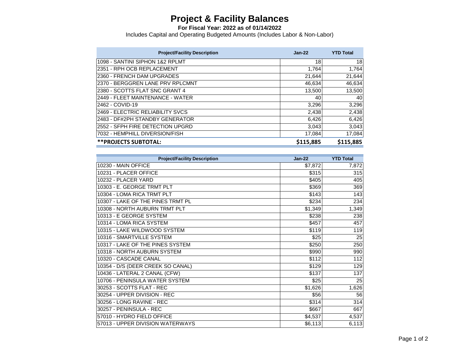**For Fiscal Year: 2022 as of 01/14/2022**

| <b>Project/Facility Description</b> | $Jan-22$  | <b>YTD Total</b> |
|-------------------------------------|-----------|------------------|
| 1098 - SANTINI SIPHON 1&2 RPLMT     | 18        | 18               |
| 2351 - RPH OCB REPLACEMENT          | 1,764     | 1,764            |
| 2360 - FRENCH DAM UPGRADES          | 21,644    | 21,644           |
| 2370 - BERGGREN LANE PRV RPLCMNT    | 46,634    | 46,634           |
| 2380 - SCOTTS FLAT SNC GRANT 4      | 13,500    | 13,500           |
| 2449 - FLEET MAINTENANCE - WATER    | 40        | 40               |
| 2462 - COVID-19                     | 3,296     | 3,296            |
| 2469 - ELECTRIC RELIABILITY SVCS    | 2,438     | 2,438            |
| 2483 - DF#2PH STANDBY GENERATOR     | 6,426     | 6,426            |
| 2552 - SFPH FIRE DETECTION UPGRD    | 3,043     | 3,043            |
| 7032 - HEMPHILL DIVERSION/FISH      | 17,084    | 17,084           |
| <b>**PROJECTS SUBTOTAL:</b>         | \$115,885 | \$115,885        |

| <b>Project/Facility Description</b> | $Jan-22$ | <b>YTD Total</b> |
|-------------------------------------|----------|------------------|
| 10230 - MAIN OFFICE                 | \$7,872  | 7,872            |
| 10231 - PLACER OFFICE               | \$315    | 315              |
| 10232 - PLACER YARD                 | \$405    | 405              |
| 10303 - E. GEORGE TRMT PLT          | \$369    | 369              |
| 10304 - LOMA RICA TRMT PLT          | \$143    | 143              |
| 10307 - LAKE OF THE PINES TRMT PL   | \$234    | 234              |
| 10308 - NORTH AUBURN TRMT PLT       | \$1,349  | 1,349            |
| 10313 - E GEORGE SYSTEM             | \$238    | 238              |
| 10314 - LOMA RICA SYSTEM            | \$457    | 457              |
| 10315 - LAKE WILDWOOD SYSTEM        | \$119    | 119              |
| 10316 - SMARTVILLE SYSTEM           | \$25     | 25               |
| 10317 - LAKE OF THE PINES SYSTEM    | \$250    | 250              |
| 10318 - NORTH AUBURN SYSTEM         | \$990    | 990              |
| 10320 - CASCADE CANAL               | \$112    | 112              |
| 10354 - D/S (DEER CREEK SO CANAL)   | \$129    | 129              |
| 10436 - LATERAL 2 CANAL (CFW)       | \$137    | 137              |
| 10706 - PENINSULA WATER SYSTEM      | \$25     | 25               |
| 30253 - SCOTTS FLAT - REC           | \$1,626  | 1,626            |
| 30254 - UPPER DIVISION - REC        | \$56     | 56               |
| 30256 - LONG RAVINE - REC           | \$314    | 314              |
| 30257 - PENINSULA - REC             | \$667    | 667              |
| 57010 - HYDRO FIELD OFFICE          | \$4,537  | 4,537            |
| 57013 - UPPER DIVISION WATERWAYS    | \$6,113  | 6,113            |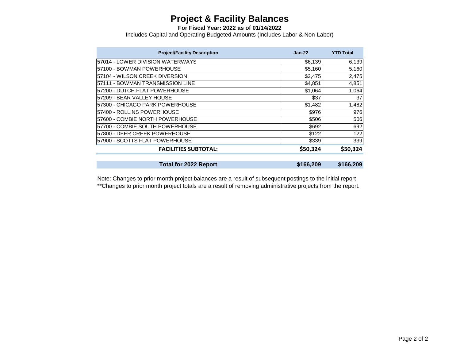**For Fiscal Year: 2022 as of 01/14/2022**

Includes Capital and Operating Budgeted Amounts (Includes Labor & Non-Labor)

| $Jan-22$ | <b>YTD Total</b> |
|----------|------------------|
| \$6,139  | 6,139            |
| \$5,160  | 5,160            |
| \$2,475  | 2,475            |
| \$4,851  | 4,851            |
| \$1,064  | 1,064            |
| \$37     | 37               |
| \$1,482  | 1,482            |
| \$976    | 976              |
| \$506    | 506              |
| \$692    | 692              |
| \$122    | 122              |
| \$339    | 339              |
| \$50,324 | \$50,324         |
|          | \$166,209        |
|          | \$166,209        |

Note: Changes to prior month project balances are a result of subsequent postings to the initial report \*\*Changes to prior month project totals are a result of removing administrative projects from the report.